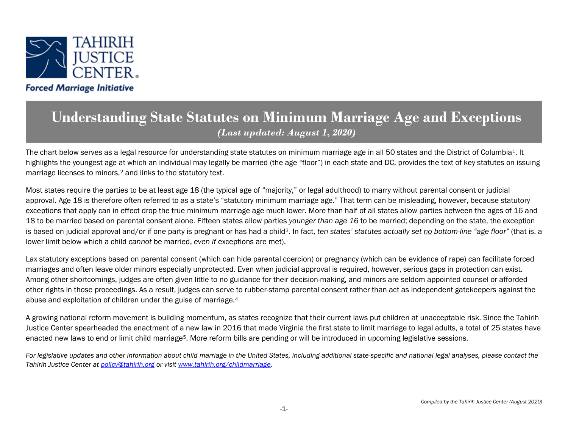

## **Understanding State Statutes on Minimum Marriage Age and Exceptions** *(Last updated: August 1, 2020)*

The chart below serves as a legal resource for understanding state statutes on minimum marriage age in all 50 states and the District of Columbi[a1.](#page-56-0) It highlights the youngest age at which an individual may legally be married (the age "floor") in each state and DC, provides the text of key statutes on issuing marriage licenses to minors,<sup>[2](#page-56-1)</sup> and links to the statutory text.

Most states require the parties to be at least age 18 (the typical age of "majority," or legal adulthood) to marry without parental consent or judicial approval. Age 18 is therefore often referred to as a state's "statutory minimum marriage age." That term can be misleading, however, because statutory exceptions that apply can in effect drop the true minimum marriage age much lower. More than half of all states allow parties between the ages of 16 and 18 to be married based on parental consent alone. Fifteen states allow parties *younger than age 16* to be married; depending on the state, the exception is based on judicial approval and/or if one party is pregnant or has had a child[3](#page-56-2). In fact, *ten states' statutes actually set no bottom-line "age floor"* (that is, a lower limit below which a child *cannot* be married, *even if* exceptions are met).

Lax statutory exceptions based on parental consent (which can hide parental coercion) or pregnancy (which can be evidence of rape) can facilitate forced marriages and often leave older minors especially unprotected. Even when judicial approval is required, however, serious gaps in protection can exist. Among other shortcomings, judges are often given little to no guidance for their decision-making, and minors are seldom appointed counsel or afforded other rights in those proceedings. As a result, judges can serve to rubber-stamp parental consent rather than act as independent gatekeepers against the abuse and exploitation of children under the guise of marriage.[4](#page-56-3)

A growing national reform movement is building momentum, as states recognize that their current laws put children at unacceptable risk. Since the Tahirih Justice Center spearheaded the enactment of a new law in 2016 that made Virginia the first state to limit marriage to legal adults, a total of 25 states have enacted new laws to end or limit child marriage[5](#page-56-4). More reform bills are pending or will be introduced in upcoming legislative sessions.

For legislative updates and other information about child marriage in the United States, including additional state-specific and national legal analyses, please contact the *Tahirih Justice Center a[t policy@tahirih.org](mailto:policy@tahirih.org) or visit [www.tahirih.org/childmarriage.](http://www.tahirih.org/childmarriage)*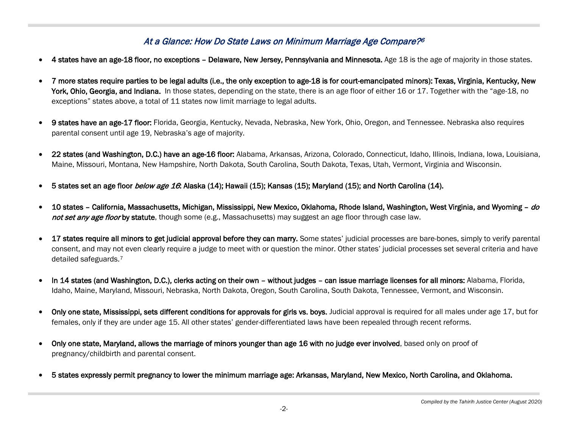## At a Glance: How Do State Laws on Minimum Marriage Age Compare?[6](#page-56-5)

- 4 states have an age-18 floor, no exceptions Delaware, New Jersey, Pennsylvania and Minnesota. Age 18 is the age of majority in those states.
- 7 more states require parties to be legal adults (i.e., the only exception to age-18 is for court-emancipated minors): Texas, Virginia, Kentucky, New York, Ohio, Georgia, and Indiana. In those states, depending on the state, there is an age floor of either 16 or 17. Together with the "age-18, no exceptions" states above, a total of 11 states now limit marriage to legal adults.
- 9 states have an age-17 floor: Florida, Georgia, Kentucky, Nevada, Nebraska, New York, Ohio, Oregon, and Tennessee. Nebraska also requires parental consent until age 19, Nebraska's age of majority.
- 22 states (and Washington, D.C.) have an age-16 floor: Alabama, Arkansas, Arizona, Colorado, Connecticut, Idaho, Illinois, Indiana, Iowa, Louisiana, Maine, Missouri, Montana, New Hampshire, North Dakota, South Carolina, South Dakota, Texas, Utah, Vermont, Virginia and Wisconsin.
- 5 states set an age floor below age 16: Alaska (14); Hawaii (15); Kansas (15); Maryland (15); and North Carolina (14).
- 10 states California, Massachusetts, Michigan, Mississippi, New Mexico, Oklahoma, Rhode Island, Washington, West Virginia, and Wyoming do not set any age floor by statute, though some (e.g., Massachusetts) may suggest an age floor through case law.
- 17 states require all minors to get judicial approval before they can marry. Some states' judicial processes are bare-bones, simply to verify parental consent, and may not even clearly require a judge to meet with or question the minor. Other states' judicial processes set several criteria and have detailed safeguards.[7](#page-56-6)
- In 14 states (and Washington, D.C.), clerks acting on their own without judges can issue marriage licenses for all minors: Alabama, Florida, Idaho, Maine, Maryland, Missouri, Nebraska, North Dakota, Oregon, South Carolina, South Dakota, Tennessee, Vermont, and Wisconsin.
- Only one state, Mississippi, sets different conditions for approvals for girls vs. boys. Judicial approval is required for all males under age 17, but for females, only if they are under age 15. All other states' gender-differentiated laws have been repealed through recent reforms.
- Only one state, Maryland, allows the marriage of minors younger than age 16 with no judge ever involved, based only on proof of pregnancy/childbirth and parental consent.
- 5 states expressly permit pregnancy to lower the minimum marriage age: Arkansas, Maryland, New Mexico, North Carolina, and Oklahoma.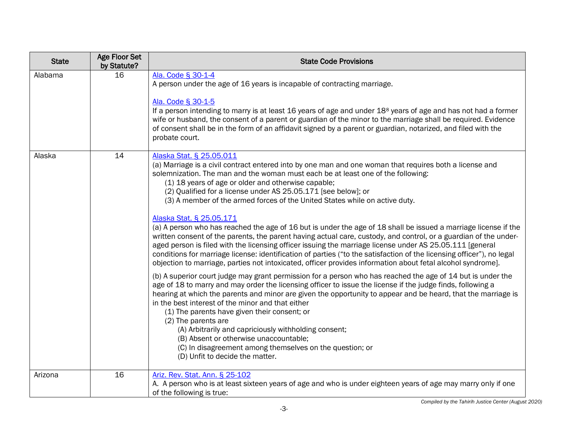| <b>State</b> | <b>Age Floor Set</b><br>by Statute? | <b>State Code Provisions</b>                                                                                                                                                                                                                                                                                                                                                                                                                                                                                                                                                                                                                                                                                                                                                                                                                                                                                                                                                                                                                           |
|--------------|-------------------------------------|--------------------------------------------------------------------------------------------------------------------------------------------------------------------------------------------------------------------------------------------------------------------------------------------------------------------------------------------------------------------------------------------------------------------------------------------------------------------------------------------------------------------------------------------------------------------------------------------------------------------------------------------------------------------------------------------------------------------------------------------------------------------------------------------------------------------------------------------------------------------------------------------------------------------------------------------------------------------------------------------------------------------------------------------------------|
| Alabama      | 16                                  | Ala. Code § 30-1-4<br>A person under the age of 16 years is incapable of contracting marriage.<br>Ala. Code § 30-1-5<br>If a person intending to marry is at least 16 years of age and under 18 <sup>8</sup> years of age and has not had a former<br>wife or husband, the consent of a parent or guardian of the minor to the marriage shall be required. Evidence<br>of consent shall be in the form of an affidavit signed by a parent or guardian, notarized, and filed with the<br>probate court.                                                                                                                                                                                                                                                                                                                                                                                                                                                                                                                                                 |
| Alaska       | 14                                  | Alaska Stat. § 25.05.011<br>(a) Marriage is a civil contract entered into by one man and one woman that requires both a license and<br>solemnization. The man and the woman must each be at least one of the following:<br>(1) 18 years of age or older and otherwise capable;<br>(2) Qualified for a license under AS 25.05.171 [see below]; or<br>(3) A member of the armed forces of the United States while on active duty.<br>Alaska Stat. § 25.05.171<br>(a) A person who has reached the age of 16 but is under the age of 18 shall be issued a marriage license if the<br>written consent of the parents, the parent having actual care, custody, and control, or a guardian of the under-<br>aged person is filed with the licensing officer issuing the marriage license under AS 25.05.111 [general<br>conditions for marriage license: identification of parties ("to the satisfaction of the licensing officer"), no legal<br>objection to marriage, parties not intoxicated, officer provides information about fetal alcohol syndrome]. |
|              |                                     | (b) A superior court judge may grant permission for a person who has reached the age of 14 but is under the<br>age of 18 to marry and may order the licensing officer to issue the license if the judge finds, following a<br>hearing at which the parents and minor are given the opportunity to appear and be heard, that the marriage is<br>in the best interest of the minor and that either<br>(1) The parents have given their consent; or<br>(2) The parents are<br>(A) Arbitrarily and capriciously withholding consent;<br>(B) Absent or otherwise unaccountable;<br>(C) In disagreement among themselves on the question; or<br>(D) Unfit to decide the matter.                                                                                                                                                                                                                                                                                                                                                                              |
| Arizona      | 16                                  | Ariz. Rev. Stat. Ann. § 25-102<br>A. A person who is at least sixteen years of age and who is under eighteen years of age may marry only if one<br>of the following is true:                                                                                                                                                                                                                                                                                                                                                                                                                                                                                                                                                                                                                                                                                                                                                                                                                                                                           |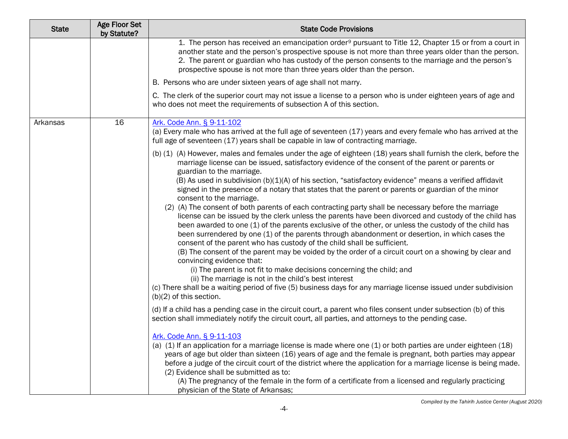| <b>State</b> | <b>Age Floor Set</b><br>by Statute? | <b>State Code Provisions</b>                                                                                                                                                                                                                                                                                                                                                                                                                                                                                                                                                                                                                                                                                                                                                                                                                                                                                                                                                                                                                                                                                                                                                                                                                                                                                                                                                                                                                                                                                                                                                                                                                                                                                                                                                                                                                                                                                                                                                                                                                                                                                                                                                                                                       |
|--------------|-------------------------------------|------------------------------------------------------------------------------------------------------------------------------------------------------------------------------------------------------------------------------------------------------------------------------------------------------------------------------------------------------------------------------------------------------------------------------------------------------------------------------------------------------------------------------------------------------------------------------------------------------------------------------------------------------------------------------------------------------------------------------------------------------------------------------------------------------------------------------------------------------------------------------------------------------------------------------------------------------------------------------------------------------------------------------------------------------------------------------------------------------------------------------------------------------------------------------------------------------------------------------------------------------------------------------------------------------------------------------------------------------------------------------------------------------------------------------------------------------------------------------------------------------------------------------------------------------------------------------------------------------------------------------------------------------------------------------------------------------------------------------------------------------------------------------------------------------------------------------------------------------------------------------------------------------------------------------------------------------------------------------------------------------------------------------------------------------------------------------------------------------------------------------------------------------------------------------------------------------------------------------------|
|              |                                     | 1. The person has received an emancipation order <sup>9</sup> pursuant to Title 12, Chapter 15 or from a court in<br>another state and the person's prospective spouse is not more than three years older than the person.<br>2. The parent or guardian who has custody of the person consents to the marriage and the person's<br>prospective spouse is not more than three years older than the person.                                                                                                                                                                                                                                                                                                                                                                                                                                                                                                                                                                                                                                                                                                                                                                                                                                                                                                                                                                                                                                                                                                                                                                                                                                                                                                                                                                                                                                                                                                                                                                                                                                                                                                                                                                                                                          |
|              |                                     | B. Persons who are under sixteen years of age shall not marry.                                                                                                                                                                                                                                                                                                                                                                                                                                                                                                                                                                                                                                                                                                                                                                                                                                                                                                                                                                                                                                                                                                                                                                                                                                                                                                                                                                                                                                                                                                                                                                                                                                                                                                                                                                                                                                                                                                                                                                                                                                                                                                                                                                     |
|              |                                     | C. The clerk of the superior court may not issue a license to a person who is under eighteen years of age and<br>who does not meet the requirements of subsection A of this section.                                                                                                                                                                                                                                                                                                                                                                                                                                                                                                                                                                                                                                                                                                                                                                                                                                                                                                                                                                                                                                                                                                                                                                                                                                                                                                                                                                                                                                                                                                                                                                                                                                                                                                                                                                                                                                                                                                                                                                                                                                               |
| Arkansas     | 16                                  | Ark. Code Ann. § 9-11-102<br>(a) Every male who has arrived at the full age of seventeen (17) years and every female who has arrived at the<br>full age of seventeen (17) years shall be capable in law of contracting marriage.                                                                                                                                                                                                                                                                                                                                                                                                                                                                                                                                                                                                                                                                                                                                                                                                                                                                                                                                                                                                                                                                                                                                                                                                                                                                                                                                                                                                                                                                                                                                                                                                                                                                                                                                                                                                                                                                                                                                                                                                   |
|              |                                     | (b) (1) (A) However, males and females under the age of eighteen (18) years shall furnish the clerk, before the<br>marriage license can be issued, satisfactory evidence of the consent of the parent or parents or<br>guardian to the marriage.<br>(B) As used in subdivision $(b)(1)(A)$ of his section, "satisfactory evidence" means a verified affidavit<br>signed in the presence of a notary that states that the parent or parents or guardian of the minor<br>consent to the marriage.<br>(2) (A) The consent of both parents of each contracting party shall be necessary before the marriage<br>license can be issued by the clerk unless the parents have been divorced and custody of the child has<br>been awarded to one (1) of the parents exclusive of the other, or unless the custody of the child has<br>been surrendered by one (1) of the parents through abandonment or desertion, in which cases the<br>consent of the parent who has custody of the child shall be sufficient.<br>(B) The consent of the parent may be voided by the order of a circuit court on a showing by clear and<br>convincing evidence that:<br>(i) The parent is not fit to make decisions concerning the child; and<br>(ii) The marriage is not in the child's best interest<br>(c) There shall be a waiting period of five (5) business days for any marriage license issued under subdivision<br>$(b)(2)$ of this section.<br>(d) If a child has a pending case in the circuit court, a parent who files consent under subsection (b) of this<br>section shall immediately notify the circuit court, all parties, and attorneys to the pending case.<br>Ark. Code Ann. § 9-11-103<br>(a) (1) If an application for a marriage license is made where one (1) or both parties are under eighteen (18)<br>years of age but older than sixteen (16) years of age and the female is pregnant, both parties may appear<br>before a judge of the circuit court of the district where the application for a marriage license is being made.<br>(2) Evidence shall be submitted as to:<br>(A) The pregnancy of the female in the form of a certificate from a licensed and regularly practicing<br>physician of the State of Arkansas; |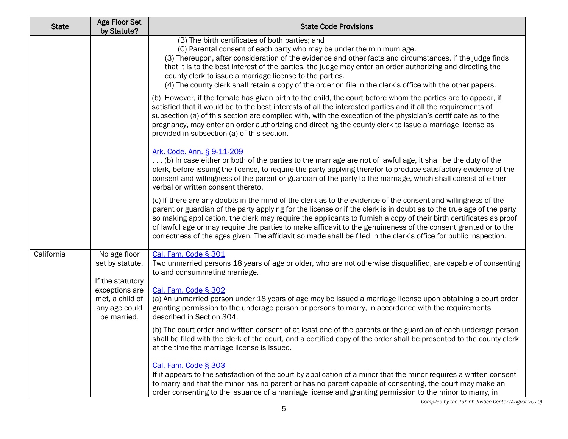| <b>State</b> | <b>Age Floor Set</b><br>by Statute?                               | <b>State Code Provisions</b>                                                                                                                                                                                                                                                                                                                                                                                                                                                                                                                                                                      |
|--------------|-------------------------------------------------------------------|---------------------------------------------------------------------------------------------------------------------------------------------------------------------------------------------------------------------------------------------------------------------------------------------------------------------------------------------------------------------------------------------------------------------------------------------------------------------------------------------------------------------------------------------------------------------------------------------------|
|              |                                                                   | (B) The birth certificates of both parties; and<br>(C) Parental consent of each party who may be under the minimum age.<br>(3) Thereupon, after consideration of the evidence and other facts and circumstances, if the judge finds<br>that it is to the best interest of the parties, the judge may enter an order authorizing and directing the<br>county clerk to issue a marriage license to the parties.<br>(4) The county clerk shall retain a copy of the order on file in the clerk's office with the other papers.                                                                       |
|              |                                                                   | (b) However, if the female has given birth to the child, the court before whom the parties are to appear, if<br>satisfied that it would be to the best interests of all the interested parties and if all the requirements of<br>subsection (a) of this section are complied with, with the exception of the physician's certificate as to the<br>pregnancy, may enter an order authorizing and directing the county clerk to issue a marriage license as<br>provided in subsection (a) of this section.                                                                                          |
|              |                                                                   | Ark. Code. Ann. § 9-11-209<br>(b) In case either or both of the parties to the marriage are not of lawful age, it shall be the duty of the<br>clerk, before issuing the license, to require the party applying therefor to produce satisfactory evidence of the<br>consent and willingness of the parent or guardian of the party to the marriage, which shall consist of either<br>verbal or written consent thereto.                                                                                                                                                                            |
|              |                                                                   | (c) If there are any doubts in the mind of the clerk as to the evidence of the consent and willingness of the<br>parent or guardian of the party applying for the license or if the clerk is in doubt as to the true age of the party<br>so making application, the clerk may require the applicants to furnish a copy of their birth certificates as proof<br>of lawful age or may require the parties to make affidavit to the genuineness of the consent granted or to the<br>correctness of the ages given. The affidavit so made shall be filed in the clerk's office for public inspection. |
| California   | No age floor<br>set by statute.<br>If the statutory               | Cal. Fam. Code § 301<br>Two unmarried persons 18 years of age or older, who are not otherwise disqualified, are capable of consenting<br>to and consummating marriage.                                                                                                                                                                                                                                                                                                                                                                                                                            |
|              | exceptions are<br>met, a child of<br>any age could<br>be married. | Cal. Fam. Code § 302<br>(a) An unmarried person under 18 years of age may be issued a marriage license upon obtaining a court order<br>granting permission to the underage person or persons to marry, in accordance with the requirements<br>described in Section 304.                                                                                                                                                                                                                                                                                                                           |
|              |                                                                   | (b) The court order and written consent of at least one of the parents or the guardian of each underage person<br>shall be filed with the clerk of the court, and a certified copy of the order shall be presented to the county clerk<br>at the time the marriage license is issued.                                                                                                                                                                                                                                                                                                             |
|              |                                                                   | Cal. Fam. Code § 303<br>If it appears to the satisfaction of the court by application of a minor that the minor requires a written consent<br>to marry and that the minor has no parent or has no parent capable of consenting, the court may make an<br>order consenting to the issuance of a marriage license and granting permission to the minor to marry, in                                                                                                                                                                                                                                 |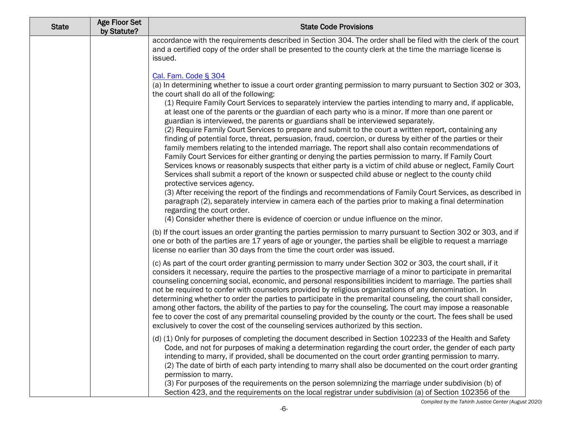| <b>State</b> | <b>Age Floor Set</b><br>by Statute? | <b>State Code Provisions</b>                                                                                                                                                                                                                                                                                                                                                                                                                                                                                                                                                                                                                                                                                                                                                                                                                                                                                                                                                                                                                                                                                                                                                                                                                                                                                                                                                                                                                                                                                                                  |
|--------------|-------------------------------------|-----------------------------------------------------------------------------------------------------------------------------------------------------------------------------------------------------------------------------------------------------------------------------------------------------------------------------------------------------------------------------------------------------------------------------------------------------------------------------------------------------------------------------------------------------------------------------------------------------------------------------------------------------------------------------------------------------------------------------------------------------------------------------------------------------------------------------------------------------------------------------------------------------------------------------------------------------------------------------------------------------------------------------------------------------------------------------------------------------------------------------------------------------------------------------------------------------------------------------------------------------------------------------------------------------------------------------------------------------------------------------------------------------------------------------------------------------------------------------------------------------------------------------------------------|
|              |                                     | accordance with the requirements described in Section 304. The order shall be filed with the clerk of the court<br>and a certified copy of the order shall be presented to the county clerk at the time the marriage license is<br>issued.                                                                                                                                                                                                                                                                                                                                                                                                                                                                                                                                                                                                                                                                                                                                                                                                                                                                                                                                                                                                                                                                                                                                                                                                                                                                                                    |
|              |                                     | Cal. Fam. Code § 304<br>(a) In determining whether to issue a court order granting permission to marry pursuant to Section 302 or 303,<br>the court shall do all of the following:<br>(1) Require Family Court Services to separately interview the parties intending to marry and, if applicable,<br>at least one of the parents or the guardian of each party who is a minor. If more than one parent or<br>guardian is interviewed, the parents or guardians shall be interviewed separately.<br>(2) Require Family Court Services to prepare and submit to the court a written report, containing any<br>finding of potential force, threat, persuasion, fraud, coercion, or duress by either of the parties or their<br>family members relating to the intended marriage. The report shall also contain recommendations of<br>Family Court Services for either granting or denying the parties permission to marry. If Family Court<br>Services knows or reasonably suspects that either party is a victim of child abuse or neglect, Family Court<br>Services shall submit a report of the known or suspected child abuse or neglect to the county child<br>protective services agency.<br>(3) After receiving the report of the findings and recommendations of Family Court Services, as described in<br>paragraph (2), separately interview in camera each of the parties prior to making a final determination<br>regarding the court order.<br>(4) Consider whether there is evidence of coercion or undue influence on the minor. |
|              |                                     | (b) If the court issues an order granting the parties permission to marry pursuant to Section 302 or 303, and if<br>one or both of the parties are 17 years of age or younger, the parties shall be eligible to request a marriage<br>license no earlier than 30 days from the time the court order was issued.                                                                                                                                                                                                                                                                                                                                                                                                                                                                                                                                                                                                                                                                                                                                                                                                                                                                                                                                                                                                                                                                                                                                                                                                                               |
|              |                                     | (c) As part of the court order granting permission to marry under Section 302 or 303, the court shall, if it<br>considers it necessary, require the parties to the prospective marriage of a minor to participate in premarital<br>counseling concerning social, economic, and personal responsibilities incident to marriage. The parties shall<br>not be required to confer with counselors provided by religious organizations of any denomination. In<br>determining whether to order the parties to participate in the premarital counseling, the court shall consider,<br>among other factors, the ability of the parties to pay for the counseling. The court may impose a reasonable<br>fee to cover the cost of any premarital counseling provided by the county or the court. The fees shall be used<br>exclusively to cover the cost of the counseling services authorized by this section.                                                                                                                                                                                                                                                                                                                                                                                                                                                                                                                                                                                                                                        |
|              |                                     | (d) (1) Only for purposes of completing the document described in Section 102233 of the Health and Safety<br>Code, and not for purposes of making a determination regarding the court order, the gender of each party<br>intending to marry, if provided, shall be documented on the court order granting permission to marry.<br>(2) The date of birth of each party intending to marry shall also be documented on the court order granting<br>permission to marry.<br>(3) For purposes of the requirements on the person solemnizing the marriage under subdivision (b) of<br>Section 423, and the requirements on the local registrar under subdivision (a) of Section 102356 of the                                                                                                                                                                                                                                                                                                                                                                                                                                                                                                                                                                                                                                                                                                                                                                                                                                                      |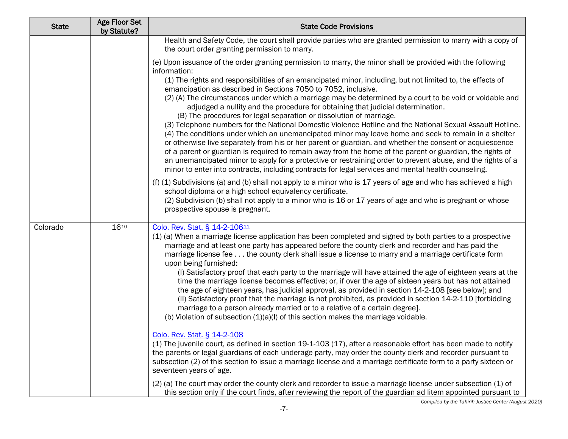| <b>State</b> | <b>Age Floor Set</b><br>by Statute? | <b>State Code Provisions</b>                                                                                                                                                                                                                                                                                                                                                                                                                                                                                                                                                                                                                                                                                                                                                                                                                                                                                                                                                                                                                                                                                                                                                                                                                                                                                                                                                                                                                                                                                                                                                       |
|--------------|-------------------------------------|------------------------------------------------------------------------------------------------------------------------------------------------------------------------------------------------------------------------------------------------------------------------------------------------------------------------------------------------------------------------------------------------------------------------------------------------------------------------------------------------------------------------------------------------------------------------------------------------------------------------------------------------------------------------------------------------------------------------------------------------------------------------------------------------------------------------------------------------------------------------------------------------------------------------------------------------------------------------------------------------------------------------------------------------------------------------------------------------------------------------------------------------------------------------------------------------------------------------------------------------------------------------------------------------------------------------------------------------------------------------------------------------------------------------------------------------------------------------------------------------------------------------------------------------------------------------------------|
|              |                                     | Health and Safety Code, the court shall provide parties who are granted permission to marry with a copy of<br>the court order granting permission to marry.                                                                                                                                                                                                                                                                                                                                                                                                                                                                                                                                                                                                                                                                                                                                                                                                                                                                                                                                                                                                                                                                                                                                                                                                                                                                                                                                                                                                                        |
|              |                                     | (e) Upon issuance of the order granting permission to marry, the minor shall be provided with the following<br>information:<br>(1) The rights and responsibilities of an emancipated minor, including, but not limited to, the effects of<br>emancipation as described in Sections 7050 to 7052, inclusive.<br>(2) (A) The circumstances under which a marriage may be determined by a court to be void or voidable and<br>adjudged a nullity and the procedure for obtaining that judicial determination.<br>(B) The procedures for legal separation or dissolution of marriage.<br>(3) Telephone numbers for the National Domestic Violence Hotline and the National Sexual Assault Hotline.<br>(4) The conditions under which an unemancipated minor may leave home and seek to remain in a shelter<br>or otherwise live separately from his or her parent or guardian, and whether the consent or acquiescence<br>of a parent or guardian is required to remain away from the home of the parent or guardian, the rights of<br>an unemancipated minor to apply for a protective or restraining order to prevent abuse, and the rights of a<br>minor to enter into contracts, including contracts for legal services and mental health counseling.<br>(f) (1) Subdivisions (a) and (b) shall not apply to a minor who is 17 years of age and who has achieved a high<br>school diploma or a high school equivalency certificate.<br>(2) Subdivision (b) shall not apply to a minor who is 16 or 17 years of age and who is pregnant or whose<br>prospective spouse is pregnant. |
| Colorado     | 1610                                | Colo. Rev. Stat. § 14-2-10611<br>(1) (a) When a marriage license application has been completed and signed by both parties to a prospective<br>marriage and at least one party has appeared before the county clerk and recorder and has paid the<br>marriage license fee the county clerk shall issue a license to marry and a marriage certificate form<br>upon being furnished:<br>(I) Satisfactory proof that each party to the marriage will have attained the age of eighteen years at the<br>time the marriage license becomes effective; or, if over the age of sixteen years but has not attained<br>the age of eighteen years, has judicial approval, as provided in section 14-2-108 [see below]; and<br>(II) Satisfactory proof that the marriage is not prohibited, as provided in section 14-2-110 [forbidding<br>marriage to a person already married or to a relative of a certain degree].<br>(b) Violation of subsection $(1)(a)(l)$ of this section makes the marriage voidable.<br>Colo. Rev. Stat. § 14-2-108<br>(1) The juvenile court, as defined in section 19-1-103 (17), after a reasonable effort has been made to notify<br>the parents or legal guardians of each underage party, may order the county clerk and recorder pursuant to<br>subsection (2) of this section to issue a marriage license and a marriage certificate form to a party sixteen or<br>seventeen years of age.<br>(2) (a) The court may order the county clerk and recorder to issue a marriage license under subsection (1) of                                                 |
|              |                                     | this section only if the court finds, after reviewing the report of the guardian ad litem appointed pursuant to                                                                                                                                                                                                                                                                                                                                                                                                                                                                                                                                                                                                                                                                                                                                                                                                                                                                                                                                                                                                                                                                                                                                                                                                                                                                                                                                                                                                                                                                    |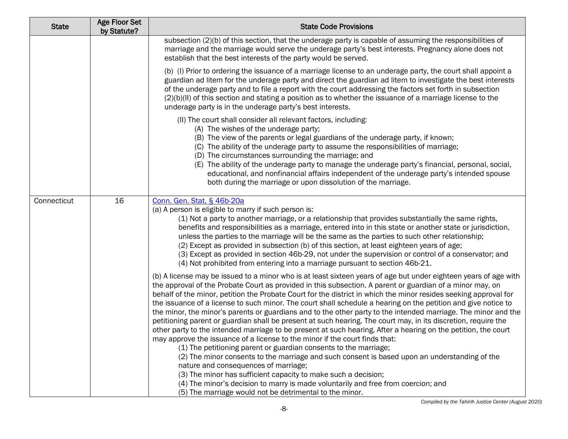| <b>State</b> | <b>Age Floor Set</b><br>by Statute? | <b>State Code Provisions</b>                                                                                                                                                                                                                                                                                                                                                                                                                                                                                                                                                                                                                                                                                                                                                                                                                                                                                                                                                                                                                                                                                                                                                                                                                                                                                                            |
|--------------|-------------------------------------|-----------------------------------------------------------------------------------------------------------------------------------------------------------------------------------------------------------------------------------------------------------------------------------------------------------------------------------------------------------------------------------------------------------------------------------------------------------------------------------------------------------------------------------------------------------------------------------------------------------------------------------------------------------------------------------------------------------------------------------------------------------------------------------------------------------------------------------------------------------------------------------------------------------------------------------------------------------------------------------------------------------------------------------------------------------------------------------------------------------------------------------------------------------------------------------------------------------------------------------------------------------------------------------------------------------------------------------------|
|              |                                     | subsection (2)(b) of this section, that the underage party is capable of assuming the responsibilities of<br>marriage and the marriage would serve the underage party's best interests. Pregnancy alone does not<br>establish that the best interests of the party would be served.                                                                                                                                                                                                                                                                                                                                                                                                                                                                                                                                                                                                                                                                                                                                                                                                                                                                                                                                                                                                                                                     |
|              |                                     | (b) (l) Prior to ordering the issuance of a marriage license to an underage party, the court shall appoint a<br>guardian ad litem for the underage party and direct the guardian ad litem to investigate the best interests<br>of the underage party and to file a report with the court addressing the factors set forth in subsection<br>(2)(b)(II) of this section and stating a position as to whether the issuance of a marriage license to the<br>underage party is in the underage party's best interests.                                                                                                                                                                                                                                                                                                                                                                                                                                                                                                                                                                                                                                                                                                                                                                                                                       |
|              |                                     | (II) The court shall consider all relevant factors, including:<br>(A) The wishes of the underage party;<br>(B) The view of the parents or legal guardians of the underage party, if known;<br>(C) The ability of the underage party to assume the responsibilities of marriage;<br>(D) The circumstances surrounding the marriage; and<br>(E) The ability of the underage party to manage the underage party's financial, personal, social,<br>educational, and nonfinancial affairs independent of the underage party's intended spouse<br>both during the marriage or upon dissolution of the marriage.                                                                                                                                                                                                                                                                                                                                                                                                                                                                                                                                                                                                                                                                                                                               |
| Connecticut  | 16                                  | Conn. Gen. Stat. § 46b-20a<br>(a) A person is eligible to marry if such person is:<br>(1) Not a party to another marriage, or a relationship that provides substantially the same rights,<br>benefits and responsibilities as a marriage, entered into in this state or another state or jurisdiction,<br>unless the parties to the marriage will be the same as the parties to such other relationship;<br>(2) Except as provided in subsection (b) of this section, at least eighteen years of age;<br>(3) Except as provided in section 46b-29, not under the supervision or control of a conservator; and<br>(4) Not prohibited from entering into a marriage pursuant to section 46b-21.                                                                                                                                                                                                                                                                                                                                                                                                                                                                                                                                                                                                                                           |
|              |                                     | (b) A license may be issued to a minor who is at least sixteen years of age but under eighteen years of age with<br>the approval of the Probate Court as provided in this subsection. A parent or guardian of a minor may, on<br>behalf of the minor, petition the Probate Court for the district in which the minor resides seeking approval for<br>the issuance of a license to such minor. The court shall schedule a hearing on the petition and give notice to<br>the minor, the minor's parents or guardians and to the other party to the intended marriage. The minor and the<br>petitioning parent or guardian shall be present at such hearing. The court may, in its discretion, require the<br>other party to the intended marriage to be present at such hearing. After a hearing on the petition, the court<br>may approve the issuance of a license to the minor if the court finds that:<br>(1) The petitioning parent or guardian consents to the marriage;<br>(2) The minor consents to the marriage and such consent is based upon an understanding of the<br>nature and consequences of marriage;<br>(3) The minor has sufficient capacity to make such a decision;<br>(4) The minor's decision to marry is made voluntarily and free from coercion; and<br>(5) The marriage would not be detrimental to the minor. |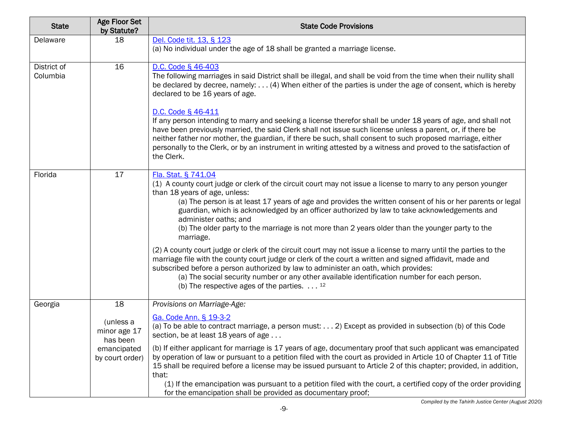| <b>State</b>            | <b>Age Floor Set</b><br>by Statute?                                     | <b>State Code Provisions</b>                                                                                                                                                                                                                                                                                                                                                                                                                                                                                                  |
|-------------------------|-------------------------------------------------------------------------|-------------------------------------------------------------------------------------------------------------------------------------------------------------------------------------------------------------------------------------------------------------------------------------------------------------------------------------------------------------------------------------------------------------------------------------------------------------------------------------------------------------------------------|
| Delaware                | 18                                                                      | Del. Code tit. 13, § 123<br>(a) No individual under the age of 18 shall be granted a marriage license.                                                                                                                                                                                                                                                                                                                                                                                                                        |
| District of<br>Columbia | 16                                                                      | D.C. Code § 46-403<br>The following marriages in said District shall be illegal, and shall be void from the time when their nullity shall<br>be declared by decree, namely: (4) When either of the parties is under the age of consent, which is hereby<br>declared to be 16 years of age.                                                                                                                                                                                                                                    |
|                         |                                                                         | D.C. Code § 46-411<br>If any person intending to marry and seeking a license therefor shall be under 18 years of age, and shall not<br>have been previously married, the said Clerk shall not issue such license unless a parent, or, if there be<br>neither father nor mother, the guardian, if there be such, shall consent to such proposed marriage, either<br>personally to the Clerk, or by an instrument in writing attested by a witness and proved to the satisfaction of<br>the Clerk.                              |
| Florida                 | 17                                                                      | Fla. Stat. § 741.04<br>(1) A county court judge or clerk of the circuit court may not issue a license to marry to any person younger<br>than 18 years of age, unless:<br>(a) The person is at least 17 years of age and provides the written consent of his or her parents or legal<br>guardian, which is acknowledged by an officer authorized by law to take acknowledgements and<br>administer oaths; and<br>(b) The older party to the marriage is not more than 2 years older than the younger party to the<br>marriage. |
|                         |                                                                         | (2) A county court judge or clerk of the circuit court may not issue a license to marry until the parties to the<br>marriage file with the county court judge or clerk of the court a written and signed affidavit, made and<br>subscribed before a person authorized by law to administer an oath, which provides:<br>(a) The social security number or any other available identification number for each person.<br>(b) The respective ages of the parties. $\dots$ 12                                                     |
| Georgia                 | 18                                                                      | Provisions on Marriage-Age:                                                                                                                                                                                                                                                                                                                                                                                                                                                                                                   |
|                         | (unless a<br>minor age 17<br>has been<br>emancipated<br>by court order) | Ga. Code Ann. § 19-3-2<br>(a) To be able to contract marriage, a person must: 2) Except as provided in subsection (b) of this Code<br>section, be at least 18 years of age                                                                                                                                                                                                                                                                                                                                                    |
|                         |                                                                         | (b) If either applicant for marriage is 17 years of age, documentary proof that such applicant was emancipated<br>by operation of law or pursuant to a petition filed with the court as provided in Article 10 of Chapter 11 of Title<br>15 shall be required before a license may be issued pursuant to Article 2 of this chapter; provided, in addition,<br>that:<br>(1) If the emancipation was pursuant to a petition filed with the court, a certified copy of the order providing                                       |
|                         |                                                                         | for the emancipation shall be provided as documentary proof;                                                                                                                                                                                                                                                                                                                                                                                                                                                                  |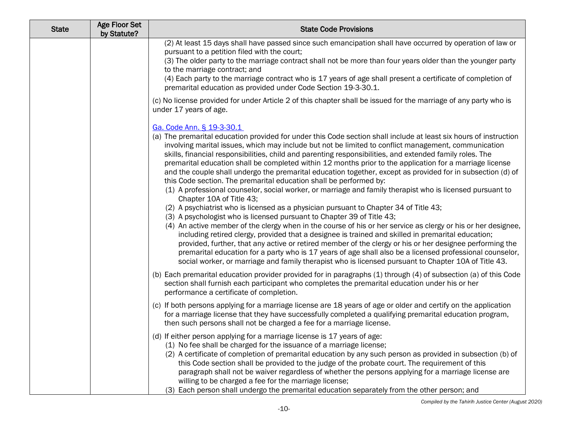| <b>State</b> | Age Floor Set<br>by Statute? | <b>State Code Provisions</b>                                                                                                                                                                                                                                                                                                                                                                                                                                                                                                                                                                                                                                                                                                                                                                                                                                                                                                                                                                                                                                                                                                                                                                                                                                                                                                                                                                                                                                                                                                           |
|--------------|------------------------------|----------------------------------------------------------------------------------------------------------------------------------------------------------------------------------------------------------------------------------------------------------------------------------------------------------------------------------------------------------------------------------------------------------------------------------------------------------------------------------------------------------------------------------------------------------------------------------------------------------------------------------------------------------------------------------------------------------------------------------------------------------------------------------------------------------------------------------------------------------------------------------------------------------------------------------------------------------------------------------------------------------------------------------------------------------------------------------------------------------------------------------------------------------------------------------------------------------------------------------------------------------------------------------------------------------------------------------------------------------------------------------------------------------------------------------------------------------------------------------------------------------------------------------------|
|              |                              | (2) At least 15 days shall have passed since such emancipation shall have occurred by operation of law or<br>pursuant to a petition filed with the court;<br>(3) The older party to the marriage contract shall not be more than four years older than the younger party<br>to the marriage contract; and<br>(4) Each party to the marriage contract who is 17 years of age shall present a certificate of completion of<br>premarital education as provided under Code Section 19-3-30.1.                                                                                                                                                                                                                                                                                                                                                                                                                                                                                                                                                                                                                                                                                                                                                                                                                                                                                                                                                                                                                                             |
|              |                              | (c) No license provided for under Article 2 of this chapter shall be issued for the marriage of any party who is<br>under 17 years of age.                                                                                                                                                                                                                                                                                                                                                                                                                                                                                                                                                                                                                                                                                                                                                                                                                                                                                                                                                                                                                                                                                                                                                                                                                                                                                                                                                                                             |
|              |                              | Ga. Code Ann. § 19-3-30.1<br>(a) The premarital education provided for under this Code section shall include at least six hours of instruction<br>involving marital issues, which may include but not be limited to conflict management, communication<br>skills, financial responsibilities, child and parenting responsibilities, and extended family roles. The<br>premarital education shall be completed within 12 months prior to the application for a marriage license<br>and the couple shall undergo the premarital education together, except as provided for in subsection (d) of<br>this Code section. The premarital education shall be performed by:<br>(1) A professional counselor, social worker, or marriage and family therapist who is licensed pursuant to<br>Chapter 10A of Title 43;<br>(2) A psychiatrist who is licensed as a physician pursuant to Chapter 34 of Title 43;<br>(3) A psychologist who is licensed pursuant to Chapter 39 of Title 43;<br>(4) An active member of the clergy when in the course of his or her service as clergy or his or her designee,<br>including retired clergy, provided that a designee is trained and skilled in premarital education;<br>provided, further, that any active or retired member of the clergy or his or her designee performing the<br>premarital education for a party who is 17 years of age shall also be a licensed professional counselor,<br>social worker, or marriage and family therapist who is licensed pursuant to Chapter 10A of Title 43. |
|              |                              | (b) Each premarital education provider provided for in paragraphs (1) through (4) of subsection (a) of this Code<br>section shall furnish each participant who completes the premarital education under his or her<br>performance a certificate of completion.                                                                                                                                                                                                                                                                                                                                                                                                                                                                                                                                                                                                                                                                                                                                                                                                                                                                                                                                                                                                                                                                                                                                                                                                                                                                         |
|              |                              | (c) If both persons applying for a marriage license are 18 years of age or older and certify on the application<br>for a marriage license that they have successfully completed a qualifying premarital education program,<br>then such persons shall not be charged a fee for a marriage license.                                                                                                                                                                                                                                                                                                                                                                                                                                                                                                                                                                                                                                                                                                                                                                                                                                                                                                                                                                                                                                                                                                                                                                                                                                     |
|              |                              | (d) If either person applying for a marriage license is 17 years of age:<br>(1) No fee shall be charged for the issuance of a marriage license;<br>(2) A certificate of completion of premarital education by any such person as provided in subsection (b) of<br>this Code section shall be provided to the judge of the probate court. The requirement of this<br>paragraph shall not be waiver regardless of whether the persons applying for a marriage license are<br>willing to be charged a fee for the marriage license;<br>(3) Each person shall undergo the premarital education separately from the other person; and                                                                                                                                                                                                                                                                                                                                                                                                                                                                                                                                                                                                                                                                                                                                                                                                                                                                                                       |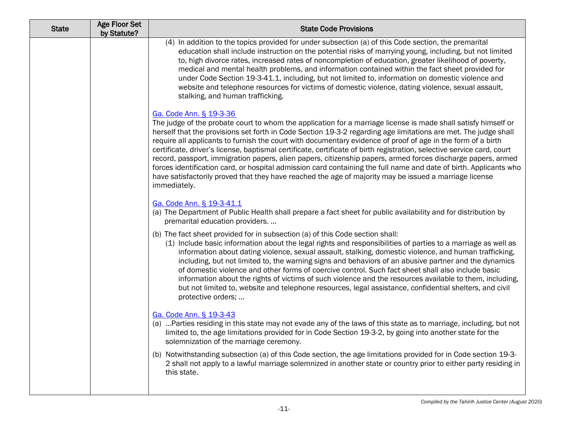| <b>State</b> | Age Floor Set<br>by Statute? | <b>State Code Provisions</b>                                                                                                                                                                                                                                                                                                                                                                                                                                                                                                                                                                                                                                                                                                                                                                                                                                          |
|--------------|------------------------------|-----------------------------------------------------------------------------------------------------------------------------------------------------------------------------------------------------------------------------------------------------------------------------------------------------------------------------------------------------------------------------------------------------------------------------------------------------------------------------------------------------------------------------------------------------------------------------------------------------------------------------------------------------------------------------------------------------------------------------------------------------------------------------------------------------------------------------------------------------------------------|
|              |                              | (4) In addition to the topics provided for under subsection (a) of this Code section, the premarital<br>education shall include instruction on the potential risks of marrying young, including, but not limited<br>to, high divorce rates, increased rates of noncompletion of education, greater likelihood of poverty,<br>medical and mental health problems, and information contained within the fact sheet provided for<br>under Code Section 19-3-41.1, including, but not limited to, information on domestic violence and<br>website and telephone resources for victims of domestic violence, dating violence, sexual assault,<br>stalking, and human trafficking.                                                                                                                                                                                          |
|              |                              | Ga. Code Ann. § 19-3-36<br>The judge of the probate court to whom the application for a marriage license is made shall satisfy himself or<br>herself that the provisions set forth in Code Section 19-3-2 regarding age limitations are met. The judge shall<br>require all applicants to furnish the court with documentary evidence of proof of age in the form of a birth<br>certificate, driver's license, baptismal certificate, certificate of birth registration, selective service card, court<br>record, passport, immigration papers, alien papers, citizenship papers, armed forces discharge papers, armed<br>forces identification card, or hospital admission card containing the full name and date of birth. Applicants who<br>have satisfactorily proved that they have reached the age of majority may be issued a marriage license<br>immediately. |
|              |                              | Ga. Code Ann. § 19-3-41.1<br>(a) The Department of Public Health shall prepare a fact sheet for public availability and for distribution by<br>premarital education providers.                                                                                                                                                                                                                                                                                                                                                                                                                                                                                                                                                                                                                                                                                        |
|              |                              | (b) The fact sheet provided for in subsection (a) of this Code section shall:<br>(1) Include basic information about the legal rights and responsibilities of parties to a marriage as well as<br>information about dating violence, sexual assault, stalking, domestic violence, and human trafficking,<br>including, but not limited to, the warning signs and behaviors of an abusive partner and the dynamics<br>of domestic violence and other forms of coercive control. Such fact sheet shall also include basic<br>information about the rights of victims of such violence and the resources available to them, including,<br>but not limited to, website and telephone resources, legal assistance, confidential shelters, and civil<br>protective orders;                                                                                                  |
|              |                              | Ga. Code Ann. § 19-3-43<br>(a)  Parties residing in this state may not evade any of the laws of this state as to marriage, including, but not<br>limited to, the age limitations provided for in Code Section 19-3-2, by going into another state for the<br>solemnization of the marriage ceremony.                                                                                                                                                                                                                                                                                                                                                                                                                                                                                                                                                                  |
|              |                              | (b) Notwithstanding subsection (a) of this Code section, the age limitations provided for in Code section 19-3-<br>2 shall not apply to a lawful marriage solemnized in another state or country prior to either party residing in<br>this state.                                                                                                                                                                                                                                                                                                                                                                                                                                                                                                                                                                                                                     |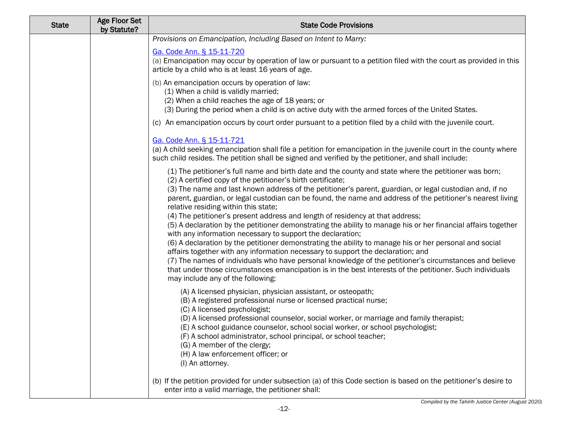| <b>State</b> | <b>Age Floor Set</b><br>by Statute? | <b>State Code Provisions</b>                                                                                                                                                                                                                                                                                                                                                                                                                                                                                                                                                                                                                                                                                                                                                                                                                                                                                                                                                                                                                                                                                                                                  |
|--------------|-------------------------------------|---------------------------------------------------------------------------------------------------------------------------------------------------------------------------------------------------------------------------------------------------------------------------------------------------------------------------------------------------------------------------------------------------------------------------------------------------------------------------------------------------------------------------------------------------------------------------------------------------------------------------------------------------------------------------------------------------------------------------------------------------------------------------------------------------------------------------------------------------------------------------------------------------------------------------------------------------------------------------------------------------------------------------------------------------------------------------------------------------------------------------------------------------------------|
|              |                                     | Provisions on Emancipation, Including Based on Intent to Marry:                                                                                                                                                                                                                                                                                                                                                                                                                                                                                                                                                                                                                                                                                                                                                                                                                                                                                                                                                                                                                                                                                               |
|              |                                     | Ga. Code Ann. § 15-11-720<br>(a) Emancipation may occur by operation of law or pursuant to a petition filed with the court as provided in this<br>article by a child who is at least 16 years of age.                                                                                                                                                                                                                                                                                                                                                                                                                                                                                                                                                                                                                                                                                                                                                                                                                                                                                                                                                         |
|              |                                     | (b) An emancipation occurs by operation of law:<br>(1) When a child is validly married;<br>(2) When a child reaches the age of 18 years; or<br>(3) During the period when a child is on active duty with the armed forces of the United States.                                                                                                                                                                                                                                                                                                                                                                                                                                                                                                                                                                                                                                                                                                                                                                                                                                                                                                               |
|              |                                     | (c) An emancipation occurs by court order pursuant to a petition filed by a child with the juvenile court.                                                                                                                                                                                                                                                                                                                                                                                                                                                                                                                                                                                                                                                                                                                                                                                                                                                                                                                                                                                                                                                    |
|              |                                     | Ga. Code Ann. § 15-11-721<br>(a) A child seeking emancipation shall file a petition for emancipation in the juvenile court in the county where<br>such child resides. The petition shall be signed and verified by the petitioner, and shall include:                                                                                                                                                                                                                                                                                                                                                                                                                                                                                                                                                                                                                                                                                                                                                                                                                                                                                                         |
|              |                                     | (1) The petitioner's full name and birth date and the county and state where the petitioner was born;<br>(2) A certified copy of the petitioner's birth certificate;<br>(3) The name and last known address of the petitioner's parent, guardian, or legal custodian and, if no<br>parent, guardian, or legal custodian can be found, the name and address of the petitioner's nearest living<br>relative residing within this state;<br>(4) The petitioner's present address and length of residency at that address;<br>(5) A declaration by the petitioner demonstrating the ability to manage his or her financial affairs together<br>with any information necessary to support the declaration;<br>(6) A declaration by the petitioner demonstrating the ability to manage his or her personal and social<br>affairs together with any information necessary to support the declaration; and<br>(7) The names of individuals who have personal knowledge of the petitioner's circumstances and believe<br>that under those circumstances emancipation is in the best interests of the petitioner. Such individuals<br>may include any of the following: |
|              |                                     | (A) A licensed physician, physician assistant, or osteopath;<br>(B) A registered professional nurse or licensed practical nurse;<br>(C) A licensed psychologist;<br>(D) A licensed professional counselor, social worker, or marriage and family therapist;<br>(E) A school guidance counselor, school social worker, or school psychologist;<br>(F) A school administrator, school principal, or school teacher;<br>(G) A member of the clergy;<br>(H) A law enforcement officer; or<br>(I) An attorney.                                                                                                                                                                                                                                                                                                                                                                                                                                                                                                                                                                                                                                                     |
|              |                                     | (b) If the petition provided for under subsection (a) of this Code section is based on the petitioner's desire to<br>enter into a valid marriage, the petitioner shall:                                                                                                                                                                                                                                                                                                                                                                                                                                                                                                                                                                                                                                                                                                                                                                                                                                                                                                                                                                                       |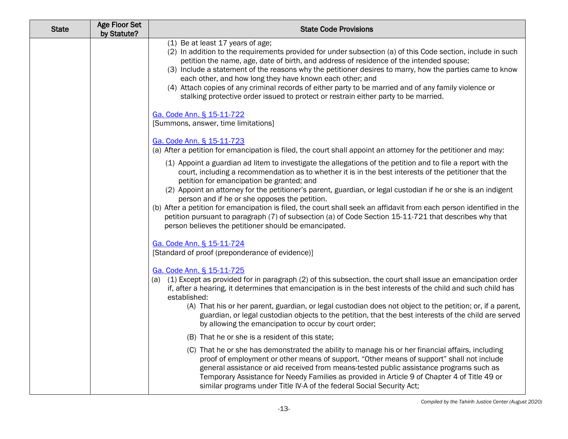| <b>State</b> | <b>Age Floor Set</b><br>by Statute? | <b>State Code Provisions</b>                                                                                                                                                                                                                                                                                                                                                                                                                                                                                                                                                                                       |
|--------------|-------------------------------------|--------------------------------------------------------------------------------------------------------------------------------------------------------------------------------------------------------------------------------------------------------------------------------------------------------------------------------------------------------------------------------------------------------------------------------------------------------------------------------------------------------------------------------------------------------------------------------------------------------------------|
|              |                                     | (1) Be at least 17 years of age;<br>(2) In addition to the requirements provided for under subsection (a) of this Code section, include in such<br>petition the name, age, date of birth, and address of residence of the intended spouse;<br>(3) Include a statement of the reasons why the petitioner desires to marry, how the parties came to know<br>each other, and how long they have known each other; and<br>(4) Attach copies of any criminal records of either party to be married and of any family violence or<br>stalking protective order issued to protect or restrain either party to be married. |
|              |                                     | Ga. Code Ann. § 15-11-722<br>[Summons, answer, time limitations]                                                                                                                                                                                                                                                                                                                                                                                                                                                                                                                                                   |
|              |                                     | Ga. Code Ann. § 15-11-723<br>(a) After a petition for emancipation is filed, the court shall appoint an attorney for the petitioner and may:                                                                                                                                                                                                                                                                                                                                                                                                                                                                       |
|              |                                     | (1) Appoint a guardian ad litem to investigate the allegations of the petition and to file a report with the<br>court, including a recommendation as to whether it is in the best interests of the petitioner that the<br>petition for emancipation be granted; and<br>(2) Appoint an attorney for the petitioner's parent, guardian, or legal custodian if he or she is an indigent                                                                                                                                                                                                                               |
|              |                                     | person and if he or she opposes the petition.<br>(b) After a petition for emancipation is filed, the court shall seek an affidavit from each person identified in the<br>petition pursuant to paragraph (7) of subsection (a) of Code Section 15-11-721 that describes why that<br>person believes the petitioner should be emancipated.                                                                                                                                                                                                                                                                           |
|              |                                     | Ga. Code Ann. § 15-11-724<br>[Standard of proof (preponderance of evidence)]                                                                                                                                                                                                                                                                                                                                                                                                                                                                                                                                       |
|              |                                     | Ga. Code Ann. § 15-11-725<br>(a) (1) Except as provided for in paragraph (2) of this subsection, the court shall issue an emancipation order<br>if, after a hearing, it determines that emancipation is in the best interests of the child and such child has<br>established:<br>(A) That his or her parent, guardian, or legal custodian does not object to the petition; or, if a parent,<br>guardian, or legal custodian objects to the petition, that the best interests of the child are served<br>by allowing the emancipation to occur by court order;                                                      |
|              |                                     | (B) That he or she is a resident of this state;                                                                                                                                                                                                                                                                                                                                                                                                                                                                                                                                                                    |
|              |                                     | (C) That he or she has demonstrated the ability to manage his or her financial affairs, including<br>proof of employment or other means of support. "Other means of support" shall not include<br>general assistance or aid received from means-tested public assistance programs such as<br>Temporary Assistance for Needy Families as provided in Article 9 of Chapter 4 of Title 49 or<br>similar programs under Title IV-A of the federal Social Security Act;                                                                                                                                                 |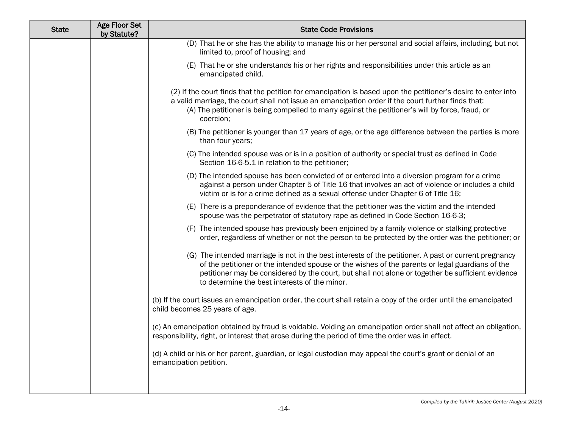| <b>State</b> | Age Floor Set<br>by Statute? | <b>State Code Provisions</b>                                                                                                                                                                                                                                                                                                                                   |
|--------------|------------------------------|----------------------------------------------------------------------------------------------------------------------------------------------------------------------------------------------------------------------------------------------------------------------------------------------------------------------------------------------------------------|
|              |                              | (D) That he or she has the ability to manage his or her personal and social affairs, including, but not<br>limited to, proof of housing; and                                                                                                                                                                                                                   |
|              |                              | (E) That he or she understands his or her rights and responsibilities under this article as an<br>emancipated child.                                                                                                                                                                                                                                           |
|              |                              | (2) If the court finds that the petition for emancipation is based upon the petitioner's desire to enter into<br>a valid marriage, the court shall not issue an emancipation order if the court further finds that:<br>(A) The petitioner is being compelled to marry against the petitioner's will by force, fraud, or<br>coercion;                           |
|              |                              | (B) The petitioner is younger than 17 years of age, or the age difference between the parties is more<br>than four years;                                                                                                                                                                                                                                      |
|              |                              | (C) The intended spouse was or is in a position of authority or special trust as defined in Code<br>Section 16-6-5.1 in relation to the petitioner;                                                                                                                                                                                                            |
|              |                              | (D) The intended spouse has been convicted of or entered into a diversion program for a crime<br>against a person under Chapter 5 of Title 16 that involves an act of violence or includes a child<br>victim or is for a crime defined as a sexual offense under Chapter 6 of Title 16;                                                                        |
|              |                              | (E) There is a preponderance of evidence that the petitioner was the victim and the intended<br>spouse was the perpetrator of statutory rape as defined in Code Section 16-6-3;                                                                                                                                                                                |
|              |                              | (F) The intended spouse has previously been enjoined by a family violence or stalking protective<br>order, regardless of whether or not the person to be protected by the order was the petitioner; or                                                                                                                                                         |
|              |                              | (G) The intended marriage is not in the best interests of the petitioner. A past or current pregnancy<br>of the petitioner or the intended spouse or the wishes of the parents or legal guardians of the<br>petitioner may be considered by the court, but shall not alone or together be sufficient evidence<br>to determine the best interests of the minor. |
|              |                              | (b) If the court issues an emancipation order, the court shall retain a copy of the order until the emancipated<br>child becomes 25 years of age.                                                                                                                                                                                                              |
|              |                              | (c) An emancipation obtained by fraud is voidable. Voiding an emancipation order shall not affect an obligation,<br>responsibility, right, or interest that arose during the period of time the order was in effect.                                                                                                                                           |
|              |                              | (d) A child or his or her parent, guardian, or legal custodian may appeal the court's grant or denial of an<br>emancipation petition.                                                                                                                                                                                                                          |
|              |                              |                                                                                                                                                                                                                                                                                                                                                                |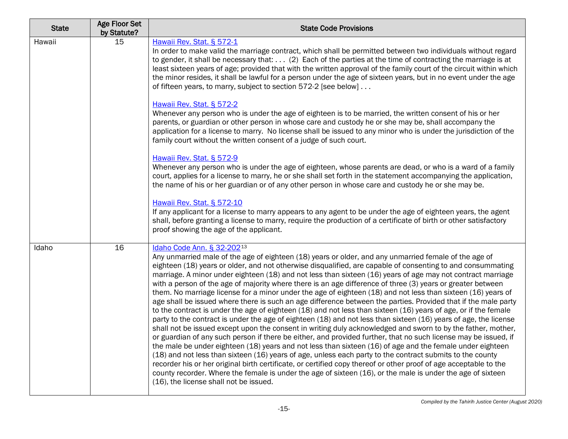| <b>State</b> | Age Floor Set<br>by Statute? | <b>State Code Provisions</b>                                                                                                                                                                                                                                                                                                                                                                                                                                                                                                                                                                                                                                                                                                                                                                                                                                                                                                                                                                                                                                                                                                                                                                                                                                                                                                                                                                                                                                                                                                                                                                                                                                                                         |
|--------------|------------------------------|------------------------------------------------------------------------------------------------------------------------------------------------------------------------------------------------------------------------------------------------------------------------------------------------------------------------------------------------------------------------------------------------------------------------------------------------------------------------------------------------------------------------------------------------------------------------------------------------------------------------------------------------------------------------------------------------------------------------------------------------------------------------------------------------------------------------------------------------------------------------------------------------------------------------------------------------------------------------------------------------------------------------------------------------------------------------------------------------------------------------------------------------------------------------------------------------------------------------------------------------------------------------------------------------------------------------------------------------------------------------------------------------------------------------------------------------------------------------------------------------------------------------------------------------------------------------------------------------------------------------------------------------------------------------------------------------------|
| Hawaii       | 15                           | Hawaii Rev. Stat. § 572-1<br>In order to make valid the marriage contract, which shall be permitted between two individuals without regard<br>to gender, it shall be necessary that: (2) Each of the parties at the time of contracting the marriage is at<br>least sixteen years of age; provided that with the written approval of the family court of the circuit within which<br>the minor resides, it shall be lawful for a person under the age of sixteen years, but in no event under the age<br>of fifteen years, to marry, subject to section 572-2 [see below]                                                                                                                                                                                                                                                                                                                                                                                                                                                                                                                                                                                                                                                                                                                                                                                                                                                                                                                                                                                                                                                                                                                            |
|              |                              | Hawaii Rev. Stat. § 572-2<br>Whenever any person who is under the age of eighteen is to be married, the written consent of his or her<br>parents, or guardian or other person in whose care and custody he or she may be, shall accompany the<br>application for a license to marry. No license shall be issued to any minor who is under the jurisdiction of the<br>family court without the written consent of a judge of such court.                                                                                                                                                                                                                                                                                                                                                                                                                                                                                                                                                                                                                                                                                                                                                                                                                                                                                                                                                                                                                                                                                                                                                                                                                                                              |
|              |                              | Hawaii Rev. Stat. § 572-9<br>Whenever any person who is under the age of eighteen, whose parents are dead, or who is a ward of a family<br>court, applies for a license to marry, he or she shall set forth in the statement accompanying the application,<br>the name of his or her guardian or of any other person in whose care and custody he or she may be.                                                                                                                                                                                                                                                                                                                                                                                                                                                                                                                                                                                                                                                                                                                                                                                                                                                                                                                                                                                                                                                                                                                                                                                                                                                                                                                                     |
|              |                              | Hawaii Rev. Stat. § 572-10<br>If any applicant for a license to marry appears to any agent to be under the age of eighteen years, the agent<br>shall, before granting a license to marry, require the production of a certificate of birth or other satisfactory<br>proof showing the age of the applicant.                                                                                                                                                                                                                                                                                                                                                                                                                                                                                                                                                                                                                                                                                                                                                                                                                                                                                                                                                                                                                                                                                                                                                                                                                                                                                                                                                                                          |
| Idaho        | 16                           | Idaho Code Ann. § 32-20213<br>Any unmarried male of the age of eighteen (18) years or older, and any unmarried female of the age of<br>eighteen (18) years or older, and not otherwise disqualified, are capable of consenting to and consummating<br>marriage. A minor under eighteen (18) and not less than sixteen (16) years of age may not contract marriage<br>with a person of the age of majority where there is an age difference of three (3) years or greater between<br>them. No marriage license for a minor under the age of eighteen (18) and not less than sixteen (16) years of<br>age shall be issued where there is such an age difference between the parties. Provided that if the male party<br>to the contract is under the age of eighteen (18) and not less than sixteen (16) years of age, or if the female<br>party to the contract is under the age of eighteen (18) and not less than sixteen (16) years of age, the license<br>shall not be issued except upon the consent in writing duly acknowledged and sworn to by the father, mother,<br>or guardian of any such person if there be either, and provided further, that no such license may be issued, if<br>the male be under eighteen (18) years and not less than sixteen (16) of age and the female under eighteen<br>(18) and not less than sixteen (16) years of age, unless each party to the contract submits to the county<br>recorder his or her original birth certificate, or certified copy thereof or other proof of age acceptable to the<br>county recorder. Where the female is under the age of sixteen (16), or the male is under the age of sixteen<br>(16), the license shall not be issued. |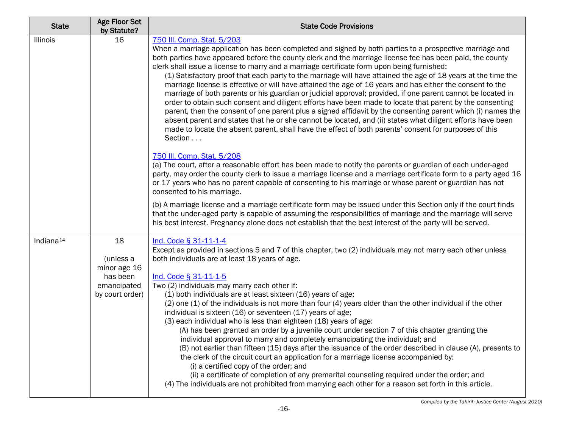| <b>State</b>          | <b>Age Floor Set</b><br>by Statute?                                           | <b>State Code Provisions</b>                                                                                                                                                                                                                                                                                                                                                                                                                                                                                                                                                                                                                                                                                                                                                                                                                                                                                                                                                                                                                                                                                                                                                                                                                                                                                                                                                                                                                                                                                                                                                                                                                                                                                                                                                                                                                                                                                          |
|-----------------------|-------------------------------------------------------------------------------|-----------------------------------------------------------------------------------------------------------------------------------------------------------------------------------------------------------------------------------------------------------------------------------------------------------------------------------------------------------------------------------------------------------------------------------------------------------------------------------------------------------------------------------------------------------------------------------------------------------------------------------------------------------------------------------------------------------------------------------------------------------------------------------------------------------------------------------------------------------------------------------------------------------------------------------------------------------------------------------------------------------------------------------------------------------------------------------------------------------------------------------------------------------------------------------------------------------------------------------------------------------------------------------------------------------------------------------------------------------------------------------------------------------------------------------------------------------------------------------------------------------------------------------------------------------------------------------------------------------------------------------------------------------------------------------------------------------------------------------------------------------------------------------------------------------------------------------------------------------------------------------------------------------------------|
| Illinois              | 16                                                                            | 750 III. Comp. Stat. 5/203<br>When a marriage application has been completed and signed by both parties to a prospective marriage and<br>both parties have appeared before the county clerk and the marriage license fee has been paid, the county<br>clerk shall issue a license to marry and a marriage certificate form upon being furnished:<br>(1) Satisfactory proof that each party to the marriage will have attained the age of 18 years at the time the<br>marriage license is effective or will have attained the age of 16 years and has either the consent to the<br>marriage of both parents or his guardian or judicial approval; provided, if one parent cannot be located in<br>order to obtain such consent and diligent efforts have been made to locate that parent by the consenting<br>parent, then the consent of one parent plus a signed affidavit by the consenting parent which (i) names the<br>absent parent and states that he or she cannot be located, and (ii) states what diligent efforts have been<br>made to locate the absent parent, shall have the effect of both parents' consent for purposes of this<br>Section<br>750 III. Comp. Stat. 5/208<br>(a) The court, after a reasonable effort has been made to notify the parents or guardian of each under-aged<br>party, may order the county clerk to issue a marriage license and a marriage certificate form to a party aged 16<br>or 17 years who has no parent capable of consenting to his marriage or whose parent or guardian has not<br>consented to his marriage.<br>(b) A marriage license and a marriage certificate form may be issued under this Section only if the court finds<br>that the under-aged party is capable of assuming the responsibilities of marriage and the marriage will serve<br>his best interest. Pregnancy alone does not establish that the best interest of the party will be served. |
| Indiana <sup>14</sup> | 18<br>(unless a<br>minor age 16<br>has been<br>emancipated<br>by court order) | Ind. Code § 31-11-1-4<br>Except as provided in sections 5 and 7 of this chapter, two (2) individuals may not marry each other unless<br>both individuals are at least 18 years of age.<br>Ind. Code § 31-11-1-5<br>Two (2) individuals may marry each other if:<br>(1) both individuals are at least sixteen (16) years of age;<br>(2) one (1) of the individuals is not more than four (4) years older than the other individual if the other<br>individual is sixteen (16) or seventeen (17) years of age;<br>(3) each individual who is less than eighteen (18) years of age:<br>(A) has been granted an order by a juvenile court under section 7 of this chapter granting the<br>individual approval to marry and completely emancipating the individual; and<br>(B) not earlier than fifteen (15) days after the issuance of the order described in clause (A), presents to<br>the clerk of the circuit court an application for a marriage license accompanied by:<br>(i) a certified copy of the order; and<br>(ii) a certificate of completion of any premarital counseling required under the order; and<br>(4) The individuals are not prohibited from marrying each other for a reason set forth in this article.                                                                                                                                                                                                                                                                                                                                                                                                                                                                                                                                                                                                                                                                                         |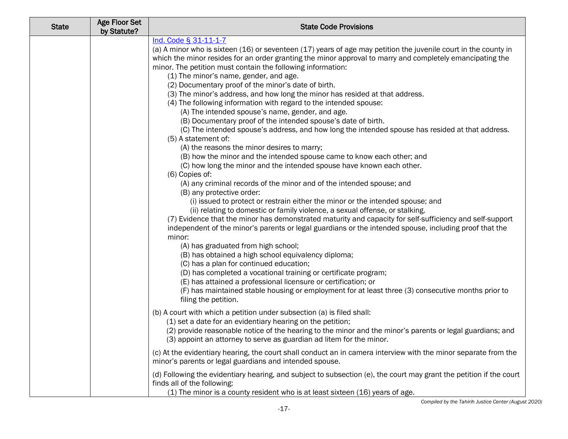| <b>State</b> | <b>Age Floor Set</b><br>by Statute? | <b>State Code Provisions</b>                                                                                                                                                                                                                                                                                                                                                                                                                                                                                                                                                                                                                                                                                                                                                                                                                                                                                                                                                                                                                                                                                                                                                                                                                                                                                                                                                                                                                                                                                                                                                                                                                                                                    |
|--------------|-------------------------------------|-------------------------------------------------------------------------------------------------------------------------------------------------------------------------------------------------------------------------------------------------------------------------------------------------------------------------------------------------------------------------------------------------------------------------------------------------------------------------------------------------------------------------------------------------------------------------------------------------------------------------------------------------------------------------------------------------------------------------------------------------------------------------------------------------------------------------------------------------------------------------------------------------------------------------------------------------------------------------------------------------------------------------------------------------------------------------------------------------------------------------------------------------------------------------------------------------------------------------------------------------------------------------------------------------------------------------------------------------------------------------------------------------------------------------------------------------------------------------------------------------------------------------------------------------------------------------------------------------------------------------------------------------------------------------------------------------|
|              |                                     | Ind. Code § 31-11-1-7<br>(a) A minor who is sixteen (16) or seventeen (17) years of age may petition the juvenile court in the county in<br>which the minor resides for an order granting the minor approval to marry and completely emancipating the<br>minor. The petition must contain the following information:<br>(1) The minor's name, gender, and age.<br>(2) Documentary proof of the minor's date of birth.<br>(3) The minor's address, and how long the minor has resided at that address.<br>(4) The following information with regard to the intended spouse:<br>(A) The intended spouse's name, gender, and age.<br>(B) Documentary proof of the intended spouse's date of birth.<br>(C) The intended spouse's address, and how long the intended spouse has resided at that address.<br>(5) A statement of:<br>(A) the reasons the minor desires to marry;<br>(B) how the minor and the intended spouse came to know each other; and<br>(C) how long the minor and the intended spouse have known each other.<br>(6) Copies of:<br>(A) any criminal records of the minor and of the intended spouse; and<br>(B) any protective order:<br>(i) issued to protect or restrain either the minor or the intended spouse; and<br>(ii) relating to domestic or family violence, a sexual offense, or stalking.<br>(7) Evidence that the minor has demonstrated maturity and capacity for self-sufficiency and self-support<br>independent of the minor's parents or legal guardians or the intended spouse, including proof that the<br>minor:<br>(A) has graduated from high school;<br>(B) has obtained a high school equivalency diploma;<br>(C) has a plan for continued education; |
|              |                                     | (D) has completed a vocational training or certificate program;<br>(E) has attained a professional licensure or certification; or<br>(F) has maintained stable housing or employment for at least three (3) consecutive months prior to<br>filing the petition.                                                                                                                                                                                                                                                                                                                                                                                                                                                                                                                                                                                                                                                                                                                                                                                                                                                                                                                                                                                                                                                                                                                                                                                                                                                                                                                                                                                                                                 |
|              |                                     | (b) A court with which a petition under subsection (a) is filed shall:<br>(1) set a date for an evidentiary hearing on the petition;<br>(2) provide reasonable notice of the hearing to the minor and the minor's parents or legal guardians; and<br>(3) appoint an attorney to serve as guardian ad litem for the minor.                                                                                                                                                                                                                                                                                                                                                                                                                                                                                                                                                                                                                                                                                                                                                                                                                                                                                                                                                                                                                                                                                                                                                                                                                                                                                                                                                                       |
|              |                                     | (c) At the evidentiary hearing, the court shall conduct an in camera interview with the minor separate from the<br>minor's parents or legal guardians and intended spouse.                                                                                                                                                                                                                                                                                                                                                                                                                                                                                                                                                                                                                                                                                                                                                                                                                                                                                                                                                                                                                                                                                                                                                                                                                                                                                                                                                                                                                                                                                                                      |
|              |                                     | (d) Following the evidentiary hearing, and subject to subsection (e), the court may grant the petition if the court<br>finds all of the following:<br>(1) The minor is a county resident who is at least sixteen (16) years of age.                                                                                                                                                                                                                                                                                                                                                                                                                                                                                                                                                                                                                                                                                                                                                                                                                                                                                                                                                                                                                                                                                                                                                                                                                                                                                                                                                                                                                                                             |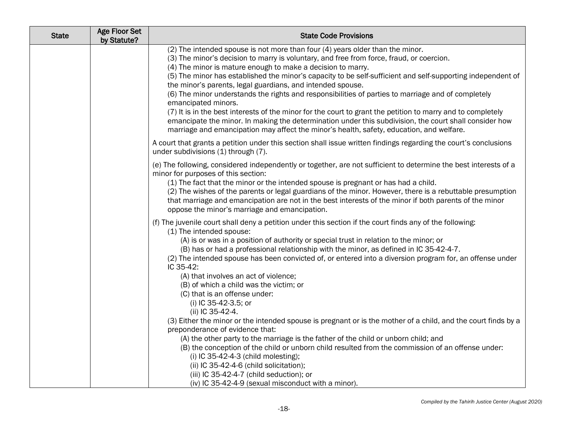| <b>State</b> | <b>Age Floor Set</b><br>by Statute? | <b>State Code Provisions</b>                                                                                                                                                                                                                                                                                                                                                                                                                                                                                                                                                                                                                                                                                                                                                                                                                                            |
|--------------|-------------------------------------|-------------------------------------------------------------------------------------------------------------------------------------------------------------------------------------------------------------------------------------------------------------------------------------------------------------------------------------------------------------------------------------------------------------------------------------------------------------------------------------------------------------------------------------------------------------------------------------------------------------------------------------------------------------------------------------------------------------------------------------------------------------------------------------------------------------------------------------------------------------------------|
|              |                                     | (2) The intended spouse is not more than four (4) years older than the minor.<br>(3) The minor's decision to marry is voluntary, and free from force, fraud, or coercion.<br>(4) The minor is mature enough to make a decision to marry.<br>(5) The minor has established the minor's capacity to be self-sufficient and self-supporting independent of<br>the minor's parents, legal guardians, and intended spouse.<br>(6) The minor understands the rights and responsibilities of parties to marriage and of completely<br>emancipated minors.<br>(7) It is in the best interests of the minor for the court to grant the petition to marry and to completely<br>emancipate the minor. In making the determination under this subdivision, the court shall consider how<br>marriage and emancipation may affect the minor's health, safety, education, and welfare. |
|              |                                     | A court that grants a petition under this section shall issue written findings regarding the court's conclusions<br>under subdivisions (1) through (7).                                                                                                                                                                                                                                                                                                                                                                                                                                                                                                                                                                                                                                                                                                                 |
|              |                                     | (e) The following, considered independently or together, are not sufficient to determine the best interests of a<br>minor for purposes of this section:<br>(1) The fact that the minor or the intended spouse is pregnant or has had a child.<br>(2) The wishes of the parents or legal guardians of the minor. However, there is a rebuttable presumption<br>that marriage and emancipation are not in the best interests of the minor if both parents of the minor<br>oppose the minor's marriage and emancipation.                                                                                                                                                                                                                                                                                                                                                   |
|              |                                     | (f) The juvenile court shall deny a petition under this section if the court finds any of the following:<br>(1) The intended spouse:<br>(A) is or was in a position of authority or special trust in relation to the minor; or<br>(B) has or had a professional relationship with the minor, as defined in IC 35-42-4-7.<br>(2) The intended spouse has been convicted of, or entered into a diversion program for, an offense under<br>IC 35-42:<br>(A) that involves an act of violence;<br>(B) of which a child was the victim; or<br>(C) that is an offense under:<br>(i) IC 35-42-3.5; or<br>(ii) IC 35-42-4.                                                                                                                                                                                                                                                      |
|              |                                     | (3) Either the minor or the intended spouse is pregnant or is the mother of a child, and the court finds by a<br>preponderance of evidence that:<br>(A) the other party to the marriage is the father of the child or unborn child; and<br>(B) the conception of the child or unborn child resulted from the commission of an offense under:<br>(i) IC 35-42-4-3 (child molesting);<br>(ii) IC 35-42-4-6 (child solicitation);<br>(iii) IC 35-42-4-7 (child seduction); or<br>(iv) IC 35-42-4-9 (sexual misconduct with a minor).                                                                                                                                                                                                                                                                                                                                       |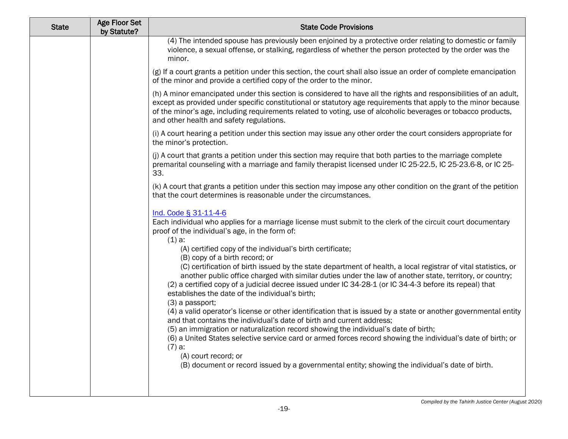| <b>State</b> | <b>Age Floor Set</b><br>by Statute? | <b>State Code Provisions</b>                                                                                                                                                                                                                                                                                                                                                                                                                    |
|--------------|-------------------------------------|-------------------------------------------------------------------------------------------------------------------------------------------------------------------------------------------------------------------------------------------------------------------------------------------------------------------------------------------------------------------------------------------------------------------------------------------------|
|              |                                     | (4) The intended spouse has previously been enjoined by a protective order relating to domestic or family<br>violence, a sexual offense, or stalking, regardless of whether the person protected by the order was the<br>minor.                                                                                                                                                                                                                 |
|              |                                     | (g) If a court grants a petition under this section, the court shall also issue an order of complete emancipation<br>of the minor and provide a certified copy of the order to the minor.                                                                                                                                                                                                                                                       |
|              |                                     | (h) A minor emancipated under this section is considered to have all the rights and responsibilities of an adult,<br>except as provided under specific constitutional or statutory age requirements that apply to the minor because<br>of the minor's age, including requirements related to voting, use of alcoholic beverages or tobacco products,<br>and other health and safety regulations.                                                |
|              |                                     | (i) A court hearing a petition under this section may issue any other order the court considers appropriate for<br>the minor's protection.                                                                                                                                                                                                                                                                                                      |
|              |                                     | (j) A court that grants a petition under this section may require that both parties to the marriage complete<br>premarital counseling with a marriage and family therapist licensed under IC 25-22.5, IC 25-23.6-8, or IC 25-<br>33.                                                                                                                                                                                                            |
|              |                                     | (k) A court that grants a petition under this section may impose any other condition on the grant of the petition<br>that the court determines is reasonable under the circumstances.                                                                                                                                                                                                                                                           |
|              |                                     | Ind. Code § 31-11-4-6<br>Each individual who applies for a marriage license must submit to the clerk of the circuit court documentary<br>proof of the individual's age, in the form of:<br>$(1)$ a:<br>(A) certified copy of the individual's birth certificate;                                                                                                                                                                                |
|              |                                     | (B) copy of a birth record; or<br>(C) certification of birth issued by the state department of health, a local registrar of vital statistics, or<br>another public office charged with similar duties under the law of another state, territory, or country;<br>(2) a certified copy of a judicial decree issued under IC 34-28-1 (or IC 34-4-3 before its repeal) that<br>establishes the date of the individual's birth;<br>$(3)$ a passport; |
|              |                                     | (4) a valid operator's license or other identification that is issued by a state or another governmental entity<br>and that contains the individual's date of birth and current address;<br>(5) an immigration or naturalization record showing the individual's date of birth;<br>(6) a United States selective service card or armed forces record showing the individual's date of birth; or<br>$(7)$ a:<br>(A) court record; or             |
|              |                                     | (B) document or record issued by a governmental entity; showing the individual's date of birth.                                                                                                                                                                                                                                                                                                                                                 |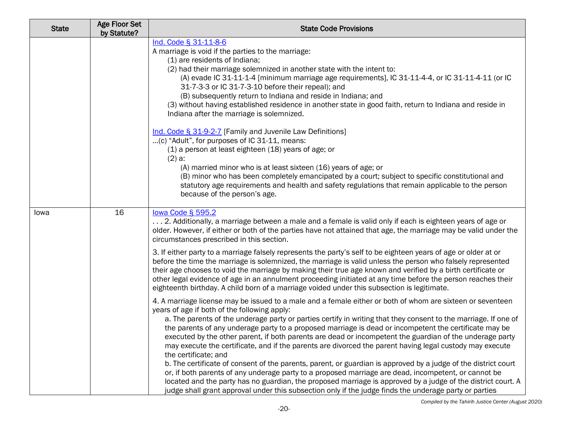| <b>State</b> | <b>Age Floor Set</b><br>by Statute? | <b>State Code Provisions</b>                                                                                                                                                                                                                                                                                                                                                                                                                                                                                                                                                                                                                                                                                                                                                                                                                                                                                                                                                                                                                                                                |
|--------------|-------------------------------------|---------------------------------------------------------------------------------------------------------------------------------------------------------------------------------------------------------------------------------------------------------------------------------------------------------------------------------------------------------------------------------------------------------------------------------------------------------------------------------------------------------------------------------------------------------------------------------------------------------------------------------------------------------------------------------------------------------------------------------------------------------------------------------------------------------------------------------------------------------------------------------------------------------------------------------------------------------------------------------------------------------------------------------------------------------------------------------------------|
|              |                                     | Ind. Code § 31-11-8-6<br>A marriage is void if the parties to the marriage:<br>(1) are residents of Indiana;<br>(2) had their marriage solemnized in another state with the intent to:<br>(A) evade IC 31-11-1-4 [minimum marriage age requirements], IC 31-11-4-4, or IC 31-11-4-11 (or IC<br>31-7-3-3 or IC 31-7-3-10 before their repeal); and<br>(B) subsequently return to Indiana and reside in Indiana; and<br>(3) without having established residence in another state in good faith, return to Indiana and reside in<br>Indiana after the marriage is solemnized.                                                                                                                                                                                                                                                                                                                                                                                                                                                                                                                 |
|              |                                     | Ind. Code § 31-9-2-7 [Family and Juvenile Law Definitions]<br>(c) "Adult", for purposes of IC 31-11, means:<br>(1) a person at least eighteen (18) years of age; or<br>$(2)$ a:<br>(A) married minor who is at least sixteen (16) years of age; or<br>(B) minor who has been completely emancipated by a court; subject to specific constitutional and<br>statutory age requirements and health and safety regulations that remain applicable to the person<br>because of the person's age.                                                                                                                                                                                                                                                                                                                                                                                                                                                                                                                                                                                                 |
| lowa         | 16                                  | lowa Code § 595.2<br>2. Additionally, a marriage between a male and a female is valid only if each is eighteen years of age or<br>older. However, if either or both of the parties have not attained that age, the marriage may be valid under the<br>circumstances prescribed in this section.<br>3. If either party to a marriage falsely represents the party's self to be eighteen years of age or older at or                                                                                                                                                                                                                                                                                                                                                                                                                                                                                                                                                                                                                                                                          |
|              |                                     | before the time the marriage is solemnized, the marriage is valid unless the person who falsely represented<br>their age chooses to void the marriage by making their true age known and verified by a birth certificate or<br>other legal evidence of age in an annulment proceeding initiated at any time before the person reaches their<br>eighteenth birthday. A child born of a marriage voided under this subsection is legitimate.                                                                                                                                                                                                                                                                                                                                                                                                                                                                                                                                                                                                                                                  |
|              |                                     | 4. A marriage license may be issued to a male and a female either or both of whom are sixteen or seventeen<br>years of age if both of the following apply:<br>a. The parents of the underage party or parties certify in writing that they consent to the marriage. If one of<br>the parents of any underage party to a proposed marriage is dead or incompetent the certificate may be<br>executed by the other parent, if both parents are dead or incompetent the guardian of the underage party<br>may execute the certificate, and if the parents are divorced the parent having legal custody may execute<br>the certificate; and<br>b. The certificate of consent of the parents, parent, or guardian is approved by a judge of the district court<br>or, if both parents of any underage party to a proposed marriage are dead, incompetent, or cannot be<br>located and the party has no guardian, the proposed marriage is approved by a judge of the district court. A<br>judge shall grant approval under this subsection only if the judge finds the underage party or parties |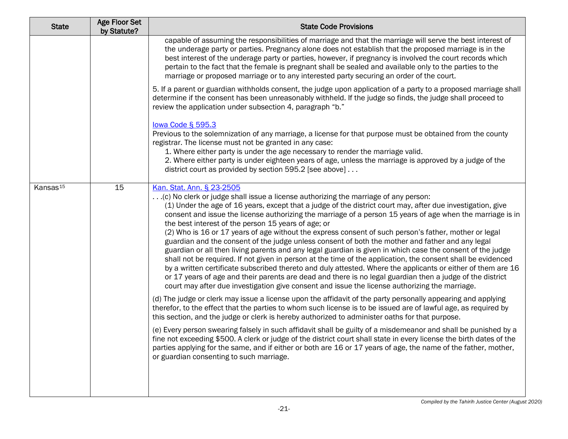| <b>State</b>         | <b>Age Floor Set</b><br>by Statute? | <b>State Code Provisions</b>                                                                                                                                                                                                                                                                                                                                                                                                                                                                                                                                                                                                                                                                                                                                                                                                                                                                                                                                                                                                                                                                                                                                                   |
|----------------------|-------------------------------------|--------------------------------------------------------------------------------------------------------------------------------------------------------------------------------------------------------------------------------------------------------------------------------------------------------------------------------------------------------------------------------------------------------------------------------------------------------------------------------------------------------------------------------------------------------------------------------------------------------------------------------------------------------------------------------------------------------------------------------------------------------------------------------------------------------------------------------------------------------------------------------------------------------------------------------------------------------------------------------------------------------------------------------------------------------------------------------------------------------------------------------------------------------------------------------|
|                      |                                     | capable of assuming the responsibilities of marriage and that the marriage will serve the best interest of<br>the underage party or parties. Pregnancy alone does not establish that the proposed marriage is in the<br>best interest of the underage party or parties, however, if pregnancy is involved the court records which<br>pertain to the fact that the female is pregnant shall be sealed and available only to the parties to the<br>marriage or proposed marriage or to any interested party securing an order of the court.                                                                                                                                                                                                                                                                                                                                                                                                                                                                                                                                                                                                                                      |
|                      |                                     | 5. If a parent or guardian withholds consent, the judge upon application of a party to a proposed marriage shall<br>determine if the consent has been unreasonably withheld. If the judge so finds, the judge shall proceed to<br>review the application under subsection 4, paragraph "b."                                                                                                                                                                                                                                                                                                                                                                                                                                                                                                                                                                                                                                                                                                                                                                                                                                                                                    |
|                      |                                     | lowa Code § 595.3<br>Previous to the solemnization of any marriage, a license for that purpose must be obtained from the county<br>registrar. The license must not be granted in any case:<br>1. Where either party is under the age necessary to render the marriage valid.<br>2. Where either party is under eighteen years of age, unless the marriage is approved by a judge of the<br>district court as provided by section 595.2 [see above]                                                                                                                                                                                                                                                                                                                                                                                                                                                                                                                                                                                                                                                                                                                             |
| Kansas <sup>15</sup> | 15                                  | Kan. Stat. Ann. § 23-2505<br>(c) No clerk or judge shall issue a license authorizing the marriage of any person:<br>(1) Under the age of 16 years, except that a judge of the district court may, after due investigation, give<br>consent and issue the license authorizing the marriage of a person 15 years of age when the marriage is in<br>the best interest of the person 15 years of age; or<br>(2) Who is 16 or 17 years of age without the express consent of such person's father, mother or legal<br>guardian and the consent of the judge unless consent of both the mother and father and any legal<br>guardian or all then living parents and any legal guardian is given in which case the consent of the judge<br>shall not be required. If not given in person at the time of the application, the consent shall be evidenced<br>by a written certificate subscribed thereto and duly attested. Where the applicants or either of them are 16<br>or 17 years of age and their parents are dead and there is no legal guardian then a judge of the district<br>court may after due investigation give consent and issue the license authorizing the marriage. |
|                      |                                     | (d) The judge or clerk may issue a license upon the affidavit of the party personally appearing and applying<br>therefor, to the effect that the parties to whom such license is to be issued are of lawful age, as required by<br>this section, and the judge or clerk is hereby authorized to administer oaths for that purpose.                                                                                                                                                                                                                                                                                                                                                                                                                                                                                                                                                                                                                                                                                                                                                                                                                                             |
|                      |                                     | (e) Every person swearing falsely in such affidavit shall be guilty of a misdemeanor and shall be punished by a<br>fine not exceeding \$500. A clerk or judge of the district court shall state in every license the birth dates of the<br>parties applying for the same, and if either or both are 16 or 17 years of age, the name of the father, mother,<br>or guardian consenting to such marriage.                                                                                                                                                                                                                                                                                                                                                                                                                                                                                                                                                                                                                                                                                                                                                                         |
|                      |                                     |                                                                                                                                                                                                                                                                                                                                                                                                                                                                                                                                                                                                                                                                                                                                                                                                                                                                                                                                                                                                                                                                                                                                                                                |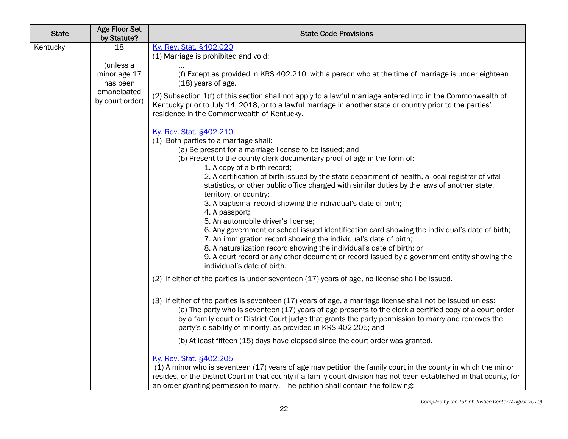| <b>State</b> | Age Floor Set<br>by Statute?                                                  | <b>State Code Provisions</b>                                                                                                                                                                                                                                                                                                                                                                                                                                                                                                                                                                                                                                                                                                                                                                                                                                                                                                                                                                                                                                                                                                                                                                                                                                                                                                                                                                                                                                                                                                                               |
|--------------|-------------------------------------------------------------------------------|------------------------------------------------------------------------------------------------------------------------------------------------------------------------------------------------------------------------------------------------------------------------------------------------------------------------------------------------------------------------------------------------------------------------------------------------------------------------------------------------------------------------------------------------------------------------------------------------------------------------------------------------------------------------------------------------------------------------------------------------------------------------------------------------------------------------------------------------------------------------------------------------------------------------------------------------------------------------------------------------------------------------------------------------------------------------------------------------------------------------------------------------------------------------------------------------------------------------------------------------------------------------------------------------------------------------------------------------------------------------------------------------------------------------------------------------------------------------------------------------------------------------------------------------------------|
| Kentucky     | 18<br>(unless a<br>minor age 17<br>has been<br>emancipated<br>by court order) | Ky. Rev. Stat. §402.020<br>(1) Marriage is prohibited and void:<br>(f) Except as provided in KRS 402.210, with a person who at the time of marriage is under eighteen<br>$(18)$ years of age.<br>(2) Subsection 1(f) of this section shall not apply to a lawful marriage entered into in the Commonwealth of<br>Kentucky prior to July 14, 2018, or to a lawful marriage in another state or country prior to the parties'<br>residence in the Commonwealth of Kentucky.<br>Ky. Rev. Stat. §402.210<br>(1) Both parties to a marriage shall:<br>(a) Be present for a marriage license to be issued; and<br>(b) Present to the county clerk documentary proof of age in the form of:<br>1. A copy of a birth record;<br>2. A certification of birth issued by the state department of health, a local registrar of vital<br>statistics, or other public office charged with similar duties by the laws of another state,<br>territory, or country;<br>3. A baptismal record showing the individual's date of birth;<br>4. A passport;<br>5. An automobile driver's license;<br>6. Any government or school issued identification card showing the individual's date of birth;<br>7. An immigration record showing the individual's date of birth;<br>8. A naturalization record showing the individual's date of birth; or<br>9. A court record or any other document or record issued by a government entity showing the<br>individual's date of birth.<br>(2) If either of the parties is under seventeen (17) years of age, no license shall be issued. |
|              |                                                                               | (3) If either of the parties is seventeen (17) years of age, a marriage license shall not be issued unless:<br>(a) The party who is seventeen (17) years of age presents to the clerk a certified copy of a court order<br>by a family court or District Court judge that grants the party permission to marry and removes the<br>party's disability of minority, as provided in KRS 402.205; and<br>(b) At least fifteen (15) days have elapsed since the court order was granted.<br>Ky. Rev. Stat. §402.205<br>(1) A minor who is seventeen (17) years of age may petition the family court in the county in which the minor<br>resides, or the District Court in that county if a family court division has not been established in that county, for<br>an order granting permission to marry. The petition shall contain the following:                                                                                                                                                                                                                                                                                                                                                                                                                                                                                                                                                                                                                                                                                                               |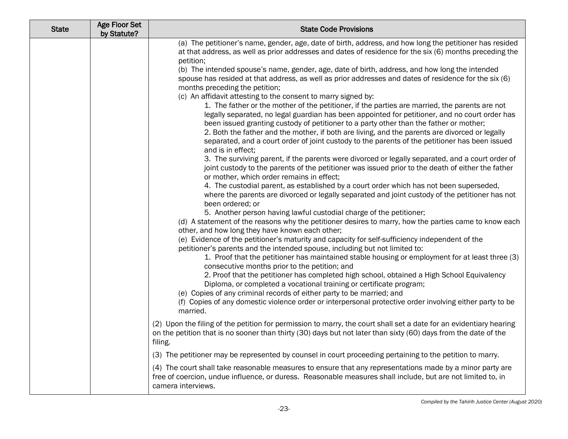| <b>State</b> | <b>Age Floor Set</b><br>by Statute? | <b>State Code Provisions</b>                                                                                                                                                                                                                                                                                                                                                                                                                                                                                                                                                                                                                                                                                                                      |
|--------------|-------------------------------------|---------------------------------------------------------------------------------------------------------------------------------------------------------------------------------------------------------------------------------------------------------------------------------------------------------------------------------------------------------------------------------------------------------------------------------------------------------------------------------------------------------------------------------------------------------------------------------------------------------------------------------------------------------------------------------------------------------------------------------------------------|
|              |                                     | (a) The petitioner's name, gender, age, date of birth, address, and how long the petitioner has resided<br>at that address, as well as prior addresses and dates of residence for the six (6) months preceding the<br>petition;<br>(b) The intended spouse's name, gender, age, date of birth, address, and how long the intended<br>spouse has resided at that address, as well as prior addresses and dates of residence for the six (6)<br>months preceding the petition;<br>(c) An affidavit attesting to the consent to marry signed by:<br>1. The father or the mother of the petitioner, if the parties are married, the parents are not<br>legally separated, no legal guardian has been appointed for petitioner, and no court order has |
|              |                                     | been issued granting custody of petitioner to a party other than the father or mother;<br>2. Both the father and the mother, if both are living, and the parents are divorced or legally<br>separated, and a court order of joint custody to the parents of the petitioner has been issued<br>and is in effect;                                                                                                                                                                                                                                                                                                                                                                                                                                   |
|              |                                     | 3. The surviving parent, if the parents were divorced or legally separated, and a court order of<br>joint custody to the parents of the petitioner was issued prior to the death of either the father<br>or mother, which order remains in effect;                                                                                                                                                                                                                                                                                                                                                                                                                                                                                                |
|              |                                     | 4. The custodial parent, as established by a court order which has not been superseded,<br>where the parents are divorced or legally separated and joint custody of the petitioner has not<br>been ordered; or                                                                                                                                                                                                                                                                                                                                                                                                                                                                                                                                    |
|              |                                     | 5. Another person having lawful custodial charge of the petitioner;<br>(d) A statement of the reasons why the petitioner desires to marry, how the parties came to know each<br>other, and how long they have known each other;                                                                                                                                                                                                                                                                                                                                                                                                                                                                                                                   |
|              |                                     | (e) Evidence of the petitioner's maturity and capacity for self-sufficiency independent of the<br>petitioner's parents and the intended spouse, including but not limited to:<br>1. Proof that the petitioner has maintained stable housing or employment for at least three (3)<br>consecutive months prior to the petition; and                                                                                                                                                                                                                                                                                                                                                                                                                 |
|              |                                     | 2. Proof that the petitioner has completed high school, obtained a High School Equivalency<br>Diploma, or completed a vocational training or certificate program;<br>(e) Copies of any criminal records of either party to be married; and<br>(f) Copies of any domestic violence order or interpersonal protective order involving either party to be                                                                                                                                                                                                                                                                                                                                                                                            |
|              |                                     | married.                                                                                                                                                                                                                                                                                                                                                                                                                                                                                                                                                                                                                                                                                                                                          |
|              |                                     | (2) Upon the filing of the petition for permission to marry, the court shall set a date for an evidentiary hearing<br>on the petition that is no sooner than thirty (30) days but not later than sixty (60) days from the date of the<br>filing.                                                                                                                                                                                                                                                                                                                                                                                                                                                                                                  |
|              |                                     | (3) The petitioner may be represented by counsel in court proceeding pertaining to the petition to marry.                                                                                                                                                                                                                                                                                                                                                                                                                                                                                                                                                                                                                                         |
|              |                                     | (4) The court shall take reasonable measures to ensure that any representations made by a minor party are<br>free of coercion, undue influence, or duress. Reasonable measures shall include, but are not limited to, in<br>camera interviews.                                                                                                                                                                                                                                                                                                                                                                                                                                                                                                    |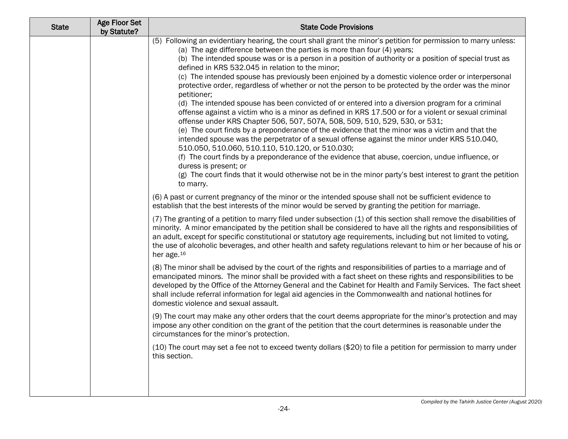| <b>State</b> | <b>Age Floor Set</b><br>by Statute? | <b>State Code Provisions</b>                                                                                                                                                                                                                                                                                                                                                                                                                                                                                                                                                                                                                                                                                                                                                                                                                                                                                                                                                                                                                                                                                                                                                                                                                                                                                                                                                                     |
|--------------|-------------------------------------|--------------------------------------------------------------------------------------------------------------------------------------------------------------------------------------------------------------------------------------------------------------------------------------------------------------------------------------------------------------------------------------------------------------------------------------------------------------------------------------------------------------------------------------------------------------------------------------------------------------------------------------------------------------------------------------------------------------------------------------------------------------------------------------------------------------------------------------------------------------------------------------------------------------------------------------------------------------------------------------------------------------------------------------------------------------------------------------------------------------------------------------------------------------------------------------------------------------------------------------------------------------------------------------------------------------------------------------------------------------------------------------------------|
|              |                                     | (5) Following an evidentiary hearing, the court shall grant the minor's petition for permission to marry unless:<br>(a) The age difference between the parties is more than four (4) years;<br>(b) The intended spouse was or is a person in a position of authority or a position of special trust as<br>defined in KRS 532.045 in relation to the minor;<br>(c) The intended spouse has previously been enjoined by a domestic violence order or interpersonal<br>protective order, regardless of whether or not the person to be protected by the order was the minor<br>petitioner;<br>(d) The intended spouse has been convicted of or entered into a diversion program for a criminal<br>offense against a victim who is a minor as defined in KRS 17.500 or for a violent or sexual criminal<br>offense under KRS Chapter 506, 507, 507A, 508, 509, 510, 529, 530, or 531;<br>(e) The court finds by a preponderance of the evidence that the minor was a victim and that the<br>intended spouse was the perpetrator of a sexual offense against the minor under KRS 510.040,<br>510.050, 510.060, 510.110, 510.120, or 510.030;<br>(f) The court finds by a preponderance of the evidence that abuse, coercion, undue influence, or<br>duress is present; or<br>(g) The court finds that it would otherwise not be in the minor party's best interest to grant the petition<br>to marry. |
|              |                                     | (6) A past or current pregnancy of the minor or the intended spouse shall not be sufficient evidence to<br>establish that the best interests of the minor would be served by granting the petition for marriage.                                                                                                                                                                                                                                                                                                                                                                                                                                                                                                                                                                                                                                                                                                                                                                                                                                                                                                                                                                                                                                                                                                                                                                                 |
|              |                                     | (7) The granting of a petition to marry filed under subsection (1) of this section shall remove the disabilities of<br>minority. A minor emancipated by the petition shall be considered to have all the rights and responsibilities of<br>an adult, except for specific constitutional or statutory age requirements, including but not limited to voting,<br>the use of alcoholic beverages, and other health and safety regulations relevant to him or her because of his or<br>her age. <sup>16</sup>                                                                                                                                                                                                                                                                                                                                                                                                                                                                                                                                                                                                                                                                                                                                                                                                                                                                                        |
|              |                                     | (8) The minor shall be advised by the court of the rights and responsibilities of parties to a marriage and of<br>emancipated minors. The minor shall be provided with a fact sheet on these rights and responsibilities to be<br>developed by the Office of the Attorney General and the Cabinet for Health and Family Services. The fact sheet<br>shall include referral information for legal aid agencies in the Commonwealth and national hotlines for<br>domestic violence and sexual assault.                                                                                                                                                                                                                                                                                                                                                                                                                                                                                                                                                                                                                                                                                                                                                                                                                                                                                             |
|              |                                     | (9) The court may make any other orders that the court deems appropriate for the minor's protection and may<br>impose any other condition on the grant of the petition that the court determines is reasonable under the<br>circumstances for the minor's protection.                                                                                                                                                                                                                                                                                                                                                                                                                                                                                                                                                                                                                                                                                                                                                                                                                                                                                                                                                                                                                                                                                                                            |
|              |                                     | (10) The court may set a fee not to exceed twenty dollars (\$20) to file a petition for permission to marry under<br>this section.                                                                                                                                                                                                                                                                                                                                                                                                                                                                                                                                                                                                                                                                                                                                                                                                                                                                                                                                                                                                                                                                                                                                                                                                                                                               |
|              |                                     |                                                                                                                                                                                                                                                                                                                                                                                                                                                                                                                                                                                                                                                                                                                                                                                                                                                                                                                                                                                                                                                                                                                                                                                                                                                                                                                                                                                                  |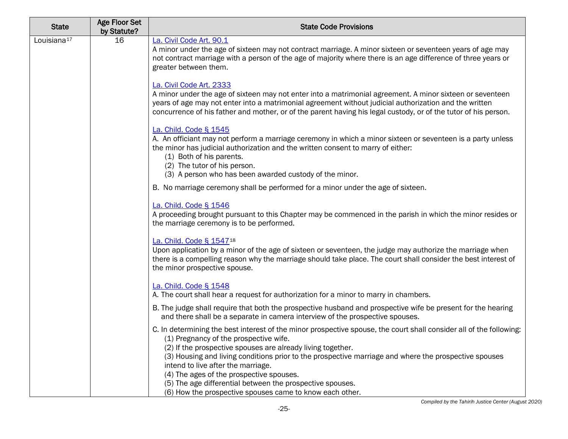| 16 | La. Civil Code Art. 90.1<br>A minor under the age of sixteen may not contract marriage. A minor sixteen or seventeen years of age may<br>not contract marriage with a person of the age of majority where there is an age difference of three years or<br>greater between them.                                                                                                                                                                                                                                                                  |
|----|--------------------------------------------------------------------------------------------------------------------------------------------------------------------------------------------------------------------------------------------------------------------------------------------------------------------------------------------------------------------------------------------------------------------------------------------------------------------------------------------------------------------------------------------------|
|    |                                                                                                                                                                                                                                                                                                                                                                                                                                                                                                                                                  |
|    | La. Civil Code Art. 2333<br>A minor under the age of sixteen may not enter into a matrimonial agreement. A minor sixteen or seventeen<br>years of age may not enter into a matrimonial agreement without judicial authorization and the written<br>concurrence of his father and mother, or of the parent having his legal custody, or of the tutor of his person.                                                                                                                                                                               |
|    | La. Child. Code § 1545<br>A. An officiant may not perform a marriage ceremony in which a minor sixteen or seventeen is a party unless<br>the minor has judicial authorization and the written consent to marry of either:<br>(1) Both of his parents.<br>(2) The tutor of his person.                                                                                                                                                                                                                                                            |
|    | (3) A person who has been awarded custody of the minor.                                                                                                                                                                                                                                                                                                                                                                                                                                                                                          |
|    | B. No marriage ceremony shall be performed for a minor under the age of sixteen.                                                                                                                                                                                                                                                                                                                                                                                                                                                                 |
|    | La. Child. Code § 1546<br>A proceeding brought pursuant to this Chapter may be commenced in the parish in which the minor resides or<br>the marriage ceremony is to be performed.                                                                                                                                                                                                                                                                                                                                                                |
|    | La. Child. Code § 1547 <sup>18</sup><br>Upon application by a minor of the age of sixteen or seventeen, the judge may authorize the marriage when<br>there is a compelling reason why the marriage should take place. The court shall consider the best interest of<br>the minor prospective spouse.                                                                                                                                                                                                                                             |
|    | La. Child. Code § 1548<br>A. The court shall hear a request for authorization for a minor to marry in chambers.                                                                                                                                                                                                                                                                                                                                                                                                                                  |
|    | B. The judge shall require that both the prospective husband and prospective wife be present for the hearing<br>and there shall be a separate in camera interview of the prospective spouses.                                                                                                                                                                                                                                                                                                                                                    |
|    | C. In determining the best interest of the minor prospective spouse, the court shall consider all of the following:<br>(1) Pregnancy of the prospective wife.<br>(2) If the prospective spouses are already living together.<br>(3) Housing and living conditions prior to the prospective marriage and where the prospective spouses<br>intend to live after the marriage.<br>(4) The ages of the prospective spouses.<br>(5) The age differential between the prospective spouses.<br>(6) How the prospective spouses came to know each other. |
|    |                                                                                                                                                                                                                                                                                                                                                                                                                                                                                                                                                  |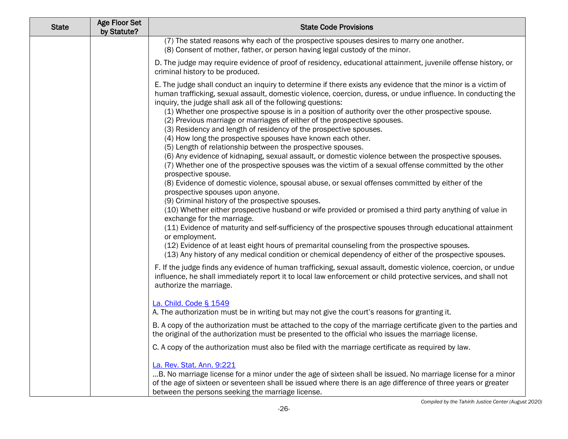| <b>State</b> | <b>Age Floor Set</b><br>by Statute? | <b>State Code Provisions</b>                                                                                                                                                                                                                                                                                                                                                                                                                                                                                                                                                                                                                                                                                                                                                                                                                                                                                                                                                                                                                                                                                                                                                                                                                                                                                                                                                                                                                                                                                                                                                                            |
|--------------|-------------------------------------|---------------------------------------------------------------------------------------------------------------------------------------------------------------------------------------------------------------------------------------------------------------------------------------------------------------------------------------------------------------------------------------------------------------------------------------------------------------------------------------------------------------------------------------------------------------------------------------------------------------------------------------------------------------------------------------------------------------------------------------------------------------------------------------------------------------------------------------------------------------------------------------------------------------------------------------------------------------------------------------------------------------------------------------------------------------------------------------------------------------------------------------------------------------------------------------------------------------------------------------------------------------------------------------------------------------------------------------------------------------------------------------------------------------------------------------------------------------------------------------------------------------------------------------------------------------------------------------------------------|
|              |                                     | (7) The stated reasons why each of the prospective spouses desires to marry one another.<br>(8) Consent of mother, father, or person having legal custody of the minor.                                                                                                                                                                                                                                                                                                                                                                                                                                                                                                                                                                                                                                                                                                                                                                                                                                                                                                                                                                                                                                                                                                                                                                                                                                                                                                                                                                                                                                 |
|              |                                     | D. The judge may require evidence of proof of residency, educational attainment, juvenile offense history, or<br>criminal history to be produced.                                                                                                                                                                                                                                                                                                                                                                                                                                                                                                                                                                                                                                                                                                                                                                                                                                                                                                                                                                                                                                                                                                                                                                                                                                                                                                                                                                                                                                                       |
|              |                                     | E. The judge shall conduct an inquiry to determine if there exists any evidence that the minor is a victim of<br>human trafficking, sexual assault, domestic violence, coercion, duress, or undue influence. In conducting the<br>inquiry, the judge shall ask all of the following questions:<br>(1) Whether one prospective spouse is in a position of authority over the other prospective spouse.<br>(2) Previous marriage or marriages of either of the prospective spouses.<br>(3) Residency and length of residency of the prospective spouses.<br>(4) How long the prospective spouses have known each other.<br>(5) Length of relationship between the prospective spouses.<br>(6) Any evidence of kidnaping, sexual assault, or domestic violence between the prospective spouses.<br>(7) Whether one of the prospective spouses was the victim of a sexual offense committed by the other<br>prospective spouse.<br>(8) Evidence of domestic violence, spousal abuse, or sexual offenses committed by either of the<br>prospective spouses upon anyone.<br>(9) Criminal history of the prospective spouses.<br>(10) Whether either prospective husband or wife provided or promised a third party anything of value in<br>exchange for the marriage.<br>(11) Evidence of maturity and self-sufficiency of the prospective spouses through educational attainment<br>or employment.<br>(12) Evidence of at least eight hours of premarital counseling from the prospective spouses.<br>(13) Any history of any medical condition or chemical dependency of either of the prospective spouses. |
|              |                                     | F. If the judge finds any evidence of human trafficking, sexual assault, domestic violence, coercion, or undue<br>influence, he shall immediately report it to local law enforcement or child protective services, and shall not<br>authorize the marriage.                                                                                                                                                                                                                                                                                                                                                                                                                                                                                                                                                                                                                                                                                                                                                                                                                                                                                                                                                                                                                                                                                                                                                                                                                                                                                                                                             |
|              |                                     | La. Child. Code § 1549<br>A. The authorization must be in writing but may not give the court's reasons for granting it.                                                                                                                                                                                                                                                                                                                                                                                                                                                                                                                                                                                                                                                                                                                                                                                                                                                                                                                                                                                                                                                                                                                                                                                                                                                                                                                                                                                                                                                                                 |
|              |                                     | B. A copy of the authorization must be attached to the copy of the marriage certificate given to the parties and<br>the original of the authorization must be presented to the official who issues the marriage license.                                                                                                                                                                                                                                                                                                                                                                                                                                                                                                                                                                                                                                                                                                                                                                                                                                                                                                                                                                                                                                                                                                                                                                                                                                                                                                                                                                                |
|              |                                     | C. A copy of the authorization must also be filed with the marriage certificate as required by law.                                                                                                                                                                                                                                                                                                                                                                                                                                                                                                                                                                                                                                                                                                                                                                                                                                                                                                                                                                                                                                                                                                                                                                                                                                                                                                                                                                                                                                                                                                     |
|              |                                     | La. Rev. Stat. Ann. 9:221<br>B. No marriage license for a minor under the age of sixteen shall be issued. No marriage license for a minor<br>of the age of sixteen or seventeen shall be issued where there is an age difference of three years or greater<br>between the persons seeking the marriage license.                                                                                                                                                                                                                                                                                                                                                                                                                                                                                                                                                                                                                                                                                                                                                                                                                                                                                                                                                                                                                                                                                                                                                                                                                                                                                         |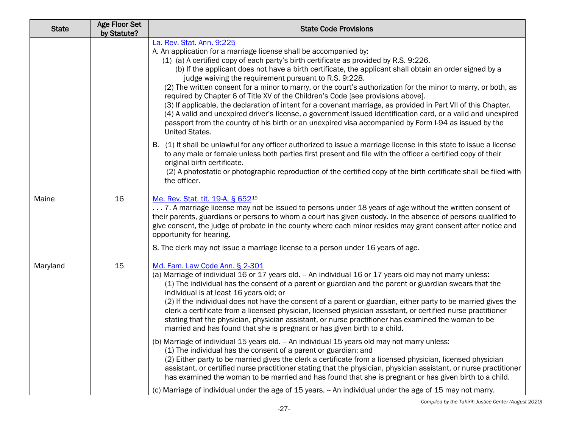| <b>State</b> | <b>Age Floor Set</b><br>by Statute? | <b>State Code Provisions</b>                                                                                                                                                                                                                                                                                                                                                                                                                                                                                                                                                                                                                                                                                                                                                                                                                                                                                                                                                                                                                                                                                                                                                                                                        |
|--------------|-------------------------------------|-------------------------------------------------------------------------------------------------------------------------------------------------------------------------------------------------------------------------------------------------------------------------------------------------------------------------------------------------------------------------------------------------------------------------------------------------------------------------------------------------------------------------------------------------------------------------------------------------------------------------------------------------------------------------------------------------------------------------------------------------------------------------------------------------------------------------------------------------------------------------------------------------------------------------------------------------------------------------------------------------------------------------------------------------------------------------------------------------------------------------------------------------------------------------------------------------------------------------------------|
|              |                                     | La. Rev. Stat. Ann. 9:225<br>A. An application for a marriage license shall be accompanied by:<br>(1) (a) A certified copy of each party's birth certificate as provided by R.S. 9:226.<br>(b) If the applicant does not have a birth certificate, the applicant shall obtain an order signed by a<br>judge waiving the requirement pursuant to R.S. 9:228.<br>(2) The written consent for a minor to marry, or the court's authorization for the minor to marry, or both, as<br>required by Chapter 6 of Title XV of the Children's Code [see provisions above].<br>(3) If applicable, the declaration of intent for a covenant marriage, as provided in Part VII of this Chapter.<br>(4) A valid and unexpired driver's license, a government issued identification card, or a valid and unexpired<br>passport from the country of his birth or an unexpired visa accompanied by Form I-94 as issued by the<br>United States.                                                                                                                                                                                                                                                                                                     |
|              |                                     | B. (1) It shall be unlawful for any officer authorized to issue a marriage license in this state to issue a license<br>to any male or female unless both parties first present and file with the officer a certified copy of their<br>original birth certificate.<br>(2) A photostatic or photographic reproduction of the certified copy of the birth certificate shall be filed with<br>the officer.                                                                                                                                                                                                                                                                                                                                                                                                                                                                                                                                                                                                                                                                                                                                                                                                                              |
| Maine        | 16                                  | Me. Rev. Stat. tit. 19-A, § 65219<br>7. A marriage license may not be issued to persons under 18 years of age without the written consent of<br>their parents, guardians or persons to whom a court has given custody. In the absence of persons qualified to<br>give consent, the judge of probate in the county where each minor resides may grant consent after notice and<br>opportunity for hearing.<br>8. The clerk may not issue a marriage license to a person under 16 years of age.                                                                                                                                                                                                                                                                                                                                                                                                                                                                                                                                                                                                                                                                                                                                       |
| Maryland     | 15                                  | Md. Fam. Law Code Ann. § 2-301<br>(a) Marriage of individual 16 or 17 years old. -- An individual 16 or 17 years old may not marry unless:<br>(1) The individual has the consent of a parent or guardian and the parent or guardian swears that the<br>individual is at least 16 years old; or<br>(2) If the individual does not have the consent of a parent or guardian, either party to be married gives the<br>clerk a certificate from a licensed physician, licensed physician assistant, or certified nurse practitioner<br>stating that the physician, physician assistant, or nurse practitioner has examined the woman to be<br>married and has found that she is pregnant or has given birth to a child.<br>(b) Marriage of individual 15 years old. -- An individual 15 years old may not marry unless:<br>(1) The individual has the consent of a parent or guardian; and<br>(2) Either party to be married gives the clerk a certificate from a licensed physician, licensed physician<br>assistant, or certified nurse practitioner stating that the physician, physician assistant, or nurse practitioner<br>has examined the woman to be married and has found that she is pregnant or has given birth to a child. |
|              |                                     | (c) Marriage of individual under the age of 15 years. - An individual under the age of 15 may not marry.                                                                                                                                                                                                                                                                                                                                                                                                                                                                                                                                                                                                                                                                                                                                                                                                                                                                                                                                                                                                                                                                                                                            |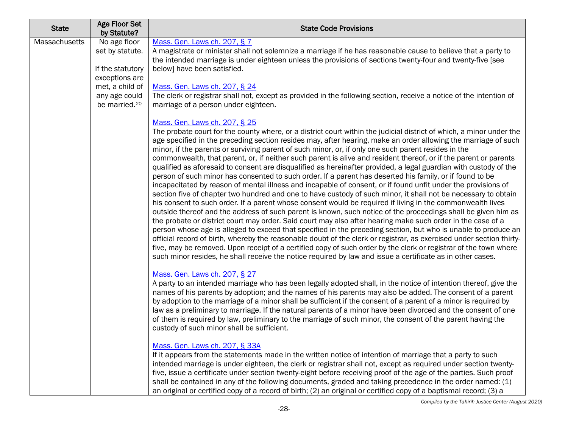| <b>State</b>  | <b>Age Floor Set</b><br>by Statute?                                   | <b>State Code Provisions</b>                                                                                                                                                                                                                                                                                                                                                                                                                                                                                                                                                                                                                                                                                                                                                                                                                                                                                                                                                                                                                                                                                                                                                                                                                                                                                                                                                                                                                                                                                                                                                                                                                                                                                                                                                                    |
|---------------|-----------------------------------------------------------------------|-------------------------------------------------------------------------------------------------------------------------------------------------------------------------------------------------------------------------------------------------------------------------------------------------------------------------------------------------------------------------------------------------------------------------------------------------------------------------------------------------------------------------------------------------------------------------------------------------------------------------------------------------------------------------------------------------------------------------------------------------------------------------------------------------------------------------------------------------------------------------------------------------------------------------------------------------------------------------------------------------------------------------------------------------------------------------------------------------------------------------------------------------------------------------------------------------------------------------------------------------------------------------------------------------------------------------------------------------------------------------------------------------------------------------------------------------------------------------------------------------------------------------------------------------------------------------------------------------------------------------------------------------------------------------------------------------------------------------------------------------------------------------------------------------|
| Massachusetts | No age floor<br>set by statute.<br>If the statutory<br>exceptions are | Mass. Gen. Laws ch. 207, § 7<br>A magistrate or minister shall not solemnize a marriage if he has reasonable cause to believe that a party to<br>the intended marriage is under eighteen unless the provisions of sections twenty-four and twenty-five [see<br>below] have been satisfied.                                                                                                                                                                                                                                                                                                                                                                                                                                                                                                                                                                                                                                                                                                                                                                                                                                                                                                                                                                                                                                                                                                                                                                                                                                                                                                                                                                                                                                                                                                      |
|               | met, a child of<br>any age could<br>be married. <sup>20</sup>         | Mass. Gen. Laws ch. 207, § 24<br>The clerk or registrar shall not, except as provided in the following section, receive a notice of the intention of<br>marriage of a person under eighteen.                                                                                                                                                                                                                                                                                                                                                                                                                                                                                                                                                                                                                                                                                                                                                                                                                                                                                                                                                                                                                                                                                                                                                                                                                                                                                                                                                                                                                                                                                                                                                                                                    |
|               |                                                                       | Mass. Gen. Laws ch. 207, § 25<br>The probate court for the county where, or a district court within the judicial district of which, a minor under the<br>age specified in the preceding section resides may, after hearing, make an order allowing the marriage of such<br>minor, if the parents or surviving parent of such minor, or, if only one such parent resides in the<br>commonwealth, that parent, or, if neither such parent is alive and resident thereof, or if the parent or parents<br>qualified as aforesaid to consent are disqualified as hereinafter provided, a legal guardian with custody of the<br>person of such minor has consented to such order. If a parent has deserted his family, or if found to be<br>incapacitated by reason of mental illness and incapable of consent, or if found unfit under the provisions of<br>section five of chapter two hundred and one to have custody of such minor, it shall not be necessary to obtain<br>his consent to such order. If a parent whose consent would be required if living in the commonwealth lives<br>outside thereof and the address of such parent is known, such notice of the proceedings shall be given him as<br>the probate or district court may order. Said court may also after hearing make such order in the case of a<br>person whose age is alleged to exceed that specified in the preceding section, but who is unable to produce an<br>official record of birth, whereby the reasonable doubt of the clerk or registrar, as exercised under section thirty-<br>five, may be removed. Upon receipt of a certified copy of such order by the clerk or registrar of the town where<br>such minor resides, he shall receive the notice required by law and issue a certificate as in other cases. |
|               |                                                                       | Mass. Gen. Laws ch. 207, § 27<br>A party to an intended marriage who has been legally adopted shall, in the notice of intention thereof, give the<br>names of his parents by adoption; and the names of his parents may also be added. The consent of a parent<br>by adoption to the marriage of a minor shall be sufficient if the consent of a parent of a minor is required by<br>law as a preliminary to marriage. If the natural parents of a minor have been divorced and the consent of one<br>of them is required by law, preliminary to the marriage of such minor, the consent of the parent having the<br>custody of such minor shall be sufficient.                                                                                                                                                                                                                                                                                                                                                                                                                                                                                                                                                                                                                                                                                                                                                                                                                                                                                                                                                                                                                                                                                                                                 |
|               |                                                                       | Mass. Gen. Laws ch. 207, § 33A<br>If it appears from the statements made in the written notice of intention of marriage that a party to such<br>intended marriage is under eighteen, the clerk or registrar shall not, except as required under section twenty-<br>five, issue a certificate under section twenty-eight before receiving proof of the age of the parties. Such proof<br>shall be contained in any of the following documents, graded and taking precedence in the order named: (1)<br>an original or certified copy of a record of birth; (2) an original or certified copy of a baptismal record; (3) a                                                                                                                                                                                                                                                                                                                                                                                                                                                                                                                                                                                                                                                                                                                                                                                                                                                                                                                                                                                                                                                                                                                                                                        |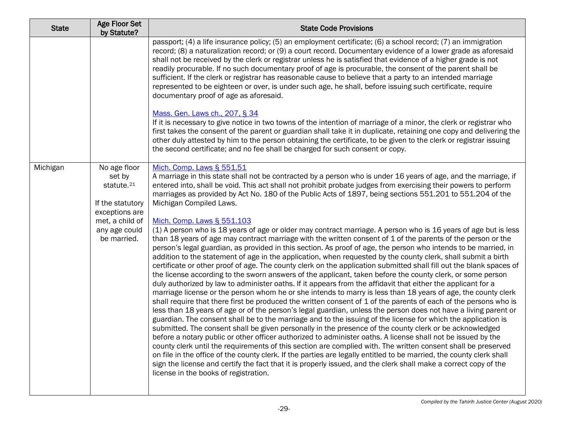| <b>State</b> | Age Floor Set<br>by Statute?                                                                                                              | <b>State Code Provisions</b>                                                                                                                                                                                                                                                                                                                                                                                                                                                                                                                                                                                                                                                                                                                                                                                                                                                                                                                                                                                                                                                                                                                                                                                                                                                                                                                                                                                    |
|--------------|-------------------------------------------------------------------------------------------------------------------------------------------|-----------------------------------------------------------------------------------------------------------------------------------------------------------------------------------------------------------------------------------------------------------------------------------------------------------------------------------------------------------------------------------------------------------------------------------------------------------------------------------------------------------------------------------------------------------------------------------------------------------------------------------------------------------------------------------------------------------------------------------------------------------------------------------------------------------------------------------------------------------------------------------------------------------------------------------------------------------------------------------------------------------------------------------------------------------------------------------------------------------------------------------------------------------------------------------------------------------------------------------------------------------------------------------------------------------------------------------------------------------------------------------------------------------------|
|              |                                                                                                                                           | passport; (4) a life insurance policy; (5) an employment certificate; (6) a school record; (7) an immigration<br>record; (8) a naturalization record; or (9) a court record. Documentary evidence of a lower grade as aforesaid<br>shall not be received by the clerk or registrar unless he is satisfied that evidence of a higher grade is not<br>readily procurable. If no such documentary proof of age is procurable, the consent of the parent shall be<br>sufficient. If the clerk or registrar has reasonable cause to believe that a party to an intended marriage<br>represented to be eighteen or over, is under such age, he shall, before issuing such certificate, require<br>documentary proof of age as aforesaid.                                                                                                                                                                                                                                                                                                                                                                                                                                                                                                                                                                                                                                                                              |
|              |                                                                                                                                           | Mass. Gen. Laws ch., 207, § 34<br>If it is necessary to give notice in two towns of the intention of marriage of a minor, the clerk or registrar who<br>first takes the consent of the parent or guardian shall take it in duplicate, retaining one copy and delivering the<br>other duly attested by him to the person obtaining the certificate, to be given to the clerk or registrar issuing<br>the second certificate; and no fee shall be charged for such consent or copy.                                                                                                                                                                                                                                                                                                                                                                                                                                                                                                                                                                                                                                                                                                                                                                                                                                                                                                                               |
| Michigan     | No age floor<br>set by<br>statute. <sup>21</sup><br>If the statutory<br>exceptions are<br>met, a child of<br>any age could<br>be married. | Mich. Comp. Laws § 551.51<br>A marriage in this state shall not be contracted by a person who is under 16 years of age, and the marriage, if<br>entered into, shall be void. This act shall not prohibit probate judges from exercising their powers to perform<br>marriages as provided by Act No. 180 of the Public Acts of 1897, being sections 551.201 to 551.204 of the<br>Michigan Compiled Laws.<br>Mich. Comp. Laws § 551.103<br>(1) A person who is 18 years of age or older may contract marriage. A person who is 16 years of age but is less<br>than 18 years of age may contract marriage with the written consent of 1 of the parents of the person or the<br>person's legal guardian, as provided in this section. As proof of age, the person who intends to be married, in                                                                                                                                                                                                                                                                                                                                                                                                                                                                                                                                                                                                                     |
|              |                                                                                                                                           | addition to the statement of age in the application, when requested by the county clerk, shall submit a birth<br>certificate or other proof of age. The county clerk on the application submitted shall fill out the blank spaces of<br>the license according to the sworn answers of the applicant, taken before the county clerk, or some person<br>duly authorized by law to administer oaths. If it appears from the affidavit that either the applicant for a<br>marriage license or the person whom he or she intends to marry is less than 18 years of age, the county clerk<br>shall require that there first be produced the written consent of 1 of the parents of each of the persons who is<br>less than 18 years of age or of the person's legal guardian, unless the person does not have a living parent or<br>guardian. The consent shall be to the marriage and to the issuing of the license for which the application is<br>submitted. The consent shall be given personally in the presence of the county clerk or be acknowledged<br>before a notary public or other officer authorized to administer oaths. A license shall not be issued by the<br>county clerk until the requirements of this section are complied with. The written consent shall be preserved<br>on file in the office of the county clerk. If the parties are legally entitled to be married, the county clerk shall |
|              |                                                                                                                                           | sign the license and certify the fact that it is properly issued, and the clerk shall make a correct copy of the<br>license in the books of registration.                                                                                                                                                                                                                                                                                                                                                                                                                                                                                                                                                                                                                                                                                                                                                                                                                                                                                                                                                                                                                                                                                                                                                                                                                                                       |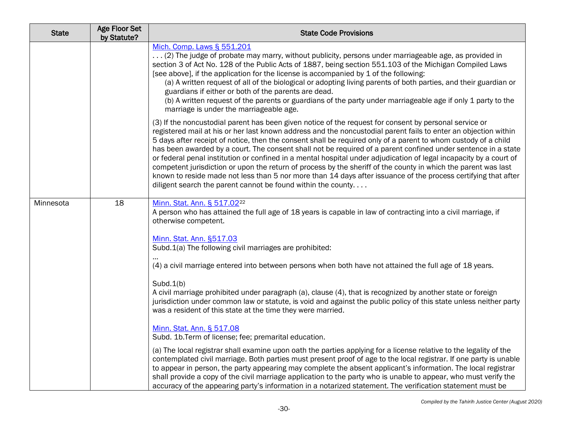| <b>State</b> | <b>Age Floor Set</b><br>by Statute? | <b>State Code Provisions</b>                                                                                                                                                                                                                                                                                                                                                                                                                                                                                                                                                                                                                                                                                                                                                                                                                                                            |
|--------------|-------------------------------------|-----------------------------------------------------------------------------------------------------------------------------------------------------------------------------------------------------------------------------------------------------------------------------------------------------------------------------------------------------------------------------------------------------------------------------------------------------------------------------------------------------------------------------------------------------------------------------------------------------------------------------------------------------------------------------------------------------------------------------------------------------------------------------------------------------------------------------------------------------------------------------------------|
|              |                                     | Mich. Comp. Laws § 551.201<br>(2) The judge of probate may marry, without publicity, persons under marriageable age, as provided in<br>section 3 of Act No. 128 of the Public Acts of 1887, being section 551.103 of the Michigan Compiled Laws<br>[see above], if the application for the license is accompanied by 1 of the following:<br>(a) A written request of all of the biological or adopting living parents of both parties, and their guardian or<br>guardians if either or both of the parents are dead.<br>(b) A written request of the parents or guardians of the party under marriageable age if only 1 party to the<br>marriage is under the marriageable age.                                                                                                                                                                                                         |
|              |                                     | (3) If the noncustodial parent has been given notice of the request for consent by personal service or<br>registered mail at his or her last known address and the noncustodial parent fails to enter an objection within<br>5 days after receipt of notice, then the consent shall be required only of a parent to whom custody of a child<br>has been awarded by a court. The consent shall not be required of a parent confined under sentence in a state<br>or federal penal institution or confined in a mental hospital under adjudication of legal incapacity by a court of<br>competent jurisdiction or upon the return of process by the sheriff of the county in which the parent was last<br>known to reside made not less than 5 nor more than 14 days after issuance of the process certifying that after<br>diligent search the parent cannot be found within the county. |
| Minnesota    | 18                                  | Minn. Stat. Ann. § 517.0222<br>A person who has attained the full age of 18 years is capable in law of contracting into a civil marriage, if<br>otherwise competent.                                                                                                                                                                                                                                                                                                                                                                                                                                                                                                                                                                                                                                                                                                                    |
|              |                                     | Minn. Stat. Ann. §517.03<br>Subd.1(a) The following civil marriages are prohibited:                                                                                                                                                                                                                                                                                                                                                                                                                                                                                                                                                                                                                                                                                                                                                                                                     |
|              |                                     | (4) a civil marriage entered into between persons when both have not attained the full age of 18 years.                                                                                                                                                                                                                                                                                                                                                                                                                                                                                                                                                                                                                                                                                                                                                                                 |
|              |                                     | Subd.1(b)<br>A civil marriage prohibited under paragraph (a), clause (4), that is recognized by another state or foreign<br>jurisdiction under common law or statute, is void and against the public policy of this state unless neither party<br>was a resident of this state at the time they were married.                                                                                                                                                                                                                                                                                                                                                                                                                                                                                                                                                                           |
|              |                                     | Minn. Stat. Ann. § 517.08<br>Subd. 1b. Term of license; fee; premarital education.                                                                                                                                                                                                                                                                                                                                                                                                                                                                                                                                                                                                                                                                                                                                                                                                      |
|              |                                     | (a) The local registrar shall examine upon oath the parties applying for a license relative to the legality of the<br>contemplated civil marriage. Both parties must present proof of age to the local registrar. If one party is unable<br>to appear in person, the party appearing may complete the absent applicant's information. The local registrar<br>shall provide a copy of the civil marriage application to the party who is unable to appear, who must verify the<br>accuracy of the appearing party's information in a notarized statement. The verification statement must be                                                                                                                                                                                                                                                                                             |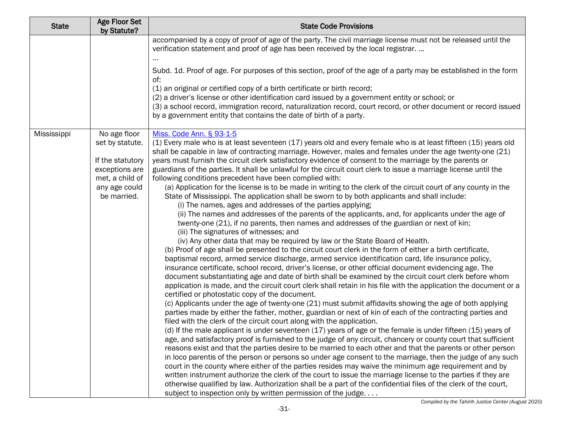| <b>State</b> | Age Floor Set<br>by Statute?       | <b>State Code Provisions</b>                                                                                                                                                                                                  |
|--------------|------------------------------------|-------------------------------------------------------------------------------------------------------------------------------------------------------------------------------------------------------------------------------|
|              |                                    | accompanied by a copy of proof of age of the party. The civil marriage license must not be released until the<br>verification statement and proof of age has been received by the local registrar                             |
|              |                                    | Subd. 1d. Proof of age. For purposes of this section, proof of the age of a party may be established in the form<br>of:                                                                                                       |
|              |                                    | (1) an original or certified copy of a birth certificate or birth record;                                                                                                                                                     |
|              |                                    | (2) a driver's license or other identification card issued by a government entity or school; or                                                                                                                               |
|              |                                    | (3) a school record, immigration record, naturalization record, court record, or other document or record issued<br>by a government entity that contains the date of birth of a party.                                        |
| Mississippi  | No age floor                       | Miss. Code Ann. § 93-1-5                                                                                                                                                                                                      |
|              | set by statute.                    | (1) Every male who is at least seventeen (17) years old and every female who is at least fifteen (15) years old                                                                                                               |
|              |                                    | shall be capable in law of contracting marriage. However, males and females under the age twenty-one (21)                                                                                                                     |
|              | If the statutory<br>exceptions are | years must furnish the circuit clerk satisfactory evidence of consent to the marriage by the parents or<br>guardians of the parties. It shall be unlawful for the circuit court clerk to issue a marriage license until the   |
|              | met, a child of                    | following conditions precedent have been complied with:                                                                                                                                                                       |
|              | any age could                      | (a) Application for the license is to be made in writing to the clerk of the circuit court of any county in the                                                                                                               |
|              | be married.                        | State of Mississippi. The application shall be sworn to by both applicants and shall include:                                                                                                                                 |
|              |                                    | (i) The names, ages and addresses of the parties applying;                                                                                                                                                                    |
|              |                                    | (ii) The names and addresses of the parents of the applicants, and, for applicants under the age of                                                                                                                           |
|              |                                    | twenty-one (21), if no parents, then names and addresses of the guardian or next of kin;                                                                                                                                      |
|              |                                    | (iii) The signatures of witnesses; and                                                                                                                                                                                        |
|              |                                    | (iv) Any other data that may be required by law or the State Board of Health.<br>(b) Proof of age shall be presented to the circuit court clerk in the form of either a birth certificate,                                    |
|              |                                    | baptismal record, armed service discharge, armed service identification card, life insurance policy,                                                                                                                          |
|              |                                    | insurance certificate, school record, driver's license, or other official document evidencing age. The                                                                                                                        |
|              |                                    | document substantiating age and date of birth shall be examined by the circuit court clerk before whom                                                                                                                        |
|              |                                    | application is made, and the circuit court clerk shall retain in his file with the application the document or a                                                                                                              |
|              |                                    | certified or photostatic copy of the document.                                                                                                                                                                                |
|              |                                    | (c) Applicants under the age of twenty-one (21) must submit affidavits showing the age of both applying                                                                                                                       |
|              |                                    | parties made by either the father, mother, guardian or next of kin of each of the contracting parties and                                                                                                                     |
|              |                                    | filed with the clerk of the circuit court along with the application.                                                                                                                                                         |
|              |                                    | (d) If the male applicant is under seventeen (17) years of age or the female is under fifteen (15) years of<br>age, and satisfactory proof is furnished to the judge of any circuit, chancery or county court that sufficient |
|              |                                    | reasons exist and that the parties desire to be married to each other and that the parents or other person                                                                                                                    |
|              |                                    | in loco parentis of the person or persons so under age consent to the marriage, then the judge of any such                                                                                                                    |
|              |                                    | court in the county where either of the parties resides may waive the minimum age requirement and by                                                                                                                          |
|              |                                    | written instrument authorize the clerk of the court to issue the marriage license to the parties if they are                                                                                                                  |
|              |                                    | otherwise qualified by law. Authorization shall be a part of the confidential files of the clerk of the court,                                                                                                                |
|              |                                    | subject to inspection only by written permission of the judge                                                                                                                                                                 |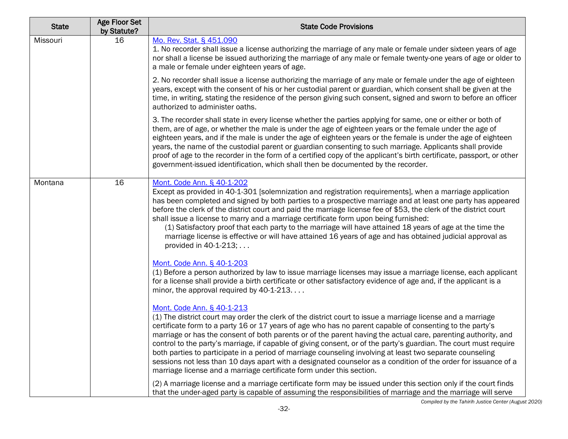| <b>State</b> | <b>Age Floor Set</b><br>by Statute? | <b>State Code Provisions</b>                                                                                                                                                                                                                                                                                                                                                                                                                                                                                                                                                                                                                                                                                                                                                                       |
|--------------|-------------------------------------|----------------------------------------------------------------------------------------------------------------------------------------------------------------------------------------------------------------------------------------------------------------------------------------------------------------------------------------------------------------------------------------------------------------------------------------------------------------------------------------------------------------------------------------------------------------------------------------------------------------------------------------------------------------------------------------------------------------------------------------------------------------------------------------------------|
| Missouri     | 16                                  | Mo. Rev. Stat. § 451.090<br>1. No recorder shall issue a license authorizing the marriage of any male or female under sixteen years of age<br>nor shall a license be issued authorizing the marriage of any male or female twenty-one years of age or older to<br>a male or female under eighteen years of age.                                                                                                                                                                                                                                                                                                                                                                                                                                                                                    |
|              |                                     | 2. No recorder shall issue a license authorizing the marriage of any male or female under the age of eighteen<br>years, except with the consent of his or her custodial parent or guardian, which consent shall be given at the<br>time, in writing, stating the residence of the person giving such consent, signed and sworn to before an officer<br>authorized to administer oaths.                                                                                                                                                                                                                                                                                                                                                                                                             |
|              |                                     | 3. The recorder shall state in every license whether the parties applying for same, one or either or both of<br>them, are of age, or whether the male is under the age of eighteen years or the female under the age of<br>eighteen years, and if the male is under the age of eighteen years or the female is under the age of eighteen<br>years, the name of the custodial parent or guardian consenting to such marriage. Applicants shall provide<br>proof of age to the recorder in the form of a certified copy of the applicant's birth certificate, passport, or other<br>government-issued identification, which shall then be documented by the recorder.                                                                                                                                |
| Montana      | 16                                  | Mont. Code Ann. § 40-1-202<br>Except as provided in 40-1-301 [solemnization and registration requirements], when a marriage application<br>has been completed and signed by both parties to a prospective marriage and at least one party has appeared<br>before the clerk of the district court and paid the marriage license fee of \$53, the clerk of the district court<br>shall issue a license to marry and a marriage certificate form upon being furnished:<br>(1) Satisfactory proof that each party to the marriage will have attained 18 years of age at the time the<br>marriage license is effective or will have attained 16 years of age and has obtained judicial approval as<br>provided in 40-1-213;                                                                             |
|              |                                     | Mont. Code Ann. § 40-1-203<br>(1) Before a person authorized by law to issue marriage licenses may issue a marriage license, each applicant<br>for a license shall provide a birth certificate or other satisfactory evidence of age and, if the applicant is a<br>minor, the approval required by $40-1-213$                                                                                                                                                                                                                                                                                                                                                                                                                                                                                      |
|              |                                     | Mont. Code Ann. § 40-1-213<br>(1) The district court may order the clerk of the district court to issue a marriage license and a marriage<br>certificate form to a party 16 or 17 years of age who has no parent capable of consenting to the party's<br>marriage or has the consent of both parents or of the parent having the actual care, parenting authority, and<br>control to the party's marriage, if capable of giving consent, or of the party's guardian. The court must require<br>both parties to participate in a period of marriage counseling involving at least two separate counseling<br>sessions not less than 10 days apart with a designated counselor as a condition of the order for issuance of a<br>marriage license and a marriage certificate form under this section. |
|              |                                     | (2) A marriage license and a marriage certificate form may be issued under this section only if the court finds<br>that the under-aged party is capable of assuming the responsibilities of marriage and the marriage will serve                                                                                                                                                                                                                                                                                                                                                                                                                                                                                                                                                                   |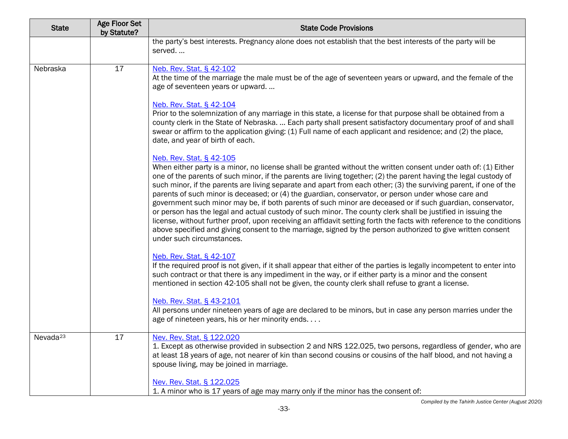| <b>State</b>         | <b>Age Floor Set</b><br>by Statute? | <b>State Code Provisions</b>                                                                                                                                                                                                                                                                                                                                                                                                                                                                                                                                                                                                                                                                                                                                                                                                                                                                                                                                                                                                                                                                                                                                                                                                                                                                                                                                                                                                                                                                                                                                                                                                                                                                                                                                                                                                                                                                                                                                                                                                                                                                                                                                        |
|----------------------|-------------------------------------|---------------------------------------------------------------------------------------------------------------------------------------------------------------------------------------------------------------------------------------------------------------------------------------------------------------------------------------------------------------------------------------------------------------------------------------------------------------------------------------------------------------------------------------------------------------------------------------------------------------------------------------------------------------------------------------------------------------------------------------------------------------------------------------------------------------------------------------------------------------------------------------------------------------------------------------------------------------------------------------------------------------------------------------------------------------------------------------------------------------------------------------------------------------------------------------------------------------------------------------------------------------------------------------------------------------------------------------------------------------------------------------------------------------------------------------------------------------------------------------------------------------------------------------------------------------------------------------------------------------------------------------------------------------------------------------------------------------------------------------------------------------------------------------------------------------------------------------------------------------------------------------------------------------------------------------------------------------------------------------------------------------------------------------------------------------------------------------------------------------------------------------------------------------------|
|                      |                                     | the party's best interests. Pregnancy alone does not establish that the best interests of the party will be<br>served                                                                                                                                                                                                                                                                                                                                                                                                                                                                                                                                                                                                                                                                                                                                                                                                                                                                                                                                                                                                                                                                                                                                                                                                                                                                                                                                                                                                                                                                                                                                                                                                                                                                                                                                                                                                                                                                                                                                                                                                                                               |
| Nebraska             | 17                                  | Neb. Rev. Stat. § 42-102<br>At the time of the marriage the male must be of the age of seventeen years or upward, and the female of the<br>age of seventeen years or upward<br>Neb. Rev. Stat. § 42-104<br>Prior to the solemnization of any marriage in this state, a license for that purpose shall be obtained from a<br>county clerk in the State of Nebraska.  Each party shall present satisfactory documentary proof of and shall<br>swear or affirm to the application giving: (1) Full name of each applicant and residence; and (2) the place,<br>date, and year of birth of each.<br>Neb. Rev. Stat. § 42-105<br>When either party is a minor, no license shall be granted without the written consent under oath of: (1) Either<br>one of the parents of such minor, if the parents are living together; (2) the parent having the legal custody of<br>such minor, if the parents are living separate and apart from each other; (3) the surviving parent, if one of the<br>parents of such minor is deceased; or (4) the guardian, conservator, or person under whose care and<br>government such minor may be, if both parents of such minor are deceased or if such guardian, conservator,<br>or person has the legal and actual custody of such minor. The county clerk shall be justified in issuing the<br>license, without further proof, upon receiving an affidavit setting forth the facts with reference to the conditions<br>above specified and giving consent to the marriage, signed by the person authorized to give written consent<br>under such circumstances.<br>Neb. Rev. Stat. § 42-107<br>If the required proof is not given, if it shall appear that either of the parties is legally incompetent to enter into<br>such contract or that there is any impediment in the way, or if either party is a minor and the consent<br>mentioned in section 42-105 shall not be given, the county clerk shall refuse to grant a license.<br>Neb. Rev. Stat. § 43-2101<br>All persons under nineteen years of age are declared to be minors, but in case any person marries under the<br>age of nineteen years, his or her minority ends. |
| Nevada <sup>23</sup> | 17                                  | Nev. Rev. Stat. § 122.020<br>1. Except as otherwise provided in subsection 2 and NRS 122.025, two persons, regardless of gender, who are<br>at least 18 years of age, not nearer of kin than second cousins or cousins of the half blood, and not having a<br>spouse living, may be joined in marriage.<br>Nev. Rev. Stat. § 122.025<br>1. A minor who is 17 years of age may marry only if the minor has the consent of:                                                                                                                                                                                                                                                                                                                                                                                                                                                                                                                                                                                                                                                                                                                                                                                                                                                                                                                                                                                                                                                                                                                                                                                                                                                                                                                                                                                                                                                                                                                                                                                                                                                                                                                                           |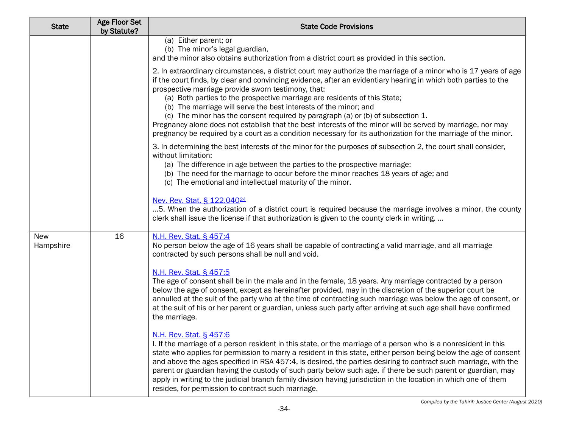| <b>State</b>            | <b>Age Floor Set</b><br>by Statute? | <b>State Code Provisions</b>                                                                                                                                                                                                                                                                                                                                                                                                                                                                                                                                                                                                                                                                                                                                    |
|-------------------------|-------------------------------------|-----------------------------------------------------------------------------------------------------------------------------------------------------------------------------------------------------------------------------------------------------------------------------------------------------------------------------------------------------------------------------------------------------------------------------------------------------------------------------------------------------------------------------------------------------------------------------------------------------------------------------------------------------------------------------------------------------------------------------------------------------------------|
|                         |                                     | (a) Either parent; or<br>(b) The minor's legal guardian,<br>and the minor also obtains authorization from a district court as provided in this section.                                                                                                                                                                                                                                                                                                                                                                                                                                                                                                                                                                                                         |
|                         |                                     | 2. In extraordinary circumstances, a district court may authorize the marriage of a minor who is 17 years of age<br>if the court finds, by clear and convincing evidence, after an evidentiary hearing in which both parties to the<br>prospective marriage provide sworn testimony, that:<br>(a) Both parties to the prospective marriage are residents of this State;<br>(b) The marriage will serve the best interests of the minor; and<br>(c) The minor has the consent required by paragraph (a) or (b) of subsection 1.<br>Pregnancy alone does not establish that the best interests of the minor will be served by marriage, nor may<br>pregnancy be required by a court as a condition necessary for its authorization for the marriage of the minor. |
|                         |                                     | 3. In determining the best interests of the minor for the purposes of subsection 2, the court shall consider,<br>without limitation:<br>(a) The difference in age between the parties to the prospective marriage;<br>(b) The need for the marriage to occur before the minor reaches 18 years of age; and<br>(c) The emotional and intellectual maturity of the minor.                                                                                                                                                                                                                                                                                                                                                                                         |
|                         |                                     | Nev. Rev. Stat. § 122.040 <sup>24</sup><br>5. When the authorization of a district court is required because the marriage involves a minor, the county<br>clerk shall issue the license if that authorization is given to the county clerk in writing.                                                                                                                                                                                                                                                                                                                                                                                                                                                                                                          |
| <b>New</b><br>Hampshire | 16                                  | N.H. Rev. Stat. § 457:4<br>No person below the age of 16 years shall be capable of contracting a valid marriage, and all marriage<br>contracted by such persons shall be null and void.                                                                                                                                                                                                                                                                                                                                                                                                                                                                                                                                                                         |
|                         |                                     | <u>N.H. Rev. Stat. § 457:5</u><br>The age of consent shall be in the male and in the female, 18 years. Any marriage contracted by a person<br>below the age of consent, except as hereinafter provided, may in the discretion of the superior court be<br>annulled at the suit of the party who at the time of contracting such marriage was below the age of consent, or<br>at the suit of his or her parent or guardian, unless such party after arriving at such age shall have confirmed<br>the marriage.                                                                                                                                                                                                                                                   |
|                         |                                     | N.H. Rev. Stat. § 457:6<br>I. If the marriage of a person resident in this state, or the marriage of a person who is a nonresident in this<br>state who applies for permission to marry a resident in this state, either person being below the age of consent<br>and above the ages specified in RSA 457:4, is desired, the parties desiring to contract such marriage, with the<br>parent or guardian having the custody of such party below such age, if there be such parent or guardian, may<br>apply in writing to the judicial branch family division having jurisdiction in the location in which one of them<br>resides, for permission to contract such marriage.                                                                                     |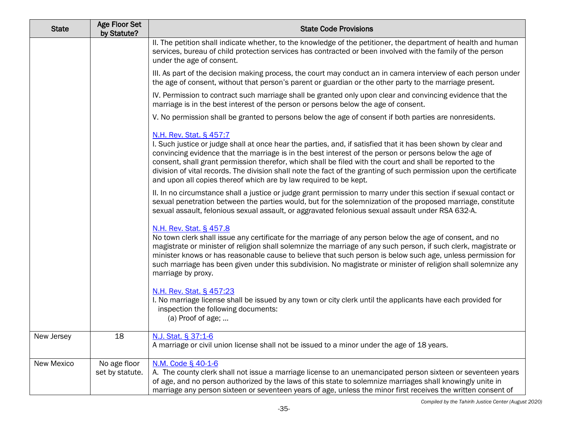| <b>State</b> | Age Floor Set<br>by Statute?    | <b>State Code Provisions</b>                                                                                                                                                                                                                                                                                                                                                                                                                                                                                                                                   |
|--------------|---------------------------------|----------------------------------------------------------------------------------------------------------------------------------------------------------------------------------------------------------------------------------------------------------------------------------------------------------------------------------------------------------------------------------------------------------------------------------------------------------------------------------------------------------------------------------------------------------------|
|              |                                 | II. The petition shall indicate whether, to the knowledge of the petitioner, the department of health and human<br>services, bureau of child protection services has contracted or been involved with the family of the person<br>under the age of consent.                                                                                                                                                                                                                                                                                                    |
|              |                                 | III. As part of the decision making process, the court may conduct an in camera interview of each person under<br>the age of consent, without that person's parent or guardian or the other party to the marriage present.                                                                                                                                                                                                                                                                                                                                     |
|              |                                 | IV. Permission to contract such marriage shall be granted only upon clear and convincing evidence that the<br>marriage is in the best interest of the person or persons below the age of consent.                                                                                                                                                                                                                                                                                                                                                              |
|              |                                 | V. No permission shall be granted to persons below the age of consent if both parties are nonresidents.                                                                                                                                                                                                                                                                                                                                                                                                                                                        |
|              |                                 | N.H. Rev. Stat. § 457:7<br>I. Such justice or judge shall at once hear the parties, and, if satisfied that it has been shown by clear and<br>convincing evidence that the marriage is in the best interest of the person or persons below the age of<br>consent, shall grant permission therefor, which shall be filed with the court and shall be reported to the<br>division of vital records. The division shall note the fact of the granting of such permission upon the certificate<br>and upon all copies thereof which are by law required to be kept. |
|              |                                 | II. In no circumstance shall a justice or judge grant permission to marry under this section if sexual contact or<br>sexual penetration between the parties would, but for the solemnization of the proposed marriage, constitute<br>sexual assault, felonious sexual assault, or aggravated felonious sexual assault under RSA 632-A.                                                                                                                                                                                                                         |
|              |                                 | N.H. Rev. Stat. § 457.8<br>No town clerk shall issue any certificate for the marriage of any person below the age of consent, and no<br>magistrate or minister of religion shall solemnize the marriage of any such person, if such clerk, magistrate or<br>minister knows or has reasonable cause to believe that such person is below such age, unless permission for<br>such marriage has been given under this subdivision. No magistrate or minister of religion shall solemnize any<br>marriage by proxy.                                                |
|              |                                 | N.H. Rev. Stat. § 457:23<br>I. No marriage license shall be issued by any town or city clerk until the applicants have each provided for<br>inspection the following documents:<br>(a) Proof of age;                                                                                                                                                                                                                                                                                                                                                           |
| New Jersey   | 18                              | N.J. Stat. § 37:1-6<br>A marriage or civil union license shall not be issued to a minor under the age of 18 years.                                                                                                                                                                                                                                                                                                                                                                                                                                             |
| New Mexico   | No age floor<br>set by statute. | N.M. Code § 40-1-6<br>A. The county clerk shall not issue a marriage license to an unemancipated person sixteen or seventeen years<br>of age, and no person authorized by the laws of this state to solemnize marriages shall knowingly unite in<br>marriage any person sixteen or seventeen years of age, unless the minor first receives the written consent of                                                                                                                                                                                              |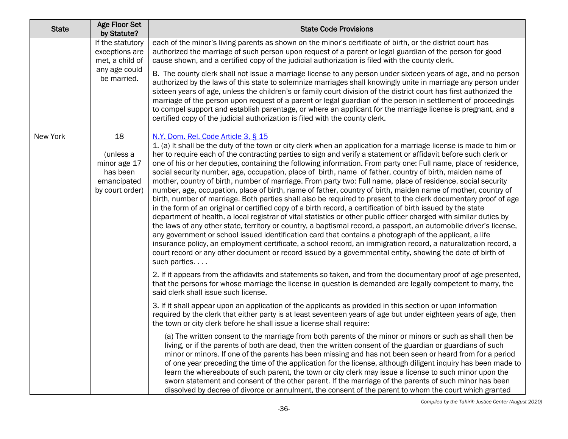| <b>State</b> | <b>Age Floor Set</b><br>by Statute?                                           | <b>State Code Provisions</b>                                                                                                                                                                                                                                                                                                                                                                                                                                                                                                                                                                                                                                                                                                                                                                                                                                                                                                                                                                                                                                                                                                                                                                                                                                                                                                                                                                                                                                                                                                                                                             |
|--------------|-------------------------------------------------------------------------------|------------------------------------------------------------------------------------------------------------------------------------------------------------------------------------------------------------------------------------------------------------------------------------------------------------------------------------------------------------------------------------------------------------------------------------------------------------------------------------------------------------------------------------------------------------------------------------------------------------------------------------------------------------------------------------------------------------------------------------------------------------------------------------------------------------------------------------------------------------------------------------------------------------------------------------------------------------------------------------------------------------------------------------------------------------------------------------------------------------------------------------------------------------------------------------------------------------------------------------------------------------------------------------------------------------------------------------------------------------------------------------------------------------------------------------------------------------------------------------------------------------------------------------------------------------------------------------------|
|              | If the statutory<br>exceptions are<br>met, a child of                         | each of the minor's living parents as shown on the minor's certificate of birth, or the district court has<br>authorized the marriage of such person upon request of a parent or legal guardian of the person for good<br>cause shown, and a certified copy of the judicial authorization is filed with the county clerk.                                                                                                                                                                                                                                                                                                                                                                                                                                                                                                                                                                                                                                                                                                                                                                                                                                                                                                                                                                                                                                                                                                                                                                                                                                                                |
|              | any age could<br>be married.                                                  | B. The county clerk shall not issue a marriage license to any person under sixteen years of age, and no person<br>authorized by the laws of this state to solemnize marriages shall knowingly unite in marriage any person under<br>sixteen years of age, unless the children's or family court division of the district court has first authorized the<br>marriage of the person upon request of a parent or legal guardian of the person in settlement of proceedings<br>to compel support and establish parentage, or where an applicant for the marriage license is pregnant, and a<br>certified copy of the judicial authorization is filed with the county clerk.                                                                                                                                                                                                                                                                                                                                                                                                                                                                                                                                                                                                                                                                                                                                                                                                                                                                                                                  |
| New York     | 18<br>(unless a<br>minor age 17<br>has been<br>emancipated<br>by court order) | N.Y. Dom. Rel. Code Article 3, § 15<br>1. (a) It shall be the duty of the town or city clerk when an application for a marriage license is made to him or<br>her to require each of the contracting parties to sign and verify a statement or affidavit before such clerk or<br>one of his or her deputies, containing the following information. From party one: Full name, place of residence,<br>social security number, age, occupation, place of birth, name of father, country of birth, maiden name of<br>mother, country of birth, number of marriage. From party two: Full name, place of residence, social security<br>number, age, occupation, place of birth, name of father, country of birth, maiden name of mother, country of<br>birth, number of marriage. Both parties shall also be required to present to the clerk documentary proof of age<br>in the form of an original or certified copy of a birth record, a certification of birth issued by the state<br>department of health, a local registrar of vital statistics or other public officer charged with similar duties by<br>the laws of any other state, territory or country, a baptismal record, a passport, an automobile driver's license,<br>any government or school issued identification card that contains a photograph of the applicant, a life<br>insurance policy, an employment certificate, a school record, an immigration record, a naturalization record, a<br>court record or any other document or record issued by a governmental entity, showing the date of birth of<br>such parties |
|              |                                                                               | 2. If it appears from the affidavits and statements so taken, and from the documentary proof of age presented,<br>that the persons for whose marriage the license in question is demanded are legally competent to marry, the<br>said clerk shall issue such license.                                                                                                                                                                                                                                                                                                                                                                                                                                                                                                                                                                                                                                                                                                                                                                                                                                                                                                                                                                                                                                                                                                                                                                                                                                                                                                                    |
|              |                                                                               | 3. If it shall appear upon an application of the applicants as provided in this section or upon information<br>required by the clerk that either party is at least seventeen years of age but under eighteen years of age, then<br>the town or city clerk before he shall issue a license shall require:                                                                                                                                                                                                                                                                                                                                                                                                                                                                                                                                                                                                                                                                                                                                                                                                                                                                                                                                                                                                                                                                                                                                                                                                                                                                                 |
|              |                                                                               | (a) The written consent to the marriage from both parents of the minor or minors or such as shall then be<br>living, or if the parents of both are dead, then the written consent of the guardian or guardians of such<br>minor or minors. If one of the parents has been missing and has not been seen or heard from for a period<br>of one year preceding the time of the application for the license, although diligent inquiry has been made to<br>learn the whereabouts of such parent, the town or city clerk may issue a license to such minor upon the<br>sworn statement and consent of the other parent. If the marriage of the parents of such minor has been<br>dissolved by decree of divorce or annulment, the consent of the parent to whom the court which granted                                                                                                                                                                                                                                                                                                                                                                                                                                                                                                                                                                                                                                                                                                                                                                                                       |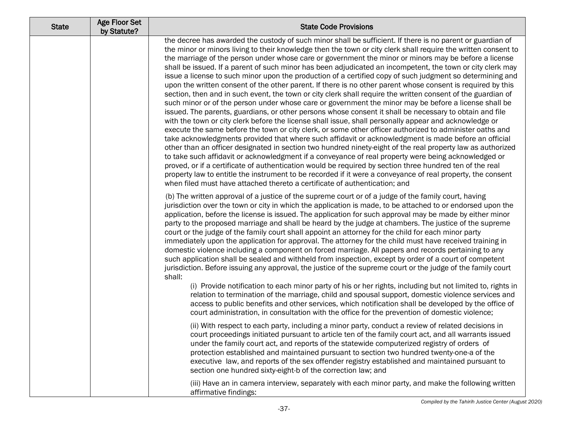| <b>State</b> | <b>Age Floor Set</b><br>by Statute? | <b>State Code Provisions</b>                                                                                                                                                                                                                                                                                                                                                                                                                                                                                                                                                                                                                                                                                                                                                                                                                                                                                                                                                                                                                                                                                                                                                                                                                                                                                                                                                                                                                                                                                                                                                                                                                                                                                                                                                                                                                                                      |
|--------------|-------------------------------------|-----------------------------------------------------------------------------------------------------------------------------------------------------------------------------------------------------------------------------------------------------------------------------------------------------------------------------------------------------------------------------------------------------------------------------------------------------------------------------------------------------------------------------------------------------------------------------------------------------------------------------------------------------------------------------------------------------------------------------------------------------------------------------------------------------------------------------------------------------------------------------------------------------------------------------------------------------------------------------------------------------------------------------------------------------------------------------------------------------------------------------------------------------------------------------------------------------------------------------------------------------------------------------------------------------------------------------------------------------------------------------------------------------------------------------------------------------------------------------------------------------------------------------------------------------------------------------------------------------------------------------------------------------------------------------------------------------------------------------------------------------------------------------------------------------------------------------------------------------------------------------------|
|              |                                     | the decree has awarded the custody of such minor shall be sufficient. If there is no parent or guardian of<br>the minor or minors living to their knowledge then the town or city clerk shall require the written consent to<br>the marriage of the person under whose care or government the minor or minors may be before a license<br>shall be issued. If a parent of such minor has been adjudicated an incompetent, the town or city clerk may<br>issue a license to such minor upon the production of a certified copy of such judgment so determining and<br>upon the written consent of the other parent. If there is no other parent whose consent is required by this<br>section, then and in such event, the town or city clerk shall require the written consent of the guardian of<br>such minor or of the person under whose care or government the minor may be before a license shall be<br>issued. The parents, guardians, or other persons whose consent it shall be necessary to obtain and file<br>with the town or city clerk before the license shall issue, shall personally appear and acknowledge or<br>execute the same before the town or city clerk, or some other officer authorized to administer oaths and<br>take acknowledgments provided that where such affidavit or acknowledgment is made before an official<br>other than an officer designated in section two hundred ninety-eight of the real property law as authorized<br>to take such affidavit or acknowledgment if a conveyance of real property were being acknowledged or<br>proved, or if a certificate of authentication would be required by section three hundred ten of the real<br>property law to entitle the instrument to be recorded if it were a conveyance of real property, the consent<br>when filed must have attached thereto a certificate of authentication; and |
|              |                                     | (b) The written approval of a justice of the supreme court or of a judge of the family court, having<br>jurisdiction over the town or city in which the application is made, to be attached to or endorsed upon the<br>application, before the license is issued. The application for such approval may be made by either minor<br>party to the proposed marriage and shall be heard by the judge at chambers. The justice of the supreme<br>court or the judge of the family court shall appoint an attorney for the child for each minor party<br>immediately upon the application for approval. The attorney for the child must have received training in<br>domestic violence including a component on forced marriage. All papers and records pertaining to any<br>such application shall be sealed and withheld from inspection, except by order of a court of competent<br>jurisdiction. Before issuing any approval, the justice of the supreme court or the judge of the family court<br>shall:                                                                                                                                                                                                                                                                                                                                                                                                                                                                                                                                                                                                                                                                                                                                                                                                                                                                          |
|              |                                     | (i) Provide notification to each minor party of his or her rights, including but not limited to, rights in<br>relation to termination of the marriage, child and spousal support, domestic violence services and<br>access to public benefits and other services, which notification shall be developed by the office of<br>court administration, in consultation with the office for the prevention of domestic violence;                                                                                                                                                                                                                                                                                                                                                                                                                                                                                                                                                                                                                                                                                                                                                                                                                                                                                                                                                                                                                                                                                                                                                                                                                                                                                                                                                                                                                                                        |
|              |                                     | (ii) With respect to each party, including a minor party, conduct a review of related decisions in<br>court proceedings initiated pursuant to article ten of the family court act, and all warrants issued<br>under the family court act, and reports of the statewide computerized registry of orders of<br>protection established and maintained pursuant to section two hundred twenty-one-a of the<br>executive law, and reports of the sex offender registry established and maintained pursuant to<br>section one hundred sixty-eight-b of the correction law; and                                                                                                                                                                                                                                                                                                                                                                                                                                                                                                                                                                                                                                                                                                                                                                                                                                                                                                                                                                                                                                                                                                                                                                                                                                                                                                          |
|              |                                     | (iii) Have an in camera interview, separately with each minor party, and make the following written<br>affirmative findings:                                                                                                                                                                                                                                                                                                                                                                                                                                                                                                                                                                                                                                                                                                                                                                                                                                                                                                                                                                                                                                                                                                                                                                                                                                                                                                                                                                                                                                                                                                                                                                                                                                                                                                                                                      |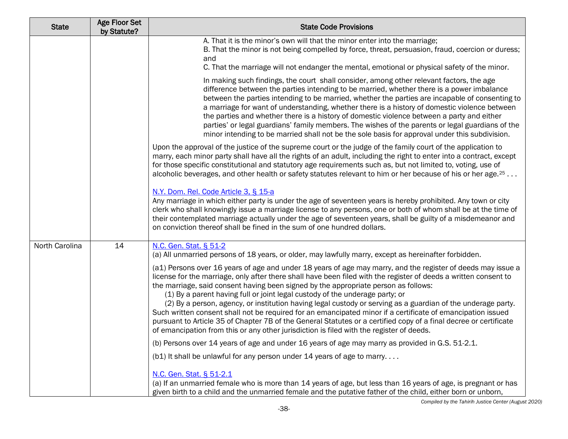| <b>State</b>   | <b>Age Floor Set</b><br>by Statute? | <b>State Code Provisions</b>                                                                                                                                                                                                                                                                                                                                                                                                                                                                                                                                                                                                                                                                                                                                                                                                                            |
|----------------|-------------------------------------|---------------------------------------------------------------------------------------------------------------------------------------------------------------------------------------------------------------------------------------------------------------------------------------------------------------------------------------------------------------------------------------------------------------------------------------------------------------------------------------------------------------------------------------------------------------------------------------------------------------------------------------------------------------------------------------------------------------------------------------------------------------------------------------------------------------------------------------------------------|
|                |                                     | A. That it is the minor's own will that the minor enter into the marriage;<br>B. That the minor is not being compelled by force, threat, persuasion, fraud, coercion or duress;<br>and<br>C. That the marriage will not endanger the mental, emotional or physical safety of the minor.                                                                                                                                                                                                                                                                                                                                                                                                                                                                                                                                                                 |
|                |                                     | In making such findings, the court shall consider, among other relevant factors, the age<br>difference between the parties intending to be married, whether there is a power imbalance<br>between the parties intending to be married, whether the parties are incapable of consenting to<br>a marriage for want of understanding, whether there is a history of domestic violence between<br>the parties and whether there is a history of domestic violence between a party and either<br>parties' or legal guardians' family members. The wishes of the parents or legal guardians of the<br>minor intending to be married shall not be the sole basis for approval under this subdivision.                                                                                                                                                          |
|                |                                     | Upon the approval of the justice of the supreme court or the judge of the family court of the application to<br>marry, each minor party shall have all the rights of an adult, including the right to enter into a contract, except<br>for those specific constitutional and statutory age requirements such as, but not limited to, voting, use of<br>alcoholic beverages, and other health or safety statutes relevant to him or her because of his or her age. <sup>25</sup>                                                                                                                                                                                                                                                                                                                                                                         |
|                |                                     | N.Y. Dom. Rel. Code Article 3, § 15-a<br>Any marriage in which either party is under the age of seventeen years is hereby prohibited. Any town or city<br>clerk who shall knowingly issue a marriage license to any persons, one or both of whom shall be at the time of<br>their contemplated marriage actually under the age of seventeen years, shall be guilty of a misdemeanor and<br>on conviction thereof shall be fined in the sum of one hundred dollars.                                                                                                                                                                                                                                                                                                                                                                                      |
| North Carolina | 14                                  | N.C. Gen. Stat. § 51-2<br>(a) All unmarried persons of 18 years, or older, may lawfully marry, except as hereinafter forbidden.                                                                                                                                                                                                                                                                                                                                                                                                                                                                                                                                                                                                                                                                                                                         |
|                |                                     | (a1) Persons over 16 years of age and under 18 years of age may marry, and the register of deeds may issue a<br>license for the marriage, only after there shall have been filed with the register of deeds a written consent to<br>the marriage, said consent having been signed by the appropriate person as follows:<br>(1) By a parent having full or joint legal custody of the underage party; or<br>(2) By a person, agency, or institution having legal custody or serving as a guardian of the underage party.<br>Such written consent shall not be required for an emancipated minor if a certificate of emancipation issued<br>pursuant to Article 35 of Chapter 7B of the General Statutes or a certified copy of a final decree or certificate<br>of emancipation from this or any other jurisdiction is filed with the register of deeds. |
|                |                                     | (b) Persons over 14 years of age and under 16 years of age may marry as provided in G.S. 51-2.1.                                                                                                                                                                                                                                                                                                                                                                                                                                                                                                                                                                                                                                                                                                                                                        |
|                |                                     | (b1) It shall be unlawful for any person under 14 years of age to marry                                                                                                                                                                                                                                                                                                                                                                                                                                                                                                                                                                                                                                                                                                                                                                                 |
|                |                                     | N.C. Gen. Stat. § 51-2.1<br>(a) If an unmarried female who is more than 14 years of age, but less than 16 years of age, is pregnant or has<br>given birth to a child and the unmarried female and the putative father of the child, either born or unborn,                                                                                                                                                                                                                                                                                                                                                                                                                                                                                                                                                                                              |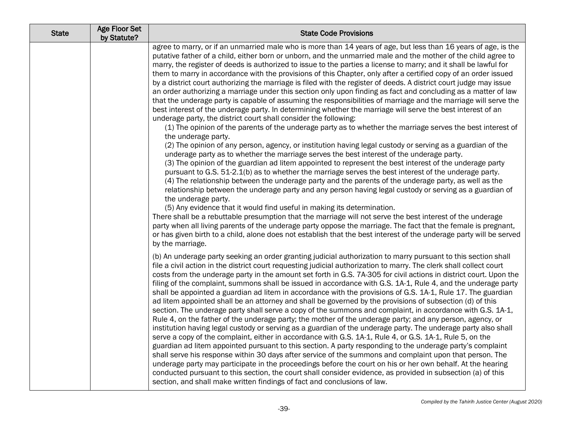| <b>State</b> | <b>Age Floor Set</b><br>by Statute? | <b>State Code Provisions</b>                                                                                                                                                                                                                                                                                                                                                                                                                                                                                                                                                                                                                                                                                                                                                                                                                                                                                                                                                                                                                                                                                                                                                                                                                                                                                                                                                                                                                                                                                                                                                                                                                                                                                                                                                                                                                                                                                                                                                                                                                                                                                                                                                                                                                                                                  |
|--------------|-------------------------------------|-----------------------------------------------------------------------------------------------------------------------------------------------------------------------------------------------------------------------------------------------------------------------------------------------------------------------------------------------------------------------------------------------------------------------------------------------------------------------------------------------------------------------------------------------------------------------------------------------------------------------------------------------------------------------------------------------------------------------------------------------------------------------------------------------------------------------------------------------------------------------------------------------------------------------------------------------------------------------------------------------------------------------------------------------------------------------------------------------------------------------------------------------------------------------------------------------------------------------------------------------------------------------------------------------------------------------------------------------------------------------------------------------------------------------------------------------------------------------------------------------------------------------------------------------------------------------------------------------------------------------------------------------------------------------------------------------------------------------------------------------------------------------------------------------------------------------------------------------------------------------------------------------------------------------------------------------------------------------------------------------------------------------------------------------------------------------------------------------------------------------------------------------------------------------------------------------------------------------------------------------------------------------------------------------|
|              |                                     | agree to marry, or if an unmarried male who is more than 14 years of age, but less than 16 years of age, is the<br>putative father of a child, either born or unborn, and the unmarried male and the mother of the child agree to<br>marry, the register of deeds is authorized to issue to the parties a license to marry; and it shall be lawful for<br>them to marry in accordance with the provisions of this Chapter, only after a certified copy of an order issued<br>by a district court authorizing the marriage is filed with the register of deeds. A district court judge may issue<br>an order authorizing a marriage under this section only upon finding as fact and concluding as a matter of law<br>that the underage party is capable of assuming the responsibilities of marriage and the marriage will serve the<br>best interest of the underage party. In determining whether the marriage will serve the best interest of an<br>underage party, the district court shall consider the following:<br>(1) The opinion of the parents of the underage party as to whether the marriage serves the best interest of<br>the underage party.<br>(2) The opinion of any person, agency, or institution having legal custody or serving as a guardian of the<br>underage party as to whether the marriage serves the best interest of the underage party.<br>(3) The opinion of the guardian ad litem appointed to represent the best interest of the underage party<br>pursuant to G.S. 51-2.1(b) as to whether the marriage serves the best interest of the underage party.<br>(4) The relationship between the underage party and the parents of the underage party, as well as the<br>relationship between the underage party and any person having legal custody or serving as a guardian of<br>the underage party.<br>(5) Any evidence that it would find useful in making its determination.<br>There shall be a rebuttable presumption that the marriage will not serve the best interest of the underage<br>party when all living parents of the underage party oppose the marriage. The fact that the female is pregnant,<br>or has given birth to a child, alone does not establish that the best interest of the underage party will be served<br>by the marriage. |
|              |                                     | (b) An underage party seeking an order granting judicial authorization to marry pursuant to this section shall<br>file a civil action in the district court requesting judicial authorization to marry. The clerk shall collect court<br>costs from the underage party in the amount set forth in G.S. 7A-305 for civil actions in district court. Upon the<br>filing of the complaint, summons shall be issued in accordance with G.S. 1A-1, Rule 4, and the underage party<br>shall be appointed a guardian ad litem in accordance with the provisions of G.S. 1A-1, Rule 17. The guardian<br>ad litem appointed shall be an attorney and shall be governed by the provisions of subsection (d) of this<br>section. The underage party shall serve a copy of the summons and complaint, in accordance with G.S. 1A-1,<br>Rule 4, on the father of the underage party; the mother of the underage party; and any person, agency, or<br>institution having legal custody or serving as a guardian of the underage party. The underage party also shall<br>serve a copy of the complaint, either in accordance with G.S. 1A-1, Rule 4, or G.S. 1A-1, Rule 5, on the<br>guardian ad litem appointed pursuant to this section. A party responding to the underage party's complaint<br>shall serve his response within 30 days after service of the summons and complaint upon that person. The<br>underage party may participate in the proceedings before the court on his or her own behalf. At the hearing<br>conducted pursuant to this section, the court shall consider evidence, as provided in subsection (a) of this<br>section, and shall make written findings of fact and conclusions of law.                                                                                                                                                                                                                                                                                                                                                                                                                                                                                                                                                                                       |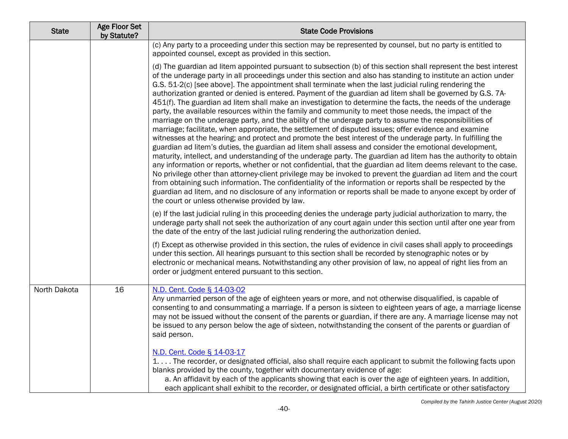| <b>State</b> | Age Floor Set<br>by Statute? | <b>State Code Provisions</b>                                                                                                                                                                                                                                                                                                                                                                                                                                                                                                                                                                                                                                                                                                                                                                                                                                                                                                                                                                                                                                                                                                                                                                                                                                                                                                                                                                                                                                                                                                                                                                                                                                                                                                                                                |
|--------------|------------------------------|-----------------------------------------------------------------------------------------------------------------------------------------------------------------------------------------------------------------------------------------------------------------------------------------------------------------------------------------------------------------------------------------------------------------------------------------------------------------------------------------------------------------------------------------------------------------------------------------------------------------------------------------------------------------------------------------------------------------------------------------------------------------------------------------------------------------------------------------------------------------------------------------------------------------------------------------------------------------------------------------------------------------------------------------------------------------------------------------------------------------------------------------------------------------------------------------------------------------------------------------------------------------------------------------------------------------------------------------------------------------------------------------------------------------------------------------------------------------------------------------------------------------------------------------------------------------------------------------------------------------------------------------------------------------------------------------------------------------------------------------------------------------------------|
|              |                              | (c) Any party to a proceeding under this section may be represented by counsel, but no party is entitled to<br>appointed counsel, except as provided in this section.                                                                                                                                                                                                                                                                                                                                                                                                                                                                                                                                                                                                                                                                                                                                                                                                                                                                                                                                                                                                                                                                                                                                                                                                                                                                                                                                                                                                                                                                                                                                                                                                       |
|              |                              | (d) The guardian ad litem appointed pursuant to subsection (b) of this section shall represent the best interest<br>of the underage party in all proceedings under this section and also has standing to institute an action under<br>G.S. 51-2(c) [see above]. The appointment shall terminate when the last judicial ruling rendering the<br>authorization granted or denied is entered. Payment of the guardian ad litem shall be governed by G.S. 7A-<br>451(f). The guardian ad litem shall make an investigation to determine the facts, the needs of the underage<br>party, the available resources within the family and community to meet those needs, the impact of the<br>marriage on the underage party, and the ability of the underage party to assume the responsibilities of<br>marriage; facilitate, when appropriate, the settlement of disputed issues; offer evidence and examine<br>witnesses at the hearing; and protect and promote the best interest of the underage party. In fulfilling the<br>guardian ad litem's duties, the guardian ad litem shall assess and consider the emotional development,<br>maturity, intellect, and understanding of the underage party. The guardian ad litem has the authority to obtain<br>any information or reports, whether or not confidential, that the guardian ad litem deems relevant to the case.<br>No privilege other than attorney-client privilege may be invoked to prevent the guardian ad litem and the court<br>from obtaining such information. The confidentiality of the information or reports shall be respected by the<br>guardian ad litem, and no disclosure of any information or reports shall be made to anyone except by order of<br>the court or unless otherwise provided by law. |
|              |                              | (e) If the last judicial ruling in this proceeding denies the underage party judicial authorization to marry, the<br>underage party shall not seek the authorization of any court again under this section until after one year from<br>the date of the entry of the last judicial ruling rendering the authorization denied.                                                                                                                                                                                                                                                                                                                                                                                                                                                                                                                                                                                                                                                                                                                                                                                                                                                                                                                                                                                                                                                                                                                                                                                                                                                                                                                                                                                                                                               |
|              |                              | (f) Except as otherwise provided in this section, the rules of evidence in civil cases shall apply to proceedings<br>under this section. All hearings pursuant to this section shall be recorded by stenographic notes or by<br>electronic or mechanical means. Notwithstanding any other provision of law, no appeal of right lies from an<br>order or judgment entered pursuant to this section.                                                                                                                                                                                                                                                                                                                                                                                                                                                                                                                                                                                                                                                                                                                                                                                                                                                                                                                                                                                                                                                                                                                                                                                                                                                                                                                                                                          |
| North Dakota | 16                           | N.D. Cent. Code § 14-03-02<br>Any unmarried person of the age of eighteen years or more, and not otherwise disqualified, is capable of<br>consenting to and consummating a marriage. If a person is sixteen to eighteen years of age, a marriage license<br>may not be issued without the consent of the parents or guardian, if there are any. A marriage license may not<br>be issued to any person below the age of sixteen, notwithstanding the consent of the parents or guardian of<br>said person.                                                                                                                                                                                                                                                                                                                                                                                                                                                                                                                                                                                                                                                                                                                                                                                                                                                                                                                                                                                                                                                                                                                                                                                                                                                                   |
|              |                              | N.D. Cent. Code § 14-03-17<br>1 The recorder, or designated official, also shall require each applicant to submit the following facts upon<br>blanks provided by the county, together with documentary evidence of age:<br>a. An affidavit by each of the applicants showing that each is over the age of eighteen years. In addition,<br>each applicant shall exhibit to the recorder, or designated official, a birth certificate or other satisfactory                                                                                                                                                                                                                                                                                                                                                                                                                                                                                                                                                                                                                                                                                                                                                                                                                                                                                                                                                                                                                                                                                                                                                                                                                                                                                                                   |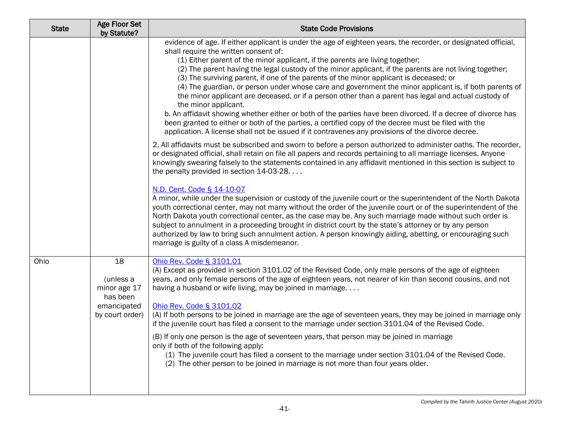| <b>State</b> | Age Floor Set<br>by Statute?                                                  | <b>State Code Provisions</b>                                                                                                                                                                                                                                                                                                                                                                                                                                                                                                                                                                                                                                                                                                                                                                                                                                                                                                                                                                                                                                 |
|--------------|-------------------------------------------------------------------------------|--------------------------------------------------------------------------------------------------------------------------------------------------------------------------------------------------------------------------------------------------------------------------------------------------------------------------------------------------------------------------------------------------------------------------------------------------------------------------------------------------------------------------------------------------------------------------------------------------------------------------------------------------------------------------------------------------------------------------------------------------------------------------------------------------------------------------------------------------------------------------------------------------------------------------------------------------------------------------------------------------------------------------------------------------------------|
|              |                                                                               | evidence of age. If either applicant is under the age of eighteen years, the recorder, or designated official,<br>shall require the written consent of:<br>(1) Either parent of the minor applicant, if the parents are living together;<br>(2) The parent having the legal custody of the minor applicant, if the parents are not living together;<br>(3) The surviving parent, if one of the parents of the minor applicant is deceased; or<br>(4) The guardian, or person under whose care and government the minor applicant is, if both parents of<br>the minor applicant are deceased, or if a person other than a parent has legal and actual custody of<br>the minor applicant.<br>b. An affidavit showing whether either or both of the parties have been divorced. If a decree of divorce has<br>been granted to either or both of the parties, a certified copy of the decree must be filed with the<br>application. A license shall not be issued if it contravenes any provisions of the divorce decree.                                        |
|              |                                                                               | 2. All affidavits must be subscribed and sworn to before a person authorized to administer oaths. The recorder,<br>or designated official, shall retain on file all papers and records pertaining to all marriage licenses. Anyone<br>knowingly swearing falsely to the statements contained in any affidavit mentioned in this section is subject to<br>the penalty provided in section 14-03-28.<br>N.D. Cent. Code § 14-10-07<br>A minor, while under the supervision or custody of the juvenile court or the superintendent of the North Dakota<br>youth correctional center, may not marry without the order of the juvenile court or of the superintendent of the<br>North Dakota youth correctional center, as the case may be. Any such marriage made without such order is<br>subject to annulment in a proceeding brought in district court by the state's attorney or by any person<br>authorized by law to bring such annulment action. A person knowingly aiding, abetting, or encouraging such<br>marriage is guilty of a class A misdemeanor. |
| Ohio         | 18<br>(unless a<br>minor age 17<br>has been<br>emancipated<br>by court order) | Ohio Rev. Code § 3101.01<br>(A) Except as provided in section 3101.02 of the Revised Code, only male persons of the age of eighteen<br>years, and only female persons of the age of eighteen years, not nearer of kin than second cousins, and not<br>having a husband or wife living, may be joined in marriage<br>Ohio Rev. Code § 3101.02<br>(A) If both persons to be joined in marriage are the age of seventeen years, they may be joined in marriage only<br>if the juvenile court has filed a consent to the marriage under section 3101.04 of the Revised Code.<br>(B) If only one person is the age of seventeen years, that person may be joined in marriage<br>only if both of the following apply:<br>(1) The juvenile court has filed a consent to the marriage under section 3101.04 of the Revised Code.<br>(2) The other person to be joined in marriage is not more than four years older.                                                                                                                                                 |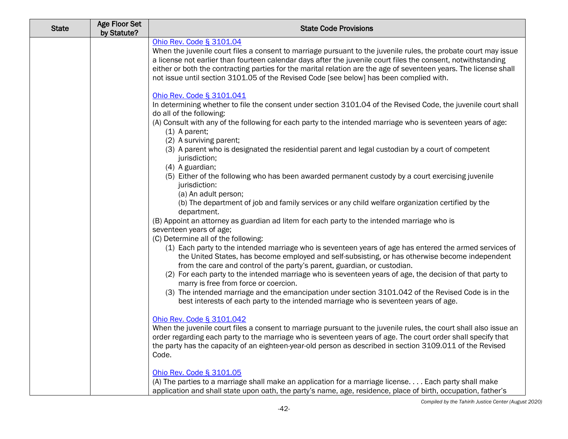| <b>State</b> | <b>Age Floor Set</b><br>by Statute? | <b>State Code Provisions</b>                                                                                                                                                                                                                                                                                                                                                                                                                                                 |
|--------------|-------------------------------------|------------------------------------------------------------------------------------------------------------------------------------------------------------------------------------------------------------------------------------------------------------------------------------------------------------------------------------------------------------------------------------------------------------------------------------------------------------------------------|
|              |                                     | Ohio Rev. Code § 3101.04<br>When the juvenile court files a consent to marriage pursuant to the juvenile rules, the probate court may issue<br>a license not earlier than fourteen calendar days after the juvenile court files the consent, notwithstanding<br>either or both the contracting parties for the marital relation are the age of seventeen years. The license shall<br>not issue until section 3101.05 of the Revised Code [see below] has been complied with. |
|              |                                     | Ohio Rev. Code § 3101.041<br>In determining whether to file the consent under section 3101.04 of the Revised Code, the juvenile court shall<br>do all of the following:<br>(A) Consult with any of the following for each party to the intended marriage who is seventeen years of age:<br>$(1)$ A parent;                                                                                                                                                                   |
|              |                                     | (2) A surviving parent;<br>(3) A parent who is designated the residential parent and legal custodian by a court of competent<br>jurisdiction;<br>(4) A guardian;                                                                                                                                                                                                                                                                                                             |
|              |                                     | (5) Either of the following who has been awarded permanent custody by a court exercising juvenile<br>jurisdiction:<br>(a) An adult person;<br>(b) The department of job and family services or any child welfare organization certified by the                                                                                                                                                                                                                               |
|              |                                     | department.<br>(B) Appoint an attorney as guardian ad litem for each party to the intended marriage who is<br>seventeen years of age;<br>(C) Determine all of the following:                                                                                                                                                                                                                                                                                                 |
|              |                                     | (1) Each party to the intended marriage who is seventeen years of age has entered the armed services of<br>the United States, has become employed and self-subsisting, or has otherwise become independent<br>from the care and control of the party's parent, guardian, or custodian.                                                                                                                                                                                       |
|              |                                     | (2) For each party to the intended marriage who is seventeen years of age, the decision of that party to<br>marry is free from force or coercion.<br>(3) The intended marriage and the emancipation under section 3101.042 of the Revised Code is in the<br>best interests of each party to the intended marriage who is seventeen years of age.                                                                                                                             |
|              |                                     | Ohio Rev. Code § 3101.042<br>When the juvenile court files a consent to marriage pursuant to the juvenile rules, the court shall also issue an<br>order regarding each party to the marriage who is seventeen years of age. The court order shall specify that<br>the party has the capacity of an eighteen-year-old person as described in section 3109.011 of the Revised<br>Code.                                                                                         |
|              |                                     | Ohio Rev. Code § 3101.05<br>(A) The parties to a marriage shall make an application for a marriage license Each party shall make<br>application and shall state upon oath, the party's name, age, residence, place of birth, occupation, father's                                                                                                                                                                                                                            |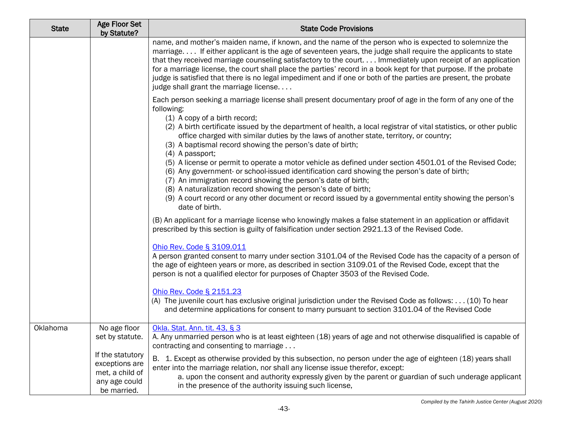| <b>State</b> | Age Floor Set<br>by Statute?                                                          | <b>State Code Provisions</b>                                                                                                                                                                                                                                                                                                                                                                                                                                                                                                                                                                                          |
|--------------|---------------------------------------------------------------------------------------|-----------------------------------------------------------------------------------------------------------------------------------------------------------------------------------------------------------------------------------------------------------------------------------------------------------------------------------------------------------------------------------------------------------------------------------------------------------------------------------------------------------------------------------------------------------------------------------------------------------------------|
|              |                                                                                       | name, and mother's maiden name, if known, and the name of the person who is expected to solemnize the<br>marriage If either applicant is the age of seventeen years, the judge shall require the applicants to state<br>that they received marriage counseling satisfactory to the court Immediately upon receipt of an application<br>for a marriage license, the court shall place the parties' record in a book kept for that purpose. If the probate<br>judge is satisfied that there is no legal impediment and if one or both of the parties are present, the probate<br>judge shall grant the marriage license |
|              |                                                                                       | Each person seeking a marriage license shall present documentary proof of age in the form of any one of the<br>following:<br>(1) A copy of a birth record;<br>(2) A birth certificate issued by the department of health, a local registrar of vital statistics, or other public<br>office charged with similar duties by the laws of another state, territory, or country;<br>(3) A baptismal record showing the person's date of birth;<br>$(4)$ A passport;                                                                                                                                                        |
|              |                                                                                       | (5) A license or permit to operate a motor vehicle as defined under section 4501.01 of the Revised Code;<br>(6) Any government- or school-issued identification card showing the person's date of birth;<br>(7) An immigration record showing the person's date of birth;<br>(8) A naturalization record showing the person's date of birth;<br>(9) A court record or any other document or record issued by a governmental entity showing the person's<br>date of birth.                                                                                                                                             |
|              |                                                                                       | (B) An applicant for a marriage license who knowingly makes a false statement in an application or affidavit<br>prescribed by this section is guilty of falsification under section 2921.13 of the Revised Code.                                                                                                                                                                                                                                                                                                                                                                                                      |
|              |                                                                                       | Ohio Rev. Code § 3109.011<br>A person granted consent to marry under section 3101.04 of the Revised Code has the capacity of a person of<br>the age of eighteen years or more, as described in section 3109.01 of the Revised Code, except that the<br>person is not a qualified elector for purposes of Chapter 3503 of the Revised Code.                                                                                                                                                                                                                                                                            |
|              |                                                                                       | Ohio Rev. Code § 2151.23<br>(A) The juvenile court has exclusive original jurisdiction under the Revised Code as follows: (10) To hear<br>and determine applications for consent to marry pursuant to section 3101.04 of the Revised Code                                                                                                                                                                                                                                                                                                                                                                             |
| Oklahoma     | No age floor<br>set by statute.                                                       | Okla. Stat. Ann. tit. 43, § 3<br>A. Any unmarried person who is at least eighteen (18) years of age and not otherwise disqualified is capable of<br>contracting and consenting to marriage                                                                                                                                                                                                                                                                                                                                                                                                                            |
|              | If the statutory<br>exceptions are<br>met, a child of<br>any age could<br>be married. | B. 1. Except as otherwise provided by this subsection, no person under the age of eighteen (18) years shall<br>enter into the marriage relation, nor shall any license issue therefor, except:<br>a. upon the consent and authority expressly given by the parent or guardian of such underage applicant<br>in the presence of the authority issuing such license,                                                                                                                                                                                                                                                    |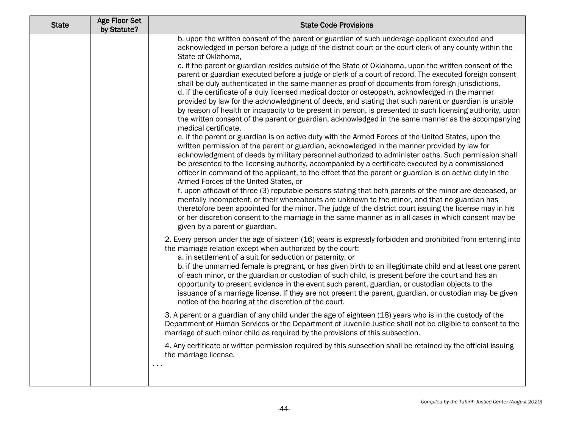| b. upon the written consent of the parent or guardian of such underage applicant executed and<br>acknowledged in person before a judge of the district court or the court clerk of any county within the<br>State of Oklahoma,                                                                                                                                                                                                                                                                                                                                                                                                                                                                                                                                                                                                                                                                                                                                                                                                                                                                                                                                                                                                                                                                                                                                                                                                                                                                                                                                                                                                                                                                                                                                                                                      |
|---------------------------------------------------------------------------------------------------------------------------------------------------------------------------------------------------------------------------------------------------------------------------------------------------------------------------------------------------------------------------------------------------------------------------------------------------------------------------------------------------------------------------------------------------------------------------------------------------------------------------------------------------------------------------------------------------------------------------------------------------------------------------------------------------------------------------------------------------------------------------------------------------------------------------------------------------------------------------------------------------------------------------------------------------------------------------------------------------------------------------------------------------------------------------------------------------------------------------------------------------------------------------------------------------------------------------------------------------------------------------------------------------------------------------------------------------------------------------------------------------------------------------------------------------------------------------------------------------------------------------------------------------------------------------------------------------------------------------------------------------------------------------------------------------------------------|
| c. if the parent or guardian resides outside of the State of Oklahoma, upon the written consent of the<br>parent or guardian executed before a judge or clerk of a court of record. The executed foreign consent<br>shall be duly authenticated in the same manner as proof of documents from foreign jurisdictions,<br>d. if the certificate of a duly licensed medical doctor or osteopath, acknowledged in the manner<br>provided by law for the acknowledgment of deeds, and stating that such parent or guardian is unable<br>by reason of health or incapacity to be present in person, is presented to such licensing authority, upon<br>the written consent of the parent or guardian, acknowledged in the same manner as the accompanying<br>medical certificate,<br>e. if the parent or guardian is on active duty with the Armed Forces of the United States, upon the<br>written permission of the parent or guardian, acknowledged in the manner provided by law for<br>acknowledgment of deeds by military personnel authorized to administer oaths. Such permission shall<br>be presented to the licensing authority, accompanied by a certificate executed by a commissioned<br>officer in command of the applicant, to the effect that the parent or guardian is on active duty in the<br>Armed Forces of the United States, or<br>f. upon affidavit of three (3) reputable persons stating that both parents of the minor are deceased, or<br>mentally incompetent, or their whereabouts are unknown to the minor, and that no guardian has<br>theretofore been appointed for the minor. The judge of the district court issuing the license may in his<br>or her discretion consent to the marriage in the same manner as in all cases in which consent may be<br>given by a parent or guardian. |
| 2. Every person under the age of sixteen (16) years is expressly forbidden and prohibited from entering into<br>the marriage relation except when authorized by the court:<br>a. in settlement of a suit for seduction or paternity, or<br>b. if the unmarried female is pregnant, or has given birth to an illegitimate child and at least one parent<br>of each minor, or the guardian or custodian of such child, is present before the court and has an<br>opportunity to present evidence in the event such parent, guardian, or custodian objects to the<br>issuance of a marriage license. If they are not present the parent, guardian, or custodian may be given<br>notice of the hearing at the discretion of the court.<br>3. A parent or a guardian of any child under the age of eighteen (18) years who is in the custody of the<br>Department of Human Services or the Department of Juvenile Justice shall not be eligible to consent to the<br>marriage of such minor child as required by the provisions of this subsection.<br>4. Any certificate or written permission required by this subsection shall be retained by the official issuing<br>the marriage license.<br>$\sim$ $\sim$ $\sim$                                                                                                                                                                                                                                                                                                                                                                                                                                                                                                                                                                                                   |
|                                                                                                                                                                                                                                                                                                                                                                                                                                                                                                                                                                                                                                                                                                                                                                                                                                                                                                                                                                                                                                                                                                                                                                                                                                                                                                                                                                                                                                                                                                                                                                                                                                                                                                                                                                                                                     |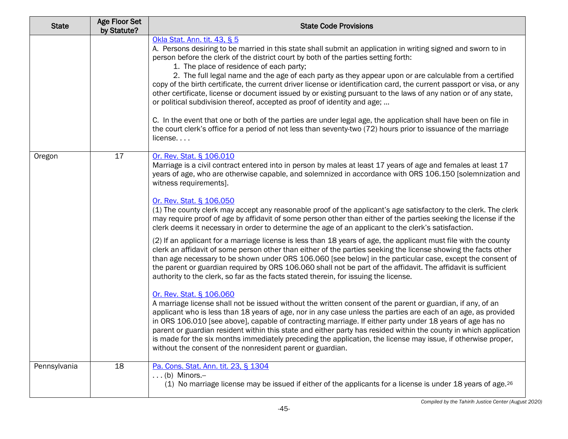| <b>State</b> | <b>Age Floor Set</b><br>by Statute? | <b>State Code Provisions</b>                                                                                                                                                                                                                                                                                                                                                                                                                                                                                                                                                                                                                                                                                                                                                                                                                                                                                                                                                                                                                                                                                                                                                                                              |
|--------------|-------------------------------------|---------------------------------------------------------------------------------------------------------------------------------------------------------------------------------------------------------------------------------------------------------------------------------------------------------------------------------------------------------------------------------------------------------------------------------------------------------------------------------------------------------------------------------------------------------------------------------------------------------------------------------------------------------------------------------------------------------------------------------------------------------------------------------------------------------------------------------------------------------------------------------------------------------------------------------------------------------------------------------------------------------------------------------------------------------------------------------------------------------------------------------------------------------------------------------------------------------------------------|
|              |                                     | Okla Stat. Ann. tit. 43, § 5<br>A. Persons desiring to be married in this state shall submit an application in writing signed and sworn to in<br>person before the clerk of the district court by both of the parties setting forth:<br>1. The place of residence of each party;<br>2. The full legal name and the age of each party as they appear upon or are calculable from a certified<br>copy of the birth certificate, the current driver license or identification card, the current passport or visa, or any<br>other certificate, license or document issued by or existing pursuant to the laws of any nation or of any state,<br>or political subdivision thereof, accepted as proof of identity and age;<br>C. In the event that one or both of the parties are under legal age, the application shall have been on file in<br>the court clerk's office for a period of not less than seventy-two (72) hours prior to issuance of the marriage<br>$license. \ldots$                                                                                                                                                                                                                                          |
| Oregon       | 17                                  | Or. Rev. Stat. § 106.010<br>Marriage is a civil contract entered into in person by males at least 17 years of age and females at least 17<br>years of age, who are otherwise capable, and solemnized in accordance with ORS 106.150 [solemnization and<br>witness requirements].<br>Or. Rev. Stat. § 106.050<br>(1) The county clerk may accept any reasonable proof of the applicant's age satisfactory to the clerk. The clerk<br>may require proof of age by affidavit of some person other than either of the parties seeking the license if the<br>clerk deems it necessary in order to determine the age of an applicant to the clerk's satisfaction.<br>(2) If an applicant for a marriage license is less than 18 years of age, the applicant must file with the county<br>clerk an affidavit of some person other than either of the parties seeking the license showing the facts other<br>than age necessary to be shown under ORS 106.060 [see below] in the particular case, except the consent of<br>the parent or guardian required by ORS 106.060 shall not be part of the affidavit. The affidavit is sufficient<br>authority to the clerk, so far as the facts stated therein, for issuing the license. |
|              |                                     | Or. Rev. Stat. § 106.060<br>A marriage license shall not be issued without the written consent of the parent or guardian, if any, of an<br>applicant who is less than 18 years of age, nor in any case unless the parties are each of an age, as provided<br>in ORS 106.010 [see above], capable of contracting marriage. If either party under 18 years of age has no<br>parent or guardian resident within this state and either party has resided within the county in which application<br>is made for the six months immediately preceding the application, the license may issue, if otherwise proper,<br>without the consent of the nonresident parent or guardian.                                                                                                                                                                                                                                                                                                                                                                                                                                                                                                                                                |
| Pennsylvania | 18                                  | Pa. Cons. Stat. Ann. tit. 23, § 1304<br>$\ldots$ (b) Minors.-<br>(1) No marriage license may be issued if either of the applicants for a license is under 18 years of age. <sup>26</sup>                                                                                                                                                                                                                                                                                                                                                                                                                                                                                                                                                                                                                                                                                                                                                                                                                                                                                                                                                                                                                                  |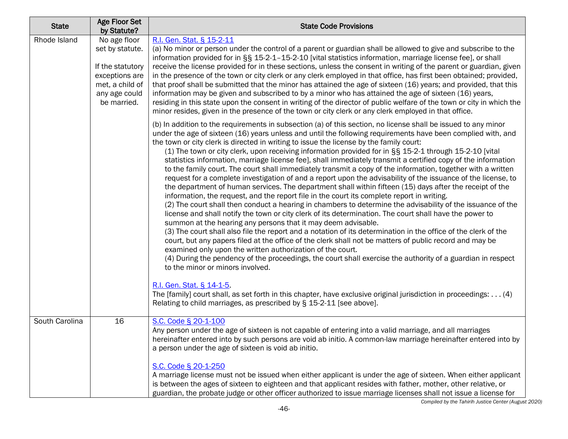| <b>State</b>   | Age Floor Set<br>by Statute?                                                                                             | <b>State Code Provisions</b>                                                                                                                                                                                                                                                                                                                                                                                                                                                                                                                                                                                                                                                                                                                                                                                                                                                                                                                                                                                                                                                                                                                                                                                                                                                                                                                                                                                                                                                                                                                                                                                                                                                                                                                                                                                                                                                                                                                                      |
|----------------|--------------------------------------------------------------------------------------------------------------------------|-------------------------------------------------------------------------------------------------------------------------------------------------------------------------------------------------------------------------------------------------------------------------------------------------------------------------------------------------------------------------------------------------------------------------------------------------------------------------------------------------------------------------------------------------------------------------------------------------------------------------------------------------------------------------------------------------------------------------------------------------------------------------------------------------------------------------------------------------------------------------------------------------------------------------------------------------------------------------------------------------------------------------------------------------------------------------------------------------------------------------------------------------------------------------------------------------------------------------------------------------------------------------------------------------------------------------------------------------------------------------------------------------------------------------------------------------------------------------------------------------------------------------------------------------------------------------------------------------------------------------------------------------------------------------------------------------------------------------------------------------------------------------------------------------------------------------------------------------------------------------------------------------------------------------------------------------------------------|
| Rhode Island   | No age floor<br>set by statute.<br>If the statutory<br>exceptions are<br>met, a child of<br>any age could<br>be married. | R.I. Gen. Stat. § 15-2-11<br>(a) No minor or person under the control of a parent or guardian shall be allowed to give and subscribe to the<br>information provided for in §§ 15-2-1-15-2-10 [vital statistics information, marriage license fee], or shall<br>receive the license provided for in these sections, unless the consent in writing of the parent or guardian, given<br>in the presence of the town or city clerk or any clerk employed in that office, has first been obtained; provided,<br>that proof shall be submitted that the minor has attained the age of sixteen (16) years; and provided, that this<br>information may be given and subscribed to by a minor who has attained the age of sixteen (16) years,<br>residing in this state upon the consent in writing of the director of public welfare of the town or city in which the<br>minor resides, given in the presence of the town or city clerk or any clerk employed in that office.                                                                                                                                                                                                                                                                                                                                                                                                                                                                                                                                                                                                                                                                                                                                                                                                                                                                                                                                                                                             |
|                |                                                                                                                          | (b) In addition to the requirements in subsection (a) of this section, no license shall be issued to any minor<br>under the age of sixteen (16) years unless and until the following requirements have been complied with, and<br>the town or city clerk is directed in writing to issue the license by the family court:<br>(1) The town or city clerk, upon receiving information provided for in §§ 15-2-1 through 15-2-10 [vital<br>statistics information, marriage license fee], shall immediately transmit a certified copy of the information<br>to the family court. The court shall immediately transmit a copy of the information, together with a written<br>request for a complete investigation of and a report upon the advisability of the issuance of the license, to<br>the department of human services. The department shall within fifteen (15) days after the receipt of the<br>information, the request, and the report file in the court its complete report in writing.<br>(2) The court shall then conduct a hearing in chambers to determine the advisability of the issuance of the<br>license and shall notify the town or city clerk of its determination. The court shall have the power to<br>summon at the hearing any persons that it may deem advisable.<br>(3) The court shall also file the report and a notation of its determination in the office of the clerk of the<br>court, but any papers filed at the office of the clerk shall not be matters of public record and may be<br>examined only upon the written authorization of the court.<br>(4) During the pendency of the proceedings, the court shall exercise the authority of a guardian in respect<br>to the minor or minors involved.<br>R.I. Gen. Stat. § 14-1-5<br>The [family] court shall, as set forth in this chapter, have exclusive original jurisdiction in proceedings: (4)<br>Relating to child marriages, as prescribed by § 15-2-11 [see above]. |
| South Carolina | 16                                                                                                                       | S.C. Code § 20-1-100<br>Any person under the age of sixteen is not capable of entering into a valid marriage, and all marriages<br>hereinafter entered into by such persons are void ab initio. A common-law marriage hereinafter entered into by<br>a person under the age of sixteen is void ab initio.<br>S.C. Code § 20-1-250                                                                                                                                                                                                                                                                                                                                                                                                                                                                                                                                                                                                                                                                                                                                                                                                                                                                                                                                                                                                                                                                                                                                                                                                                                                                                                                                                                                                                                                                                                                                                                                                                                 |
|                |                                                                                                                          | A marriage license must not be issued when either applicant is under the age of sixteen. When either applicant<br>is between the ages of sixteen to eighteen and that applicant resides with father, mother, other relative, or<br>guardian, the probate judge or other officer authorized to issue marriage licenses shall not issue a license for                                                                                                                                                                                                                                                                                                                                                                                                                                                                                                                                                                                                                                                                                                                                                                                                                                                                                                                                                                                                                                                                                                                                                                                                                                                                                                                                                                                                                                                                                                                                                                                                               |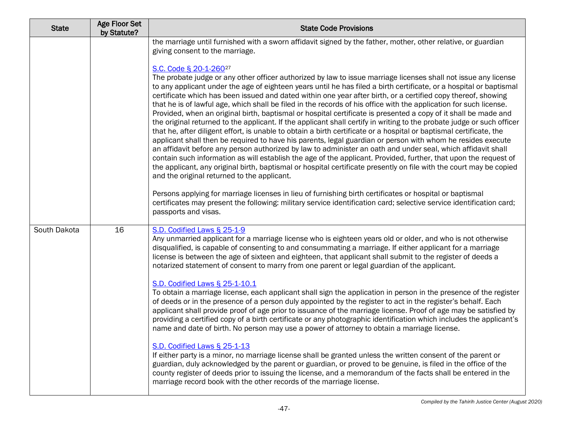| <b>State</b> | Age Floor Set<br>by Statute? | <b>State Code Provisions</b>                                                                                                                                                                                                                                                                                                                                                                                                                                                                                                                                                                                                                                                                                                                                                                                                                                                                                                                                                                                                                                                                                                                                                                                                                                                                                                                                                                                                                                                                                                                                                                                                                                                                                                                                                                             |
|--------------|------------------------------|----------------------------------------------------------------------------------------------------------------------------------------------------------------------------------------------------------------------------------------------------------------------------------------------------------------------------------------------------------------------------------------------------------------------------------------------------------------------------------------------------------------------------------------------------------------------------------------------------------------------------------------------------------------------------------------------------------------------------------------------------------------------------------------------------------------------------------------------------------------------------------------------------------------------------------------------------------------------------------------------------------------------------------------------------------------------------------------------------------------------------------------------------------------------------------------------------------------------------------------------------------------------------------------------------------------------------------------------------------------------------------------------------------------------------------------------------------------------------------------------------------------------------------------------------------------------------------------------------------------------------------------------------------------------------------------------------------------------------------------------------------------------------------------------------------|
|              |                              | the marriage until furnished with a sworn affidavit signed by the father, mother, other relative, or guardian<br>giving consent to the marriage.<br>S.C. Code § 20-1-260 <sup>27</sup><br>The probate judge or any other officer authorized by law to issue marriage licenses shall not issue any license<br>to any applicant under the age of eighteen years until he has filed a birth certificate, or a hospital or baptismal<br>certificate which has been issued and dated within one year after birth, or a certified copy thereof, showing<br>that he is of lawful age, which shall be filed in the records of his office with the application for such license.<br>Provided, when an original birth, baptismal or hospital certificate is presented a copy of it shall be made and<br>the original returned to the applicant. If the applicant shall certify in writing to the probate judge or such officer<br>that he, after diligent effort, is unable to obtain a birth certificate or a hospital or baptismal certificate, the<br>applicant shall then be required to have his parents, legal guardian or person with whom he resides execute<br>an affidavit before any person authorized by law to administer an oath and under seal, which affidavit shall<br>contain such information as will establish the age of the applicant. Provided, further, that upon the request of<br>the applicant, any original birth, baptismal or hospital certificate presently on file with the court may be copied<br>and the original returned to the applicant.<br>Persons applying for marriage licenses in lieu of furnishing birth certificates or hospital or baptismal<br>certificates may present the following: military service identification card; selective service identification card; |
| South Dakota | 16                           | passports and visas.<br>S.D. Codified Laws § 25-1-9<br>Any unmarried applicant for a marriage license who is eighteen years old or older, and who is not otherwise<br>disqualified, is capable of consenting to and consummating a marriage. If either applicant for a marriage<br>license is between the age of sixteen and eighteen, that applicant shall submit to the register of deeds a<br>notarized statement of consent to marry from one parent or legal guardian of the applicant.<br>S.D. Codified Laws § 25-1-10.1<br>To obtain a marriage license, each applicant shall sign the application in person in the presence of the register<br>of deeds or in the presence of a person duly appointed by the register to act in the register's behalf. Each<br>applicant shall provide proof of age prior to issuance of the marriage license. Proof of age may be satisfied by<br>providing a certified copy of a birth certificate or any photographic identification which includes the applicant's<br>name and date of birth. No person may use a power of attorney to obtain a marriage license.<br>S.D. Codified Laws § 25-1-13<br>If either party is a minor, no marriage license shall be granted unless the written consent of the parent or<br>guardian, duly acknowledged by the parent or guardian, or proved to be genuine, is filed in the office of the<br>county register of deeds prior to issuing the license, and a memorandum of the facts shall be entered in the<br>marriage record book with the other records of the marriage license.                                                                                                                                                                                                                                   |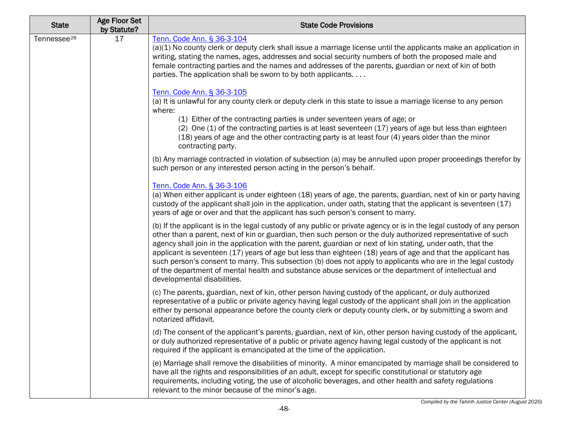| <b>State</b>            | <b>Age Floor Set</b><br>by Statute? | <b>State Code Provisions</b>                                                                                                                                                                                                                                                                                                                                                                                                                                                                                                                                                                                                                                                                                                  |
|-------------------------|-------------------------------------|-------------------------------------------------------------------------------------------------------------------------------------------------------------------------------------------------------------------------------------------------------------------------------------------------------------------------------------------------------------------------------------------------------------------------------------------------------------------------------------------------------------------------------------------------------------------------------------------------------------------------------------------------------------------------------------------------------------------------------|
| Tennessee <sup>28</sup> | 17                                  | Tenn. Code Ann. § 36-3-104<br>(a)(1) No county clerk or deputy clerk shall issue a marriage license until the applicants make an application in<br>writing, stating the names, ages, addresses and social security numbers of both the proposed male and<br>female contracting parties and the names and addresses of the parents, guardian or next of kin of both<br>parties. The application shall be sworn to by both applicants                                                                                                                                                                                                                                                                                           |
|                         |                                     | Tenn. Code Ann. § 36-3-105                                                                                                                                                                                                                                                                                                                                                                                                                                                                                                                                                                                                                                                                                                    |
|                         |                                     | (a) It is unlawful for any county clerk or deputy clerk in this state to issue a marriage license to any person<br>where:                                                                                                                                                                                                                                                                                                                                                                                                                                                                                                                                                                                                     |
|                         |                                     | (1) Either of the contracting parties is under seventeen years of age; or<br>(2) One (1) of the contracting parties is at least seventeen (17) years of age but less than eighteen<br>(18) years of age and the other contracting party is at least four (4) years older than the minor<br>contracting party.                                                                                                                                                                                                                                                                                                                                                                                                                 |
|                         |                                     | (b) Any marriage contracted in violation of subsection (a) may be annulled upon proper proceedings therefor by<br>such person or any interested person acting in the person's behalf.                                                                                                                                                                                                                                                                                                                                                                                                                                                                                                                                         |
|                         |                                     | Tenn. Code Ann. § 36-3-106<br>(a) When either applicant is under eighteen (18) years of age, the parents, guardian, next of kin or party having<br>custody of the applicant shall join in the application, under oath, stating that the applicant is seventeen (17)<br>years of age or over and that the applicant has such person's consent to marry.                                                                                                                                                                                                                                                                                                                                                                        |
|                         |                                     | (b) If the applicant is in the legal custody of any public or private agency or is in the legal custody of any person<br>other than a parent, next of kin or guardian, then such person or the duly authorized representative of such<br>agency shall join in the application with the parent, guardian or next of kin stating, under oath, that the<br>applicant is seventeen (17) years of age but less than eighteen (18) years of age and that the applicant has<br>such person's consent to marry. This subsection (b) does not apply to applicants who are in the legal custody<br>of the department of mental health and substance abuse services or the department of intellectual and<br>developmental disabilities. |
|                         |                                     | (c) The parents, guardian, next of kin, other person having custody of the applicant, or duly authorized<br>representative of a public or private agency having legal custody of the applicant shall join in the application<br>either by personal appearance before the county clerk or deputy county clerk, or by submitting a sworn and<br>notarized affidavit.                                                                                                                                                                                                                                                                                                                                                            |
|                         |                                     | (d) The consent of the applicant's parents, guardian, next of kin, other person having custody of the applicant,<br>or duly authorized representative of a public or private agency having legal custody of the applicant is not<br>required if the applicant is emancipated at the time of the application.                                                                                                                                                                                                                                                                                                                                                                                                                  |
|                         |                                     | (e) Marriage shall remove the disabilities of minority. A minor emancipated by marriage shall be considered to<br>have all the rights and responsibilities of an adult, except for specific constitutional or statutory age<br>requirements, including voting, the use of alcoholic beverages, and other health and safety regulations<br>relevant to the minor because of the minor's age.                                                                                                                                                                                                                                                                                                                                   |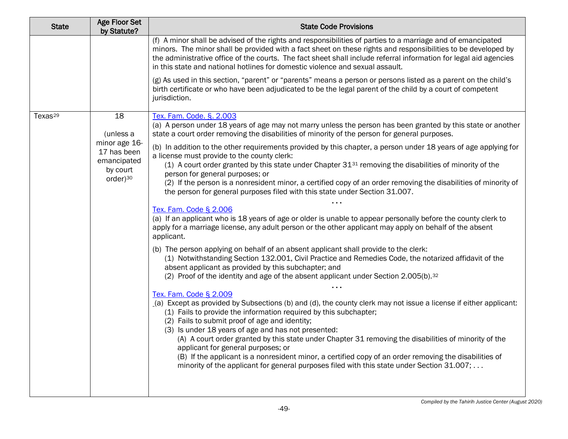| <b>State</b>        | <b>Age Floor Set</b><br>by Statute?                                             | <b>State Code Provisions</b>                                                                                                                                                                                                                                                                                                                                                                                                                                                                                                                                                                                                                                                    |
|---------------------|---------------------------------------------------------------------------------|---------------------------------------------------------------------------------------------------------------------------------------------------------------------------------------------------------------------------------------------------------------------------------------------------------------------------------------------------------------------------------------------------------------------------------------------------------------------------------------------------------------------------------------------------------------------------------------------------------------------------------------------------------------------------------|
|                     |                                                                                 | (f) A minor shall be advised of the rights and responsibilities of parties to a marriage and of emancipated<br>minors. The minor shall be provided with a fact sheet on these rights and responsibilities to be developed by<br>the administrative office of the courts. The fact sheet shall include referral information for legal aid agencies<br>in this state and national hotlines for domestic violence and sexual assault.                                                                                                                                                                                                                                              |
|                     |                                                                                 | (g) As used in this section, "parent" or "parents" means a person or persons listed as a parent on the child's<br>birth certificate or who have been adjudicated to be the legal parent of the child by a court of competent<br>jurisdiction.                                                                                                                                                                                                                                                                                                                                                                                                                                   |
| Texas <sup>29</sup> | 18<br>(unless a                                                                 | Tex. Fam. Code. §. 2.003<br>(a) A person under 18 years of age may not marry unless the person has been granted by this state or another<br>state a court order removing the disabilities of minority of the person for general purposes.                                                                                                                                                                                                                                                                                                                                                                                                                                       |
|                     | minor age 16-<br>17 has been<br>emancipated<br>by court<br>order) <sup>30</sup> | (b) In addition to the other requirements provided by this chapter, a person under 18 years of age applying for<br>a license must provide to the county clerk:<br>$(1)$ A court order granted by this state under Chapter 31 $31$ removing the disabilities of minority of the<br>person for general purposes; or<br>(2) If the person is a nonresident minor, a certified copy of an order removing the disabilities of minority of<br>the person for general purposes filed with this state under Section 31.007.                                                                                                                                                             |
|                     |                                                                                 | Tex. Fam. Code § 2.006<br>(a) If an applicant who is 18 years of age or older is unable to appear personally before the county clerk to<br>apply for a marriage license, any adult person or the other applicant may apply on behalf of the absent<br>applicant.                                                                                                                                                                                                                                                                                                                                                                                                                |
|                     |                                                                                 | (b) The person applying on behalf of an absent applicant shall provide to the clerk:<br>(1) Notwithstanding Section 132.001, Civil Practice and Remedies Code, the notarized affidavit of the<br>absent applicant as provided by this subchapter; and<br>(2) Proof of the identity and age of the absent applicant under Section 2.005(b). <sup>32</sup>                                                                                                                                                                                                                                                                                                                        |
|                     |                                                                                 | Tex. Fam. Code § 2.009<br>(a) Except as provided by Subsections (b) and (d), the county clerk may not issue a license if either applicant:<br>(1) Fails to provide the information required by this subchapter;<br>(2) Fails to submit proof of age and identity;<br>(3) Is under 18 years of age and has not presented:<br>(A) A court order granted by this state under Chapter 31 removing the disabilities of minority of the<br>applicant for general purposes; or<br>(B) If the applicant is a nonresident minor, a certified copy of an order removing the disabilities of<br>minority of the applicant for general purposes filed with this state under Section 31.007; |
|                     |                                                                                 |                                                                                                                                                                                                                                                                                                                                                                                                                                                                                                                                                                                                                                                                                 |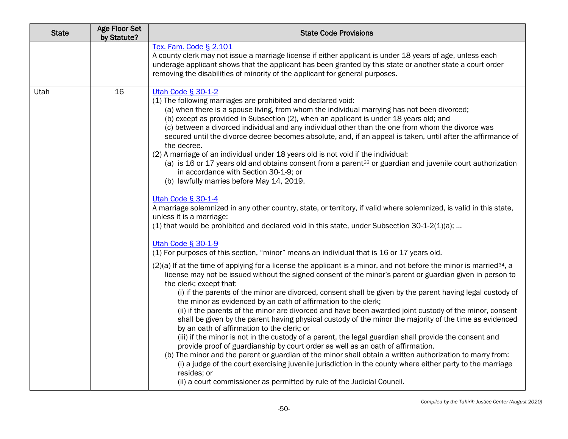| <b>State</b> | <b>Age Floor Set</b><br>by Statute? | <b>State Code Provisions</b>                                                                                                                                                                                                                                                                                                                                                                                                                                                                                                                                                                                                                                                                                                                                                                                                                                                                                                                                                                                                                                                                                                                                                                                                                    |
|--------------|-------------------------------------|-------------------------------------------------------------------------------------------------------------------------------------------------------------------------------------------------------------------------------------------------------------------------------------------------------------------------------------------------------------------------------------------------------------------------------------------------------------------------------------------------------------------------------------------------------------------------------------------------------------------------------------------------------------------------------------------------------------------------------------------------------------------------------------------------------------------------------------------------------------------------------------------------------------------------------------------------------------------------------------------------------------------------------------------------------------------------------------------------------------------------------------------------------------------------------------------------------------------------------------------------|
|              |                                     | Tex. Fam. Code § 2.101<br>A county clerk may not issue a marriage license if either applicant is under 18 years of age, unless each<br>underage applicant shows that the applicant has been granted by this state or another state a court order<br>removing the disabilities of minority of the applicant for general purposes.                                                                                                                                                                                                                                                                                                                                                                                                                                                                                                                                                                                                                                                                                                                                                                                                                                                                                                                |
| Utah         | 16                                  | Utah Code § 30-1-2<br>(1) The following marriages are prohibited and declared void:<br>(a) when there is a spouse living, from whom the individual marrying has not been divorced;<br>(b) except as provided in Subsection (2), when an applicant is under 18 years old; and<br>(c) between a divorced individual and any individual other than the one from whom the divorce was<br>secured until the divorce decree becomes absolute, and, if an appeal is taken, until after the affirmance of<br>the decree.<br>(2) A marriage of an individual under 18 years old is not void if the individual:<br>(a) is 16 or 17 years old and obtains consent from a parent <sup>33</sup> or guardian and juvenile court authorization<br>in accordance with Section 30-1-9; or<br>(b) lawfully marries before May 14, 2019.<br>Utah Code § 30-1-4                                                                                                                                                                                                                                                                                                                                                                                                     |
|              |                                     | A marriage solemnized in any other country, state, or territory, if valid where solemnized, is valid in this state,<br>unless it is a marriage:<br>$(1)$ that would be prohibited and declared void in this state, under Subsection 30-1-2 $(1)(a)$ ;                                                                                                                                                                                                                                                                                                                                                                                                                                                                                                                                                                                                                                                                                                                                                                                                                                                                                                                                                                                           |
|              |                                     | Utah Code § 30-1-9<br>(1) For purposes of this section, "minor" means an individual that is 16 or 17 years old.                                                                                                                                                                                                                                                                                                                                                                                                                                                                                                                                                                                                                                                                                                                                                                                                                                                                                                                                                                                                                                                                                                                                 |
|              |                                     | $(2)(a)$ If at the time of applying for a license the applicant is a minor, and not before the minor is married <sup>34</sup> , a<br>license may not be issued without the signed consent of the minor's parent or guardian given in person to<br>the clerk; except that:<br>(i) if the parents of the minor are divorced, consent shall be given by the parent having legal custody of<br>the minor as evidenced by an oath of affirmation to the clerk;<br>(ii) if the parents of the minor are divorced and have been awarded joint custody of the minor, consent<br>shall be given by the parent having physical custody of the minor the majority of the time as evidenced<br>by an oath of affirmation to the clerk; or<br>(iii) if the minor is not in the custody of a parent, the legal guardian shall provide the consent and<br>provide proof of guardianship by court order as well as an oath of affirmation.<br>(b) The minor and the parent or guardian of the minor shall obtain a written authorization to marry from:<br>(i) a judge of the court exercising juvenile jurisdiction in the county where either party to the marriage<br>resides; or<br>(ii) a court commissioner as permitted by rule of the Judicial Council. |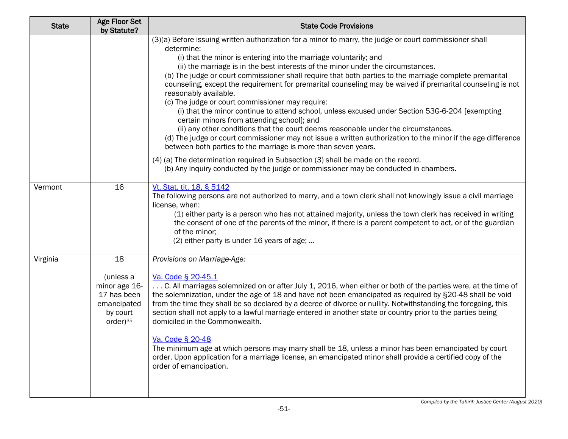| <b>State</b> | <b>Age Floor Set</b><br>by Statute?                                                                | <b>State Code Provisions</b>                                                                                                                                                                                                                                                                                                                                                                                                                                                                                                                                                                                                                                                                                                                                                                                                                                                                                                                                                                                                                                                                                                                                                               |
|--------------|----------------------------------------------------------------------------------------------------|--------------------------------------------------------------------------------------------------------------------------------------------------------------------------------------------------------------------------------------------------------------------------------------------------------------------------------------------------------------------------------------------------------------------------------------------------------------------------------------------------------------------------------------------------------------------------------------------------------------------------------------------------------------------------------------------------------------------------------------------------------------------------------------------------------------------------------------------------------------------------------------------------------------------------------------------------------------------------------------------------------------------------------------------------------------------------------------------------------------------------------------------------------------------------------------------|
|              |                                                                                                    | (3)(a) Before issuing written authorization for a minor to marry, the judge or court commissioner shall<br>determine:<br>(i) that the minor is entering into the marriage voluntarily; and<br>(ii) the marriage is in the best interests of the minor under the circumstances.<br>(b) The judge or court commissioner shall require that both parties to the marriage complete premarital<br>counseling, except the requirement for premarital counseling may be waived if premarital counseling is not<br>reasonably available.<br>(c) The judge or court commissioner may require:<br>(i) that the minor continue to attend school, unless excused under Section 53G-6-204 [exempting<br>certain minors from attending school]; and<br>(ii) any other conditions that the court deems reasonable under the circumstances.<br>(d) The judge or court commissioner may not issue a written authorization to the minor if the age difference<br>between both parties to the marriage is more than seven years.<br>(4) (a) The determination required in Subsection (3) shall be made on the record.<br>(b) Any inquiry conducted by the judge or commissioner may be conducted in chambers. |
| Vermont      | 16                                                                                                 | Vt. Stat. tit. 18, § 5142<br>The following persons are not authorized to marry, and a town clerk shall not knowingly issue a civil marriage<br>license, when:<br>(1) either party is a person who has not attained majority, unless the town clerk has received in writing<br>the consent of one of the parents of the minor, if there is a parent competent to act, or of the guardian<br>of the minor;<br>(2) either party is under 16 years of age;                                                                                                                                                                                                                                                                                                                                                                                                                                                                                                                                                                                                                                                                                                                                     |
| Virginia     | 18<br>(unless a<br>minor age 16-<br>17 has been<br>emancipated<br>by court<br>order) <sup>35</sup> | Provisions on Marriage-Age:<br>Va. Code § 20-45.1<br>C. All marriages solemnized on or after July 1, 2016, when either or both of the parties were, at the time of<br>the solemnization, under the age of 18 and have not been emancipated as required by §20-48 shall be void<br>from the time they shall be so declared by a decree of divorce or nullity. Notwithstanding the foregoing, this<br>section shall not apply to a lawful marriage entered in another state or country prior to the parties being<br>domiciled in the Commonwealth.<br>Va. Code § 20-48<br>The minimum age at which persons may marry shall be 18, unless a minor has been emancipated by court<br>order. Upon application for a marriage license, an emancipated minor shall provide a certified copy of the<br>order of emancipation.                                                                                                                                                                                                                                                                                                                                                                      |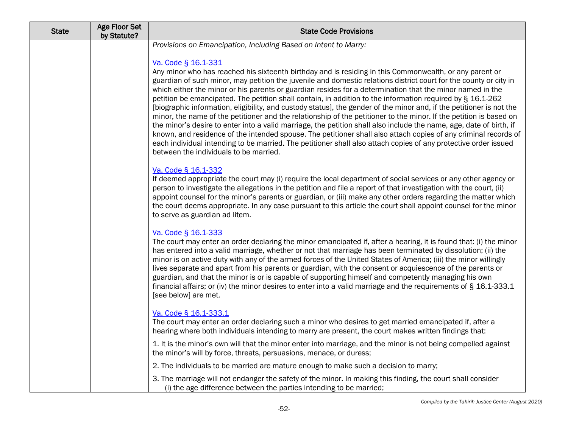| <b>State</b> | <b>Age Floor Set</b><br>by Statute? | <b>State Code Provisions</b>                                                                                                                                                                                                                                                                                                                                                                                                                                                                                                                                                                                                                                                                                                                                                                                                                                                                                                                                                                                                                                                                                                        |
|--------------|-------------------------------------|-------------------------------------------------------------------------------------------------------------------------------------------------------------------------------------------------------------------------------------------------------------------------------------------------------------------------------------------------------------------------------------------------------------------------------------------------------------------------------------------------------------------------------------------------------------------------------------------------------------------------------------------------------------------------------------------------------------------------------------------------------------------------------------------------------------------------------------------------------------------------------------------------------------------------------------------------------------------------------------------------------------------------------------------------------------------------------------------------------------------------------------|
|              |                                     | Provisions on Emancipation, Including Based on Intent to Marry:                                                                                                                                                                                                                                                                                                                                                                                                                                                                                                                                                                                                                                                                                                                                                                                                                                                                                                                                                                                                                                                                     |
|              |                                     | Va. Code § 16.1-331<br>Any minor who has reached his sixteenth birthday and is residing in this Commonwealth, or any parent or<br>guardian of such minor, may petition the juvenile and domestic relations district court for the county or city in<br>which either the minor or his parents or guardian resides for a determination that the minor named in the<br>petition be emancipated. The petition shall contain, in addition to the information required by § 16.1-262<br>[biographic information, eligibility, and custody status], the gender of the minor and, if the petitioner is not the<br>minor, the name of the petitioner and the relationship of the petitioner to the minor. If the petition is based on<br>the minor's desire to enter into a valid marriage, the petition shall also include the name, age, date of birth, if<br>known, and residence of the intended spouse. The petitioner shall also attach copies of any criminal records of<br>each individual intending to be married. The petitioner shall also attach copies of any protective order issued<br>between the individuals to be married. |
|              |                                     | Va. Code § 16.1-332<br>If deemed appropriate the court may (i) require the local department of social services or any other agency or<br>person to investigate the allegations in the petition and file a report of that investigation with the court, (ii)<br>appoint counsel for the minor's parents or guardian, or (iii) make any other orders regarding the matter which<br>the court deems appropriate. In any case pursuant to this article the court shall appoint counsel for the minor<br>to serve as guardian ad litem.                                                                                                                                                                                                                                                                                                                                                                                                                                                                                                                                                                                                  |
|              |                                     | Va. Code § 16.1-333<br>The court may enter an order declaring the minor emancipated if, after a hearing, it is found that: (i) the minor<br>has entered into a valid marriage, whether or not that marriage has been terminated by dissolution; (ii) the<br>minor is on active duty with any of the armed forces of the United States of America; (iii) the minor willingly<br>lives separate and apart from his parents or guardian, with the consent or acquiescence of the parents or<br>guardian, and that the minor is or is capable of supporting himself and competently managing his own<br>financial affairs; or (iv) the minor desires to enter into a valid marriage and the requirements of § 16.1-333.1<br>[see below] are met.                                                                                                                                                                                                                                                                                                                                                                                        |
|              |                                     | Va. Code § 16.1-333.1<br>The court may enter an order declaring such a minor who desires to get married emancipated if, after a<br>hearing where both individuals intending to marry are present, the court makes written findings that:                                                                                                                                                                                                                                                                                                                                                                                                                                                                                                                                                                                                                                                                                                                                                                                                                                                                                            |
|              |                                     | 1. It is the minor's own will that the minor enter into marriage, and the minor is not being compelled against<br>the minor's will by force, threats, persuasions, menace, or duress;                                                                                                                                                                                                                                                                                                                                                                                                                                                                                                                                                                                                                                                                                                                                                                                                                                                                                                                                               |
|              |                                     | 2. The individuals to be married are mature enough to make such a decision to marry;                                                                                                                                                                                                                                                                                                                                                                                                                                                                                                                                                                                                                                                                                                                                                                                                                                                                                                                                                                                                                                                |
|              |                                     | 3. The marriage will not endanger the safety of the minor. In making this finding, the court shall consider<br>(i) the age difference between the parties intending to be married;                                                                                                                                                                                                                                                                                                                                                                                                                                                                                                                                                                                                                                                                                                                                                                                                                                                                                                                                                  |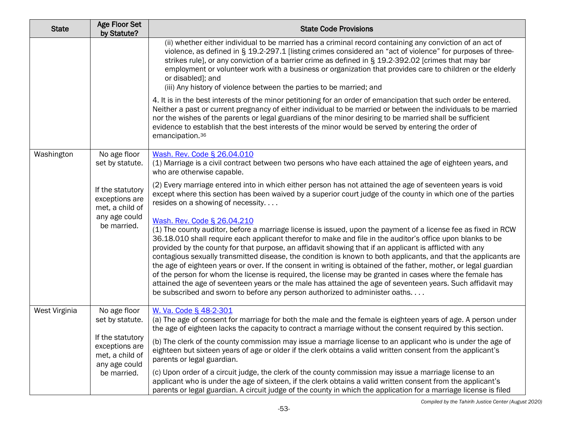| <b>State</b>  | <b>Age Floor Set</b><br>by Statute?                                                                                      | <b>State Code Provisions</b>                                                                                                                                                                                                                                                                                                                                                                                                                                                                                                                                                                                                                                                                                                                                                                                                                                                                                              |
|---------------|--------------------------------------------------------------------------------------------------------------------------|---------------------------------------------------------------------------------------------------------------------------------------------------------------------------------------------------------------------------------------------------------------------------------------------------------------------------------------------------------------------------------------------------------------------------------------------------------------------------------------------------------------------------------------------------------------------------------------------------------------------------------------------------------------------------------------------------------------------------------------------------------------------------------------------------------------------------------------------------------------------------------------------------------------------------|
|               |                                                                                                                          | (ii) whether either individual to be married has a criminal record containing any conviction of an act of<br>violence, as defined in § 19.2-297.1 [listing crimes considered an "act of violence" for purposes of three-<br>strikes rule], or any conviction of a barrier crime as defined in § 19.2-392.02 [crimes that may bar<br>employment or volunteer work with a business or organization that provides care to children or the elderly<br>or disabled]; and<br>(iii) Any history of violence between the parties to be married; and                                                                                                                                                                                                                                                                                                                                                                               |
|               |                                                                                                                          | 4. It is in the best interests of the minor petitioning for an order of emancipation that such order be entered.<br>Neither a past or current pregnancy of either individual to be married or between the individuals to be married<br>nor the wishes of the parents or legal guardians of the minor desiring to be married shall be sufficient<br>evidence to establish that the best interests of the minor would be served by entering the order of<br>emancipation. <sup>36</sup>                                                                                                                                                                                                                                                                                                                                                                                                                                     |
| Washington    | No age floor<br>set by statute.                                                                                          | Wash. Rev. Code § 26.04.010<br>(1) Marriage is a civil contract between two persons who have each attained the age of eighteen years, and<br>who are otherwise capable.                                                                                                                                                                                                                                                                                                                                                                                                                                                                                                                                                                                                                                                                                                                                                   |
|               | If the statutory<br>exceptions are<br>met, a child of<br>any age could<br>be married.                                    | (2) Every marriage entered into in which either person has not attained the age of seventeen years is void<br>except where this section has been waived by a superior court judge of the county in which one of the parties<br>resides on a showing of necessity                                                                                                                                                                                                                                                                                                                                                                                                                                                                                                                                                                                                                                                          |
|               |                                                                                                                          | Wash. Rev. Code § 26.04.210<br>(1) The county auditor, before a marriage license is issued, upon the payment of a license fee as fixed in RCW<br>36.18.010 shall require each applicant therefor to make and file in the auditor's office upon blanks to be<br>provided by the county for that purpose, an affidavit showing that if an applicant is afflicted with any<br>contagious sexually transmitted disease, the condition is known to both applicants, and that the applicants are<br>the age of eighteen years or over. If the consent in writing is obtained of the father, mother, or legal guardian<br>of the person for whom the license is required, the license may be granted in cases where the female has<br>attained the age of seventeen years or the male has attained the age of seventeen years. Such affidavit may<br>be subscribed and sworn to before any person authorized to administer oaths |
| West Virginia | No age floor<br>set by statute.<br>If the statutory<br>exceptions are<br>met, a child of<br>any age could<br>be married. | W. Va. Code § 48-2-301<br>(a) The age of consent for marriage for both the male and the female is eighteen years of age. A person under<br>the age of eighteen lacks the capacity to contract a marriage without the consent required by this section.                                                                                                                                                                                                                                                                                                                                                                                                                                                                                                                                                                                                                                                                    |
|               |                                                                                                                          | (b) The clerk of the county commission may issue a marriage license to an applicant who is under the age of<br>eighteen but sixteen years of age or older if the clerk obtains a valid written consent from the applicant's<br>parents or legal guardian.                                                                                                                                                                                                                                                                                                                                                                                                                                                                                                                                                                                                                                                                 |
|               |                                                                                                                          | (c) Upon order of a circuit judge, the clerk of the county commission may issue a marriage license to an<br>applicant who is under the age of sixteen, if the clerk obtains a valid written consent from the applicant's<br>parents or legal guardian. A circuit judge of the county in which the application for a marriage license is filed                                                                                                                                                                                                                                                                                                                                                                                                                                                                                                                                                                             |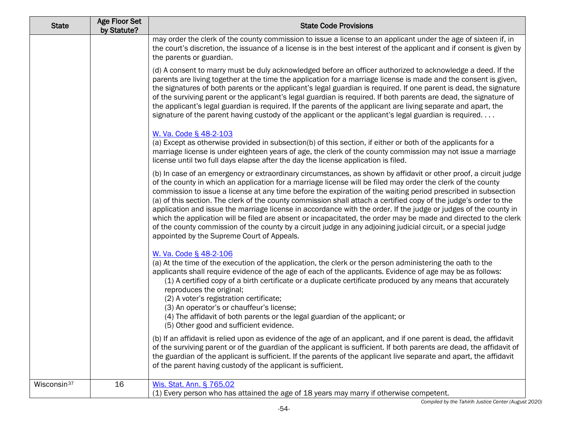| <b>State</b>            | <b>Age Floor Set</b><br>by Statute? | <b>State Code Provisions</b>                                                                                                                                                                                                                                                                                                                                                                                                                                                                                                                                                                                                                                                                                                                                                                                                                                                      |
|-------------------------|-------------------------------------|-----------------------------------------------------------------------------------------------------------------------------------------------------------------------------------------------------------------------------------------------------------------------------------------------------------------------------------------------------------------------------------------------------------------------------------------------------------------------------------------------------------------------------------------------------------------------------------------------------------------------------------------------------------------------------------------------------------------------------------------------------------------------------------------------------------------------------------------------------------------------------------|
|                         |                                     | may order the clerk of the county commission to issue a license to an applicant under the age of sixteen if, in<br>the court's discretion, the issuance of a license is in the best interest of the applicant and if consent is given by<br>the parents or guardian.                                                                                                                                                                                                                                                                                                                                                                                                                                                                                                                                                                                                              |
|                         |                                     | (d) A consent to marry must be duly acknowledged before an officer authorized to acknowledge a deed. If the<br>parents are living together at the time the application for a marriage license is made and the consent is given,<br>the signatures of both parents or the applicant's legal guardian is required. If one parent is dead, the signature<br>of the surviving parent or the applicant's legal guardian is required. If both parents are dead, the signature of<br>the applicant's legal guardian is required. If the parents of the applicant are living separate and apart, the<br>signature of the parent having custody of the applicant or the applicant's legal guardian is required                                                                                                                                                                             |
|                         |                                     | W. Va. Code § 48-2-103                                                                                                                                                                                                                                                                                                                                                                                                                                                                                                                                                                                                                                                                                                                                                                                                                                                            |
|                         |                                     | (a) Except as otherwise provided in subsection(b) of this section, if either or both of the applicants for a<br>marriage license is under eighteen years of age, the clerk of the county commission may not issue a marriage<br>license until two full days elapse after the day the license application is filed.                                                                                                                                                                                                                                                                                                                                                                                                                                                                                                                                                                |
|                         |                                     | (b) In case of an emergency or extraordinary circumstances, as shown by affidavit or other proof, a circuit judge<br>of the county in which an application for a marriage license will be filed may order the clerk of the county<br>commission to issue a license at any time before the expiration of the waiting period prescribed in subsection<br>(a) of this section. The clerk of the county commission shall attach a certified copy of the judge's order to the<br>application and issue the marriage license in accordance with the order. If the judge or judges of the county in<br>which the application will be filed are absent or incapacitated, the order may be made and directed to the clerk<br>of the county commission of the county by a circuit judge in any adjoining judicial circuit, or a special judge<br>appointed by the Supreme Court of Appeals. |
|                         |                                     | W. Va. Code § 48-2-106<br>(a) At the time of the execution of the application, the clerk or the person administering the oath to the<br>applicants shall require evidence of the age of each of the applicants. Evidence of age may be as follows:<br>(1) A certified copy of a birth certificate or a duplicate certificate produced by any means that accurately<br>reproduces the original;<br>(2) A voter's registration certificate;<br>(3) An operator's or chauffeur's license;<br>(4) The affidavit of both parents or the legal guardian of the applicant; or                                                                                                                                                                                                                                                                                                            |
|                         |                                     | (5) Other good and sufficient evidence.<br>(b) If an affidavit is relied upon as evidence of the age of an applicant, and if one parent is dead, the affidavit<br>of the surviving parent or of the guardian of the applicant is sufficient. If both parents are dead, the affidavit of<br>the guardian of the applicant is sufficient. If the parents of the applicant live separate and apart, the affidavit<br>of the parent having custody of the applicant is sufficient.                                                                                                                                                                                                                                                                                                                                                                                                    |
| Wisconsin <sup>37</sup> | 16                                  | Wis. Stat. Ann. § 765.02<br>(1) Every person who has attained the age of 18 years may marry if otherwise competent.                                                                                                                                                                                                                                                                                                                                                                                                                                                                                                                                                                                                                                                                                                                                                               |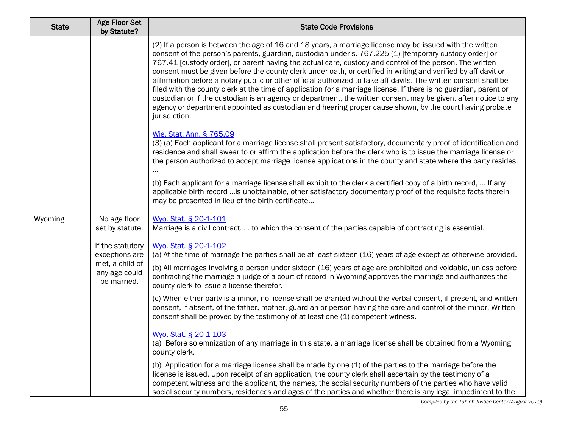| <b>State</b> | <b>Age Floor Set</b><br>by Statute?                                                   | <b>State Code Provisions</b>                                                                                                                                                                                                                                                                                                                                                                                                                                                                                                                                                                                                                                                                                                                                                                                                                                                                                                             |
|--------------|---------------------------------------------------------------------------------------|------------------------------------------------------------------------------------------------------------------------------------------------------------------------------------------------------------------------------------------------------------------------------------------------------------------------------------------------------------------------------------------------------------------------------------------------------------------------------------------------------------------------------------------------------------------------------------------------------------------------------------------------------------------------------------------------------------------------------------------------------------------------------------------------------------------------------------------------------------------------------------------------------------------------------------------|
|              |                                                                                       | (2) If a person is between the age of 16 and 18 years, a marriage license may be issued with the written<br>consent of the person's parents, guardian, custodian under s. 767.225 (1) [temporary custody order] or<br>767.41 [custody order], or parent having the actual care, custody and control of the person. The written<br>consent must be given before the county clerk under oath, or certified in writing and verified by affidavit or<br>affirmation before a notary public or other official authorized to take affidavits. The written consent shall be<br>filed with the county clerk at the time of application for a marriage license. If there is no guardian, parent or<br>custodian or if the custodian is an agency or department, the written consent may be given, after notice to any<br>agency or department appointed as custodian and hearing proper cause shown, by the court having probate<br>jurisdiction. |
|              |                                                                                       | Wis. Stat. Ann. § 765.09<br>(3) (a) Each applicant for a marriage license shall present satisfactory, documentary proof of identification and<br>residence and shall swear to or affirm the application before the clerk who is to issue the marriage license or<br>the person authorized to accept marriage license applications in the county and state where the party resides.<br>(b) Each applicant for a marriage license shall exhibit to the clerk a certified copy of a birth record,  If any                                                                                                                                                                                                                                                                                                                                                                                                                                   |
|              |                                                                                       | applicable birth record  is unobtainable, other satisfactory documentary proof of the requisite facts therein<br>may be presented in lieu of the birth certificate                                                                                                                                                                                                                                                                                                                                                                                                                                                                                                                                                                                                                                                                                                                                                                       |
| Wyoming      | No age floor<br>set by statute.                                                       | Wyo. Stat. § 20-1-101<br>Marriage is a civil contract to which the consent of the parties capable of contracting is essential.                                                                                                                                                                                                                                                                                                                                                                                                                                                                                                                                                                                                                                                                                                                                                                                                           |
|              | If the statutory<br>exceptions are<br>met, a child of<br>any age could<br>be married. | Wyo. Stat. § 20-1-102<br>(a) At the time of marriage the parties shall be at least sixteen (16) years of age except as otherwise provided.<br>(b) All marriages involving a person under sixteen (16) years of age are prohibited and voidable, unless before<br>contracting the marriage a judge of a court of record in Wyoming approves the marriage and authorizes the<br>county clerk to issue a license therefor.                                                                                                                                                                                                                                                                                                                                                                                                                                                                                                                  |
|              |                                                                                       | (c) When either party is a minor, no license shall be granted without the verbal consent, if present, and written<br>consent, if absent, of the father, mother, guardian or person having the care and control of the minor. Written<br>consent shall be proved by the testimony of at least one (1) competent witness.                                                                                                                                                                                                                                                                                                                                                                                                                                                                                                                                                                                                                  |
|              |                                                                                       | Wyo. Stat. § 20-1-103<br>(a) Before solemnization of any marriage in this state, a marriage license shall be obtained from a Wyoming<br>county clerk.                                                                                                                                                                                                                                                                                                                                                                                                                                                                                                                                                                                                                                                                                                                                                                                    |
|              |                                                                                       | (b) Application for a marriage license shall be made by one (1) of the parties to the marriage before the<br>license is issued. Upon receipt of an application, the county clerk shall ascertain by the testimony of a<br>competent witness and the applicant, the names, the social security numbers of the parties who have valid<br>social security numbers, residences and ages of the parties and whether there is any legal impediment to the                                                                                                                                                                                                                                                                                                                                                                                                                                                                                      |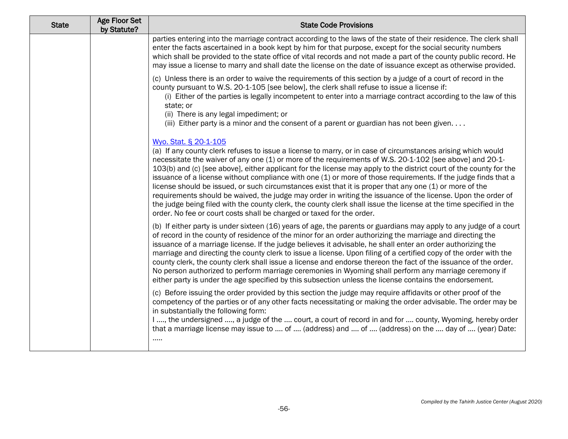| <b>State</b> | Age Floor Set<br>by Statute? | <b>State Code Provisions</b>                                                                                                                                                                                                                                                                                                                                                                                                                                                                                                                                                                                                                                                                                                                                                                                                                                                                                        |
|--------------|------------------------------|---------------------------------------------------------------------------------------------------------------------------------------------------------------------------------------------------------------------------------------------------------------------------------------------------------------------------------------------------------------------------------------------------------------------------------------------------------------------------------------------------------------------------------------------------------------------------------------------------------------------------------------------------------------------------------------------------------------------------------------------------------------------------------------------------------------------------------------------------------------------------------------------------------------------|
|              |                              | parties entering into the marriage contract according to the laws of the state of their residence. The clerk shall<br>enter the facts ascertained in a book kept by him for that purpose, except for the social security numbers<br>which shall be provided to the state office of vital records and not made a part of the county public record. He<br>may issue a license to marry and shall date the license on the date of issuance except as otherwise provided.                                                                                                                                                                                                                                                                                                                                                                                                                                               |
|              |                              | (c) Unless there is an order to waive the requirements of this section by a judge of a court of record in the<br>county pursuant to W.S. 20-1-105 [see below], the clerk shall refuse to issue a license if:<br>(i) Either of the parties is legally incompetent to enter into a marriage contract according to the law of this<br>state; or<br>(ii) There is any legal impediment; or<br>(iii) Either party is a minor and the consent of a parent or guardian has not been given                                                                                                                                                                                                                                                                                                                                                                                                                                  |
|              |                              | Wyo. Stat. § 20-1-105<br>(a) If any county clerk refuses to issue a license to marry, or in case of circumstances arising which would<br>necessitate the waiver of any one (1) or more of the requirements of W.S. 20-1-102 [see above] and 20-1-<br>103(b) and (c) [see above], either applicant for the license may apply to the district court of the county for the<br>issuance of a license without compliance with one (1) or more of those requirements. If the judge finds that a<br>license should be issued, or such circumstances exist that it is proper that any one (1) or more of the<br>requirements should be waived, the judge may order in writing the issuance of the license. Upon the order of<br>the judge being filed with the county clerk, the county clerk shall issue the license at the time specified in the<br>order. No fee or court costs shall be charged or taxed for the order. |
|              |                              | (b) If either party is under sixteen (16) years of age, the parents or guardians may apply to any judge of a court<br>of record in the county of residence of the minor for an order authorizing the marriage and directing the<br>issuance of a marriage license. If the judge believes it advisable, he shall enter an order authorizing the<br>marriage and directing the county clerk to issue a license. Upon filing of a certified copy of the order with the<br>county clerk, the county clerk shall issue a license and endorse thereon the fact of the issuance of the order.<br>No person authorized to perform marriage ceremonies in Wyoming shall perform any marriage ceremony if<br>either party is under the age specified by this subsection unless the license contains the endorsement.                                                                                                          |
|              |                              | (c) Before issuing the order provided by this section the judge may require affidavits or other proof of the<br>competency of the parties or of any other facts necessitating or making the order advisable. The order may be<br>in substantially the following form:<br>I , the undersigned , a judge of the  court, a court of record in and for  county, Wyoming, hereby order<br>that a marriage license may issue to  of  (address) and  of  (address) on the  day of  (year) Date:<br>$\cdots$                                                                                                                                                                                                                                                                                                                                                                                                                |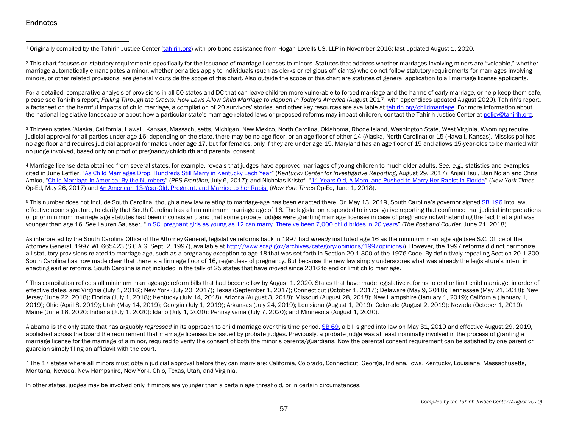## <span id="page-56-6"></span><span id="page-56-5"></span><span id="page-56-4"></span><span id="page-56-3"></span><span id="page-56-2"></span><span id="page-56-1"></span><span id="page-56-0"></span>**Endnotes**

<sup>1</sup> Originally compiled by the Tahirih Justice Center [\(tahirih.org\)](http://www.tahirih.org/) with pro bono assistance from Hogan Lovells US, LLP in November 2016; last updated August 1, 2020.

<sup>2</sup> This chart focuses on statutory requirements specifically for the issuance of marriage licenses to minors. Statutes that address whether marriages involving minors are "voidable," whether marriage automatically emancipates a minor, whether penalties apply to individuals (such as clerks or religious officiants) who do not follow statutory requirements for marriages involving minors, or other related provisions, are generally outside the scope of this chart. Also outside the scope of this chart are statutes of general application to all marriage license applicants.

For a detailed, comparative analysis of provisions in all 50 states and DC that can leave children more vulnerable to forced marriage and the harms of early marriage, or help keep them safe, please see Tahirih's report, *Falling Through the Cracks: How Laws Allow Child Marriage to Happen in Today's America (August 2017; with appendices updated August 2020). Tahirih's report,* a factsheet on the harmful impacts of child marriage, a compilation of 20 survivors' stories, and other key resources are available a[t tahirih.org/childmarriage.](http://www.tahirih.org/childmarriagepolicy) For more information about the national legislative landscape or about how a particular state's marriage-related laws or proposed reforms may impact children, contact the Tahirih Justice Center at policy@tahirih.org.

<sup>3</sup> Thirteen states (Alaska, California, Hawaii, Kansas, Massachusetts, Michigan, New Mexico, North Carolina, Oklahoma, Rhode Island, Washington State, West Virginia, Wyoming) require judicial approval for all parties under age 16; depending on the state, there may be no age floor, or an age floor of either 14 (Alaska, North Carolina) or 15 (Hawaii, Kansas). Mississippi has no age floor and requires judicial approval for males under age 17, but for females, only if they are under age 15. Maryland has an age floor of 15 and allows 15-year-olds to be married with no judge involved, based only on proof of pregnancy/childbirth and parental consent.

<sup>4</sup> Marriage license data obtained from several states, for example, reveals that judges have approved marriages of young children to much older adults. *See, e.g.,* statistics and examples cited in June Leffler, ["As Child Marriages Drop, Hundreds Still Marry in](http://kycir.org/2017/08/29/as-child-marriages-drop-hundreds-still-marry-in-kentucky-each-year/) Kentucky Each Year" (*Kentucky Center for Investigative Reporting*, August 29, 2017); Anjali Tsui, Dan Nolan and Chris Amico, ["Child Marriage in America: By the Numbers"](http://apps.frontline.org/child-marriage-by-the-numbers/) (*PBS Frontline,* July 6, 2017); and Nicholas Kristof, ["11 Years Old, A Mom, and Pushed to Marry Her Rapist in Florida"](https://www.nytimes.com/2017/05/26/opinion/sunday/it-was-forced-on-me-child-marriage-in-the-us.html?_r=0) (*New York Times* Op-Ed, May 26, 2017) and [An American 13-Year-Old, Pregnant, and Married to her Rapist](https://www.nytimes.com/2018/06/01/opinion/sunday/child-marriage-delaware.html) (*New York Times* Op-Ed, June 1, 2018).

<sup>5</sup> This number does not include South Carolina, though a new law relating to marriage-age has been enacted there. On May 13, 2019, South Carolina's governor signed [SB 196](https://www.scstatehouse.gov/sess123_2019-2020/bills/196.htm) into law, effective upon signature, to clarify that South Carolina has a firm minimum marriage age of 16. The legislation responded to investigative reporting that confirmed that judicial interpretations of prior minimum marriage age statutes had been inconsistent, and that some probate judges were granting marriage licenses in case of pregnancy notwithstanding the fact that a girl was younger than age 16. *See* Lauren Sausser, ["In SC, pregnant girls as young as 12 can marry. There've been 7,000 child brides in 20 years"](https://www.postandcourier.com/health/in-sc-pregnant-girls-as-young-as-can-marry-there/article_6a86577c-5cf9-11e8-a6f9-1fe34ede1b02.html) (*The Post and Courier*, June 21, 2018).

As interpreted by the South Carolina Office of the Attorney General, legislative reforms back in 1997 had *already* instituted age 16 as the minimum marriage age (*see* S.C. Office of the Attorney General, 1997 WL 665423 (S.C.A.G. Sept. 2, 1997), available at [http://www.scag.gov/archives/category/opinions/1997opinions\)\)](http://www.scag.gov/archives/category/opinions/1997opinions)). However, the 1997 reforms did not harmonize all statutory provisions related to marriage age, such as a pregnancy exception to age 18 that was set forth in Section 20-1-300 of the 1976 Code. By definitively repealing Section 20-1-300, South Carolina has now made clear that there is a firm age floor of 16, regardless of pregnancy. But because the new law simply underscores what was already the legislature's intent in enacting earlier reforms, South Carolina is not included in the tally of 25 states that have *moved* since 2016 to end or limit child marriage.

<sup>6</sup> This compilation reflects all minimum marriage-age reform bills that had become law by August 1, 2020. States that have made legislative reforms to end or limit child marriage, in order of effective dates, are: Virginia (July 1, 2016); New York (July 20, 2017); Texas (September 1, 2017); Connecticut (October 1, 2017); Delaware (May 9, 2018); Tennessee (May 21, 2018); New Jersey (June 22, 2018); Florida (July 1, 2018); Kentucky (July 14, 2018); Arizona (August 3, 2018); Missouri (August 28, 2018); New Hampshire (January 1, 2019); California (January 1, 2019); Ohio (April 8, 2019); Utah (May 14, 2019); Georgia (July 1, 2019); Arkansas (July 24, 2019); Louisiana (August 1, 2019); Colorado (August 2, 2019); Nevada (October 1, 2019); Maine (June 16, 2020; Indiana (July 1, 2020); Idaho (July 1, 2020); Pennsylvania (July 7, 2020); and Minnesota (August 1, 2020).

Alabama is the only state that has arguably *regressed* in its approach to child marriage over this time period. [SB 69,](https://legiscan.com/AL/bill/SB69/2019) a bill signed into law on May 31, 2019 and effective August 29, 2019, abolished across the board the requirement that marriage licenses be issued by probate judges. Previously, a probate judge was at least nominally involved in the process of granting a marriage license for the marriage of a minor, required to verify the consent of both the minor's parents/guardians. Now the parental consent requirement can be satisfied by one parent or guardian simply filing an affidavit with the court.

<sup>7</sup> The 17 states where all minors must obtain judicial approval before they can marry are: California, Colorado, Connecticut, Georgia, Indiana, Iowa, Kentucky, Louisiana, Massachusetts, Montana, Nevada, New Hampshire, New York, Ohio, Texas, Utah, and Virginia.

In other states, judges may be involved only if minors are younger than a certain age threshold, or in certain circumstances.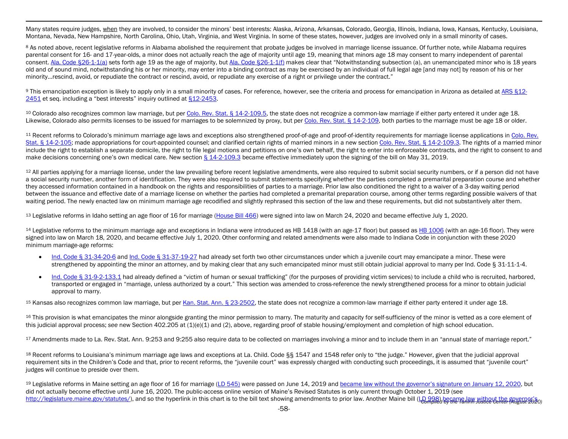<span id="page-57-11"></span><span id="page-57-10"></span><span id="page-57-9"></span><span id="page-57-8"></span><span id="page-57-7"></span><span id="page-57-6"></span><span id="page-57-5"></span><span id="page-57-4"></span><span id="page-57-3"></span><span id="page-57-2"></span><span id="page-57-1"></span><span id="page-57-0"></span>Many states require judges, when they are involved, to consider the minors' best interests: Alaska, Arizona, Arkansas, Colorado, Georgia, Illinois, Indiana, Iowa, Kansas, Kentucky, Louisiana, Montana, Nevada, New Hampshire, North Carolina, Ohio, Utah, Virginia, and West Virginia. In some of these states, however, judges are involved only in a small minority of cases.

8 As noted above, recent legislative reforms in Alabama abolished the requirement that probate judges be involved in marriage license issuance. Of further note, while Alabama requires parental consent for 16- and 17-year-olds, a minor does not actually reach the age of majority until age 19, meaning that minors age 18 may consent to marry independent of parental consent. [Ala. Code §26-1-1\(a\)](http://alisondb.legislature.state.al.us/alison/codeofalabama/1975/coatoc.htm) sets forth age 19 as the age of majority, but [Ala. Code §26-1-1\(f\)](http://alisondb.legislature.state.al.us/alison/codeofalabama/1975/coatoc.htm) makes clear that "Notwithstanding subsection (a), an unemancipated minor who is 18 years old and of sound mind, notwithstanding his or her minority, may enter into a binding contract as may be exercised by an individual of full legal age [and may not] by reason of his or her minority…rescind, avoid, or repudiate the contract or rescind, avoid, or repudiate any exercise of a right or privilege under the contract."

9 This emancipation exception is likely to apply only in a small minority of cases. For reference, however, see the criteria and process for emancipation in Arizona as detailed a[t ARS §12-](https://www.azleg.gov/viewdocument/?docName=https://www.azleg.gov/ars/12/02451.htm) [2451](https://www.azleg.gov/viewdocument/?docName=https://www.azleg.gov/ars/12/02451.htm) et seq. including a "best interests" inquiry outlined a[t §12-2453.](https://www.azleg.gov/viewdocument/?docName=https://www.azleg.gov/ars/12/02453.htm)

10 Colorado also recognizes common law marriage, but pe[r Colo. Rev. Stat. § 14-2-109.5,](https://advance.lexis.com/documentpage/?pdmfid=1000516&crid=78fa4751-9800-448c-a4f4-94bd8c2aa366&nodeid=AAOAACAABAABAAL&nodepath=%2FROOT%2FAAO%2FAAOAAC%2FAAOAACAAB%2FAAOAACAABAAB%2FAAOAACAABAABAAL&level=5&haschildren=&populated=false&title=14-2-109.5.+Common+law+marriage+-+age+restrictions&config=014FJAAyNGJkY2Y4Zi1mNjgyLTRkN2YtYmE4OS03NTYzNzYzOTg0OGEKAFBvZENhdGFsb2d592qv2Kywlf8caKqYROP5&pddocfullpath=%2Fshared%2Fdocument%2Fstatutes-legislation%2Furn%3AcontentItem%3A5YWF-4WC1-JFSV-G02R-00008-00&ecomp=d38_9kk&prid=8279d2c2-cfc0-43fa-bd82-b1a54deaf901) the state does not recognize a common-law marriage if either party entered it under age 18. Likewise, Colorado also permits licenses to be issued for marriages to be solemnized by proxy, but pe[r Colo. Rev. Stat. § 14-2-109,](https://advance.lexis.com/documentpage/?pdmfid=1000516&crid=99e7f5c7-1937-4c29-b540-f4d63dda409e&nodeid=AAOAACAABAABAAJ&nodepath=%2FROOT%2FAAO%2FAAOAAC%2FAAOAACAAB%2FAAOAACAABAAB%2FAAOAACAABAABAAJ&level=5&haschildren=&populated=false&title=14-2-109.+Solemnization+and+registration+of+marriages+-+proxy+marriage&config=014FJAAyNGJkY2Y4Zi1mNjgyLTRkN2YtYmE4OS03NTYzNzYzOTg0OGEKAFBvZENhdGFsb2d592qv2Kywlf8caKqYROP5&pddocfullpath=%2Fshared%2Fdocument%2Fstatutes-legislation%2Furn%3AcontentItem%3A5YWF-4WD1-FCSB-S2XF-00008-00&ecomp=d38_9kk&prid=8279d2c2-cfc0-43fa-bd82-b1a54deaf901) both parties to the marriage must be age 18 or older.

<sup>11</sup> Recent reforms to Colorado's minimum marriage age laws and exceptions also strengthened proof-of-age and proof-of-identity requirements for marriage license applications in Colo. Rev. [Stat. § 14-2-105;](https://advance.lexis.com/documentpage/?pdmfid=1000516&crid=85077fa3-625a-4fa5-9ef6-917725880021&nodeid=AAOAACAABAABAAF&nodepath=%2FROOT%2FAAO%2FAAOAAC%2FAAOAACAAB%2FAAOAACAABAAB%2FAAOAACAABAABAAF&level=5&haschildren=&populated=false&title=14-2-105.+Marriage+license+and+marriage+certificate&config=014FJAAyNGJkY2Y4Zi1mNjgyLTRkN2YtYmE4OS03NTYzNzYzOTg0OGEKAFBvZENhdGFsb2d592qv2Kywlf8caKqYROP5&pddocfullpath=%2Fshared%2Fdocument%2Fstatutes-legislation%2Furn%3AcontentItem%3A5YWF-4W81-FC1F-M2R2-00008-00&ecomp=d38_9kk&prid=8279d2c2-cfc0-43fa-bd82-b1a54deaf901) made appropriations for court-appointed counsel; and clarified certain rights of married minors in a new section [Colo. Rev. Stat. § 14-2-109.3.](https://advance.lexis.com/documentpage/?pdmfid=1000516&crid=a48246ae-e874-44e9-8e41-bae0a821a941&nodeid=AAOAACAABAABAAK&nodepath=%2FROOT%2FAAO%2FAAOAAC%2FAAOAACAAB%2FAAOAACAABAAB%2FAAOAACAABAABAAK&level=5&haschildren=&populated=false&title=14-2-109.3.+Rights+of+underage+married+persons&config=014FJAAyNGJkY2Y4Zi1mNjgyLTRkN2YtYmE4OS03NTYzNzYzOTg0OGEKAFBvZENhdGFsb2d592qv2Kywlf8caKqYROP5&pddocfullpath=%2Fshared%2Fdocument%2Fstatutes-legislation%2Furn%3AcontentItem%3A5YWF-4WD1-FCSB-S2CP-00008-00&ecomp=d38_9kk&prid=8279d2c2-cfc0-43fa-bd82-b1a54deaf901) The rights of a married minor include the right to establish a separate domicile, the right to file legal motions and petitions on one's own behalf, the right to enter into enforceable contracts, and the right to consent to and make decisions concerning one's own medical care. New section  $\S 14$ -2-109.3 became effective immediately upon the signing of the bill on May 31, 2019.

<sup>12</sup> All parties applying for a marriage license, under the law prevailing before recent legislative amendments, were also required to submit social security numbers, or if a person did not have a social security number, another form of identification. They were also required to submit statements specifying whether the parties completed a premarital preparation course and whether they accessed information contained in a handbook on the rights and responsibilities of parties to a marriage. Prior law also conditioned the right to a waiver of a 3-day waiting period between the issuance and effective date of a marriage license on whether the parties had completed a premarital preparation course, among other terms regarding possible waivers of that waiting period. The newly enacted law on minimum marriage age recodified and slightly rephrased this section of the law and these requirements, but did not substantively alter them.

<sup>13</sup> Legislative reforms in Idaho setting an age floor of 16 for marriage [\(House Bill 466\)](https://legislature.idaho.gov/wp-content/uploads/sessioninfo/2020/legislation/H0466.pdf) were signed into law on March 24, 2020 and became effective July 1, 2020.

<sup>14</sup> Legislative reforms to the minimum marriage age and exceptions in Indiana were introduced as HB 1418 (with an age-17 floor) but passed as [HB 1006](http://iga.in.gov/static-documents/2/3/a/a/23aac200/HB1006.06.ENRS.pdf) (with an age-16 floor). They were signed into law on March 18, 2020, and became effective July 1, 2020. Other conforming and related amendments were also made to Indiana Code in conjunction with these 2020 minimum marriage-age reforms:

- [Ind. Code § 31-34-20-6](http://iga.in.gov/legislative/laws/2020/ic/titles/031#31-34-20-6) an[d Ind. Code § 31-37-19-27](http://iga.in.gov/legislative/laws/2020/ic/titles/031#31-37-19-27) had already set forth two other circumstances under which a juvenile court may emancipate a minor. These were strengthened by appointing the minor an attorney, and by making clear that any such emancipated minor must still obtain judicial approval to marry per Ind. Code § 31-11-1-4.
- [Ind. Code § 31-9-2-133.1](http://iga.in.gov/legislative/laws/2020/ic/titles/031#31-9-2-133.1) had already defined a "victim of human or sexual trafficking" (for the purposes of providing victim services) to include a child who is recruited, harbored, transported or engaged in "marriage, unless authorized by a court." This section was amended to cross-reference the newly strengthened process for a minor to obtain judicial approval to marry.

<sup>15</sup> Kansas also recognizes common law marriage, but per [Kan. Stat. Ann. § 23-2502,](http://www.kslegislature.org/li/b2019_20/statute/023_000_0000_chapter/023_025_0000_article/023_025_0002_section/023_025_0002_k/) the state does not recognize a common-law marriage if either party entered it under age 18.

16 This provision is what emancipates the minor alongside granting the minor permission to marry. The maturity and capacity for self-sufficiency of the minor is vetted as a core element of this judicial approval process; *see* new Section 402.205 at (1)(e)(1) and (2), above, regarding proof of stable housing/employment and completion of high school education.

17 Amendments made to La. Rev. Stat. Ann. 9:253 and 9:255 also require data to be collected on marriages involving a minor and to include them in an "annual state of marriage report."

18 Recent reforms to Louisiana's minimum marriage age laws and exceptions at La. Child. Code §§ 1547 and 1548 refer only to "the judge." However, given that the judicial approval requirement sits in the Children's Code and that, prior to recent reforms, the "juvenile court" was expressly charged with conducting such proceedings, it is assumed that "juvenile court" judges will continue to preside over them.

[http://legislature.maine.gov/statutes/\)](http://legislature.maine.gov/statutes/), and so the hyperlink in this chart is to the bill text showing amendments to prior law. Another Maine bill [\(LD 998\)](http://legislature.maine.gov/LawMakerWeb/summary.asp?ID=280072083), became law without the governer's o <sup>19</sup> Legislative reforms in Maine setting an age floor of 16 for marriage [\(LD 545\)](http://legislature.maine.gov/LawMakerWeb/dockets.asp?ID=280071382) were passed on June 14, 2019 and [became law without the governor's signature on January 12, 2020,](http://www.mainelegislature.org/legis/bills/getPDF.asp?paper=SP0167&item=3&snum=129) but did not actually become effective until June 16, 2020. The public-access online version of Maine's Revised Statutes is only current through October 1, 2019 (see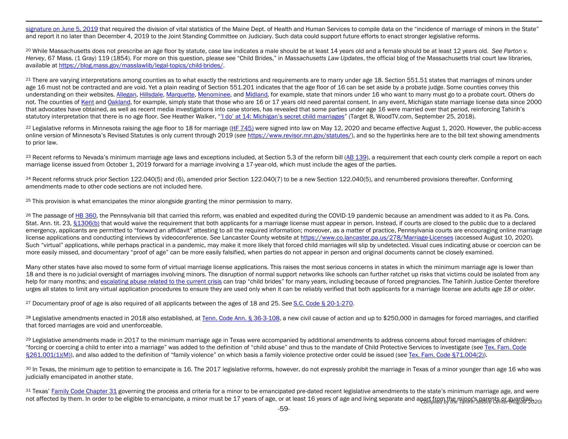<span id="page-58-11"></span><span id="page-58-10"></span><span id="page-58-9"></span><span id="page-58-8"></span><span id="page-58-7"></span><span id="page-58-6"></span><span id="page-58-5"></span><span id="page-58-4"></span><span id="page-58-3"></span><span id="page-58-2"></span><span id="page-58-1"></span><span id="page-58-0"></span>[signature on June 5, 2019](http://www.mainelegislature.org/legis/bills/getPDF.asp?paper=SP0288&item=3&snum=129) that required the division of vital statistics of the Maine Dept. of Health and Human Services to compile data on the "incidence of marriage of minors in the State" and report it no later than December 4, 2019 to the Joint Standing Committee on Judiciary. Such data could support future efforts to enact stronger legislative reforms.

<sup>20</sup> While Massachusetts does not prescribe an age floor by statute, case law indicates a male should be at least 14 years old and a female should be at least 12 years old. See Parton v. *Hervey*, 67 Mass. (1 Gray) 119 (1854). For more on this question, please see "Child Brides," in *Massachusetts Law Updates*, the official blog of the Massachusetts trial court law libraries, available at [https://blog.mass.gov/masslawlib/legal-topics/child-brides/.](https://blog.mass.gov/masslawlib/legal-topics/child-brides/) 

<sup>21</sup> There are varying interpretations among counties as to what exactly the restrictions and requirements are to marry under age 18. Section 551.51 states that marriages of minors under age 16 must not be contracted and are void. Yet a plain reading of Section 551.201 indicates that the age floor of 16 can be set aside by a probate judge. Some counties convey this understanding on their websites[. Allegan,](http://cms.allegancounty.org/sites/Office/Clerk/VitalRecords/SitePages/MarriageLicenseApp.aspx#.WvMbCn8h2Ul) [Hillsdale,](https://www.co.hillsdale.mi.us/index.php/tm-gov/tsm-gov-clerk/sm-clerk-marriage) [Marquette,](http://www.co.marquette.mi.us/departments/county_clerk/marriage_licenses.php#.WvNZCX8h2Ul) [Menominee,](http://www.menomineecounty.com/departments/?department=2df9edfea268&subdepartment=64f5cc8f3fc8) an[d Midland,](https://co.midland.mi.us/Portals/0/Midland%20County/procedure%20for%20marriage%20license.pdf) for example, state that minors under 16 who want to marry must go to a probate court. Others do not. The counties of [Kent](https://www.accesskent.com/Departments/CountyClerk/marriage_app.htm) an[d Oakland,](https://www.oakgov.com/clerkrod/life-events-and-services/Pages/marriage-license.aspx) for example, simply state that those who are 16 or 17 years old need parental consent. In any event, Michigan state marriage license data since 2000 that advocates have obtained, as well as recent media investigations into case stories, has revealed that some parties under age 16 were married over that period, reinforcing Tahirih's statutory interpretation that there is no age floor. *See* Heather Walker, ["'I do' at 14: Michigan's secret child marriages"](https://www.woodtv.com/news/target-8/i-do-at-14-michigans-secret-child-marriages/) (Target 8, WoodTV.com, September 25, 2018).

<sup>22</sup> Legislative reforms in Minnesota raising the age floor to 18 for marriage [\(HF 745\)](https://www.revisor.mn.gov/bills/bill.php?b=house&f=hf745&ssn=0&y=2020) were signed into law on May 12, 2020 and became effective August 1, 2020. However, the public-access online version of Minnesota's Revised Statutes is only current through 2019 (*see* [https://www.revisor.mn.gov/statutes/\)](https://www.revisor.mn.gov/statutes/), and so the hyperlinks here are to the bill text showing amendments to prior law.

<sup>23</sup> Recent reforms to Nevada's minimum marriage age laws and exceptions included, at Section 5.3 of the reform bill [\(AB 139\)](https://www.leg.state.nv.us/App/NELIS/REL/80th2019/Bill/6206/Text), a requirement that each county clerk compile a report on each marriage license issued from October 1, 2019 forward for a marriage involving a 17-year-old, which must include the ages of the parties.

<sup>24</sup> Recent reforms struck prior Section 122.040(5) and (6), amended prior Section 122.040(7) to be a new Section 122.040(5), and renumbered provisions thereafter. Conforming amendments made to other code sections are not included here.

<sup>25</sup> This provision is what emancipates the minor alongside granting the minor permission to marry.

<sup>26</sup> The passage of [HB 360,](https://www.legis.state.pa.us/cfdocs/billinfo/billinfo.cfm?syear=2019&sind=0&body=H&type=B&bn=360) the Pennsylvania bill that carried this reform, was enabled and expedited during the COVID-19 pandemic because an amendment was added to it as Pa. Cons. Stat. Ann. tit. 23[, §1306\(b\)](https://www.legis.state.pa.us/cfdocs/legis/LI/consCheck.cfm?txtType=HTM&ttl=23&div=0&chpt=13&sctn=6&subsctn=0) that would waive the requirement that both applicants for a marriage license must appear in person. Instead, if courts are closed to the public due to a declared emergency, applicants are permitted to "forward an affidavit" attesting to all the required information; moreover, as a matter of practice, Pennsylvania courts are encouraging online marriage license applications and conducting interviews by videoconference. *See* Lancaster County website at<https://www.co.lancaster.pa.us/278/Marriage-Licenses> (accessed August 10, 2020). Such "virtual" applications, while perhaps practical in a pandemic, may make it more likely that forced child marriages will slip by undetected. Visual cues indicating abuse or coercion can be more easily missed, and documentary "proof of age" can be more easily falsified, when parties do not appear in person and original documents cannot be closely examined.

Many other states have also moved to some form of virtual marriage license applications. This raises the most serious concerns in states in which the minimum marriage age is lower than 18 and there is no judicial oversight of marriages involving minors. The disruption of normal support networks like schools can further ratchet up risks that victims could be isolated from any help for many months; an[d escalating abuse related to the current crisis](http://www.4vawa.org/ntf-action-alerts-and-news/2020/4/16/survivors-of-domestic-and-sexual-violence-are-at-heightened-risk-now-and-will-remain-so-long-after-the-current-crisis) can trap "child brides" for many years, including because of forced pregnancies. The Tahirih Justice Center therefore urges all states to limit any virtual application procedures to ensure they are used only when it can be reliably verified that both applicants for a marriage license are *adults age 18 or older*.

<sup>27</sup> Documentary proof of age is also required of all applicants between the ages of 18 and 25. *See* [S.C. Code § 20-1-270.](https://www.scstatehouse.gov/code/t20c001.php)

<sup>28</sup> Legislative amendments enacted in 2018 also established, at [Tenn. Code Ann. § 36-3-108,](http://www.tsc.state.tn.us/Tennessee%20Code) a new civil cause of action and up to \$250,000 in damages for forced marriages, and clarified that forced marriages are void and unenforceable.

<sup>29</sup> Legislative amendments made in 2017 to the minimum marriage age in Texas were accompanied by additional amendments to address concerns about forced marriages of children: "forcing or coercing a child to enter into a marriage" was added to the definition of "child abuse" and thus to the mandate of Child Protective Services to investigate (*see* [Tex. Fam. Code](https://statutes.capitol.texas.gov/Docs/FA/htm/FA.261.htm#261.001)  [§261.001\(1\)\(M\)\)](https://statutes.capitol.texas.gov/Docs/FA/htm/FA.261.htm#261.001), and also added to the definition of "family violence" on which basis a family violence protective order could be issued (see [Tex. Fam. Code §71.004\(2\)\)](https://statutes.capitol.texas.gov/Docs/FA/htm/FA.71.htm#71.004).

30 In Texas, the minimum age to petition to emancipate is 16. The 2017 legislative reforms, however, do not expressly prohibit the marriage in Texas of a minor younger than age 16 who was judicially emancipated in another state.

not affected by them. In order to be eligible to emancipate, a minor must be 17 years of age, or at least 16 years of age and living separate and apart from the minor's parents or guardian.<br>2009 31 Texas[' Family Code Chapter 31](https://statutes.capitol.texas.gov/Docs/FA/htm/FA.31.htm) governing the process and criteria for a minor to be emancipated pre-dated recent legislative amendments to the state's minimum marriage age, and were